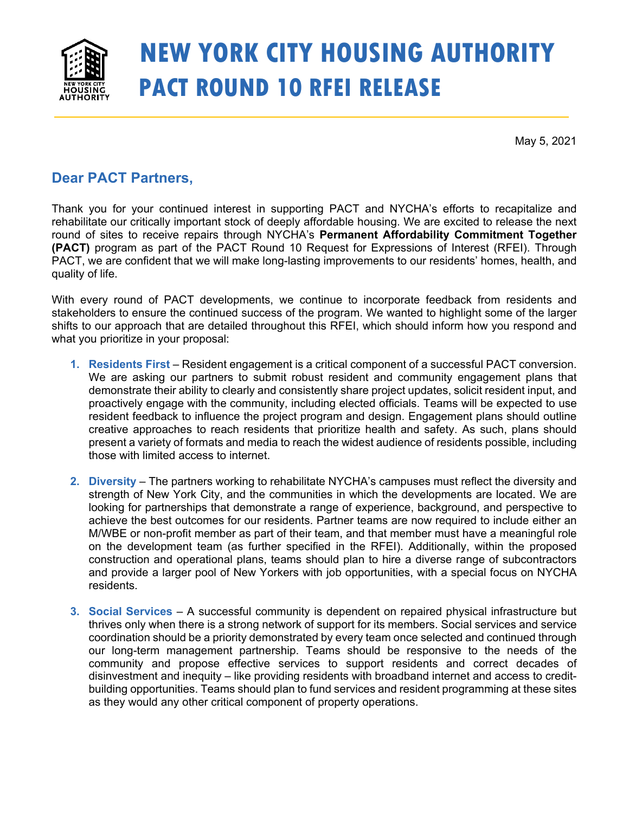

# **NEW YORK CITY HOUSING AUTHORITY PACT ROUND 10 RFEI RELEASE**

May 5, 2021

# **Dear PACT Partners,**

Thank you for your continued interest in supporting PACT and NYCHA's efforts to recapitalize and rehabilitate our critically important stock of deeply affordable housing. We are excited to release the next round of sites to receive repairs through NYCHA's **Permanent Affordability Commitment Together (PACT)** program as part of the PACT Round 10 Request for Expressions of Interest (RFEI). Through PACT, we are confident that we will make long-lasting improvements to our residents' homes, health, and quality of life.

With every round of PACT developments, we continue to incorporate feedback from residents and stakeholders to ensure the continued success of the program. We wanted to highlight some of the larger shifts to our approach that are detailed throughout this RFEI, which should inform how you respond and what you prioritize in your proposal:

- **1. Residents First**  Resident engagement is a critical component of a successful PACT conversion. We are asking our partners to submit robust resident and community engagement plans that demonstrate their ability to clearly and consistently share project updates, solicit resident input, and proactively engage with the community, including elected officials. Teams will be expected to use resident feedback to influence the project program and design. Engagement plans should outline creative approaches to reach residents that prioritize health and safety. As such, plans should present a variety of formats and media to reach the widest audience of residents possible, including those with limited access to internet.
- **2. Diversity** The partners working to rehabilitate NYCHA's campuses must reflect the diversity and strength of New York City, and the communities in which the developments are located. We are looking for partnerships that demonstrate a range of experience, background, and perspective to achieve the best outcomes for our residents. Partner teams are now required to include either an M/WBE or non-profit member as part of their team, and that member must have a meaningful role on the development team (as further specified in the RFEI). Additionally, within the proposed construction and operational plans, teams should plan to hire a diverse range of subcontractors and provide a larger pool of New Yorkers with job opportunities, with a special focus on NYCHA residents.
- **3. Social Services** A successful community is dependent on repaired physical infrastructure but thrives only when there is a strong network of support for its members. Social services and service coordination should be a priority demonstrated by every team once selected and continued through our long-term management partnership. Teams should be responsive to the needs of the community and propose effective services to support residents and correct decades of disinvestment and inequity – like providing residents with broadband internet and access to creditbuilding opportunities. Teams should plan to fund services and resident programming at these sites as they would any other critical component of property operations.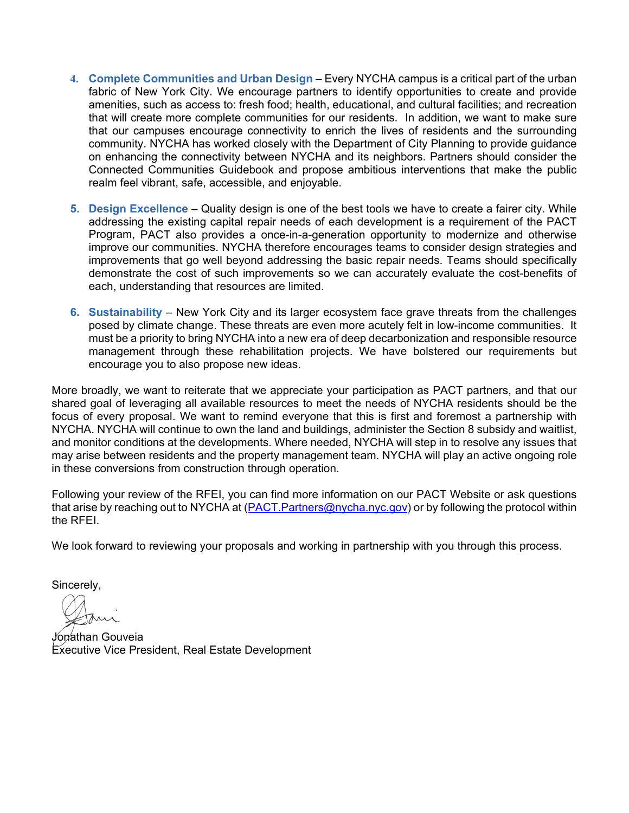- **4. Complete Communities and Urban Design** Every NYCHA campus is a critical part of the urban fabric of New York City. We encourage partners to identify opportunities to create and provide amenities, such as access to: fresh food; health, educational, and cultural facilities; and recreation that will create more complete communities for our residents. In addition, we want to make sure that our campuses encourage connectivity to enrich the lives of residents and the surrounding community. NYCHA has worked closely with the Department of City Planning to provide guidance on enhancing the connectivity between NYCHA and its neighbors. Partners should consider the Connected Communities Guidebook and propose ambitious interventions that make the public realm feel vibrant, safe, accessible, and enjoyable.
- **5. Design Excellence** Quality design is one of the best tools we have to create a fairer city. While addressing the existing capital repair needs of each development is a requirement of the PACT Program, PACT also provides a once-in-a-generation opportunity to modernize and otherwise improve our communities. NYCHA therefore encourages teams to consider design strategies and improvements that go well beyond addressing the basic repair needs. Teams should specifically demonstrate the cost of such improvements so we can accurately evaluate the cost-benefits of each, understanding that resources are limited.
- **6. Sustainability** New York City and its larger ecosystem face grave threats from the challenges posed by climate change. These threats are even more acutely felt in low-income communities. It must be a priority to bring NYCHA into a new era of deep decarbonization and responsible resource management through these rehabilitation projects. We have bolstered our requirements but encourage you to also propose new ideas.

More broadly, we want to reiterate that we appreciate your participation as PACT partners, and that our shared goal of leveraging all available resources to meet the needs of NYCHA residents should be the focus of every proposal. We want to remind everyone that this is first and foremost a partnership with NYCHA. NYCHA will continue to own the land and buildings, administer the Section 8 subsidy and waitlist, and monitor conditions at the developments. Where needed, NYCHA will step in to resolve any issues that may arise between residents and the property management team. NYCHA will play an active ongoing role in these conversions from construction through operation.

Following your review of the RFEI, you can find more information on our PACT Website or ask questions that arise by reaching out to NYCHA at (PACT.Partners@nycha.nyc.gov) or by following the protocol within the RFEI.

We look forward to reviewing your proposals and working in partnership with you through this process.

Sincerely,

*√*on⁄athan Gouveia Executive Vice President, Real Estate Development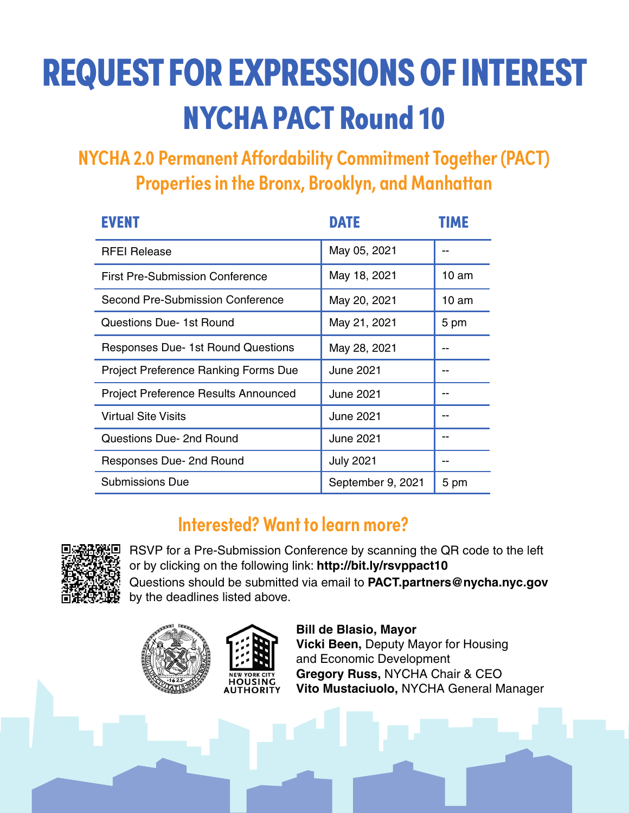# REQUEST FOR EXPRESSIONS OF INTEREST NYCHA PACT Round 10

**NYCHA 2.0 Permanent Affordability Commitment Together (PACT) Properties in the Bronx, Brooklyn, and Manhattan**

| <b>EVENT</b>                                | <b>DATE</b>       | <b>FIME</b>      |
|---------------------------------------------|-------------------|------------------|
| <b>RFEI Release</b>                         | May 05, 2021      |                  |
| <b>First Pre-Submission Conference</b>      | May 18, 2021      | $10 \text{ am}$  |
| Second Pre-Submission Conference            | May 20, 2021      | 10 <sub>am</sub> |
| Questions Due- 1st Round                    | May 21, 2021      | 5 pm             |
| <b>Responses Due-1st Round Questions</b>    | May 28, 2021      |                  |
| <b>Project Preference Ranking Forms Due</b> | June 2021         |                  |
| <b>Project Preference Results Announced</b> | June 2021         |                  |
| <b>Virtual Site Visits</b>                  | June 2021         |                  |
| Questions Due- 2nd Round                    | June 2021         |                  |
| Responses Due- 2nd Round                    | <b>July 2021</b>  |                  |
| <b>Submissions Due</b>                      | September 9, 2021 | 5 pm             |

# **Interested? Want to learn more?**



RSVP for a Pre-Submission Conference by scanning the QR code to the left or by clicking on the following link: **http://bit.ly/rsvppact10** Questions should be submitted via email to **PACT.partners@nycha.nyc.gov**  by the deadlines listed above.



**Bill de Blasio, Mayor Vicki Been,** Deputy Mayor for Housing and Economic Development **Gregory Russ,** NYCHA Chair & CEO **Vito Mustaciuolo,** NYCHA General Manager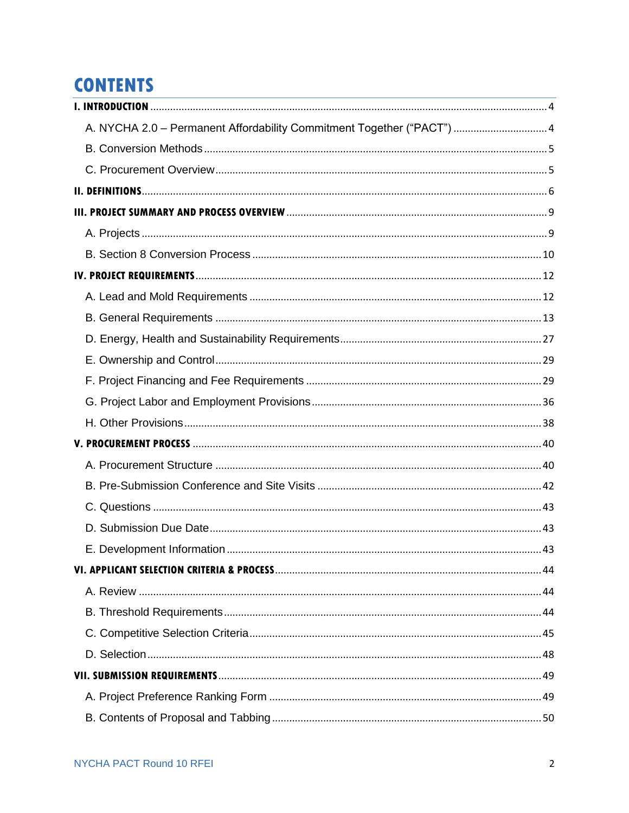# **CONTENTS**

| A. NYCHA 2.0 - Permanent Affordability Commitment Together ("PACT")  4 |  |
|------------------------------------------------------------------------|--|
|                                                                        |  |
|                                                                        |  |
|                                                                        |  |
|                                                                        |  |
|                                                                        |  |
|                                                                        |  |
|                                                                        |  |
|                                                                        |  |
|                                                                        |  |
|                                                                        |  |
|                                                                        |  |
|                                                                        |  |
|                                                                        |  |
|                                                                        |  |
|                                                                        |  |
|                                                                        |  |
|                                                                        |  |
|                                                                        |  |
|                                                                        |  |
|                                                                        |  |
|                                                                        |  |
|                                                                        |  |
|                                                                        |  |
|                                                                        |  |
|                                                                        |  |
|                                                                        |  |
|                                                                        |  |
|                                                                        |  |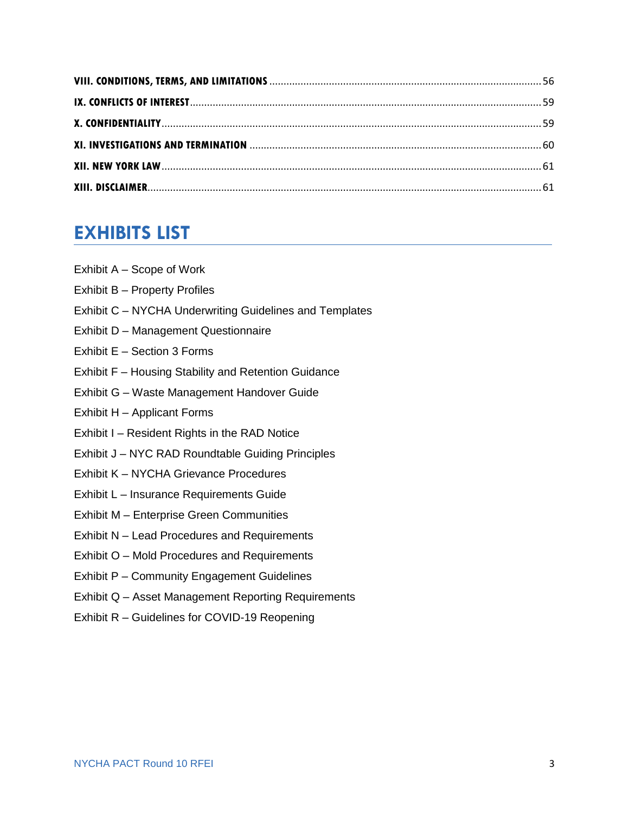# **EXHIBITS LIST**

- Exhibit A Scope of Work
- Exhibit B Property Profiles
- Exhibit C NYCHA Underwriting Guidelines and Templates
- Exhibit D Management Questionnaire
- Exhibit E Section 3 Forms
- Exhibit F Housing Stability and Retention Guidance
- Exhibit G Waste Management Handover Guide
- Exhibit H Applicant Forms
- Exhibit I Resident Rights in the RAD Notice
- Exhibit J NYC RAD Roundtable Guiding Principles
- Exhibit K NYCHA Grievance Procedures
- Exhibit L Insurance Requirements Guide
- Exhibit M Enterprise Green Communities
- Exhibit N Lead Procedures and Requirements
- Exhibit O Mold Procedures and Requirements
- Exhibit P Community Engagement Guidelines
- Exhibit Q Asset Management Reporting Requirements
- Exhibit R Guidelines for COVID-19 Reopening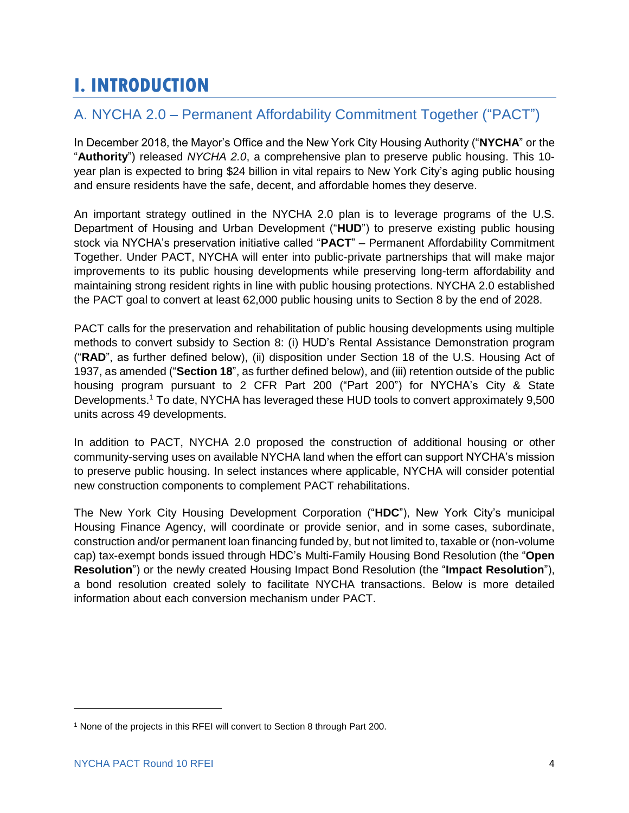# <span id="page-5-0"></span>**I. INTRODUCTION**

# <span id="page-5-1"></span>A. NYCHA 2.0 – Permanent Affordability Commitment Together ("PACT")

In December 2018, the Mayor's Office and the New York City Housing Authority ("**NYCHA**" or the "**Authority**") released *NYCHA 2.0*, a comprehensive plan to preserve public housing. This 10 year plan is expected to bring \$24 billion in vital repairs to New York City's aging public housing and ensure residents have the safe, decent, and affordable homes they deserve.

An important strategy outlined in the NYCHA 2.0 plan is to leverage programs of the U.S. Department of Housing and Urban Development ("**HUD**") to preserve existing public housing stock via NYCHA's preservation initiative called "**PACT**" – Permanent Affordability Commitment Together. Under PACT, NYCHA will enter into public-private partnerships that will make major improvements to its public housing developments while preserving long-term affordability and maintaining strong resident rights in line with public housing protections. NYCHA 2.0 established the PACT goal to convert at least 62,000 public housing units to Section 8 by the end of 2028.

PACT calls for the preservation and rehabilitation of public housing developments using multiple methods to convert subsidy to Section 8: (i) HUD's Rental Assistance Demonstration program ("**RAD**", as further defined below), (ii) disposition under Section 18 of the U.S. Housing Act of 1937, as amended ("**Section 18**", as further defined below), and (iii) retention outside of the public housing program pursuant to 2 CFR Part 200 ("Part 200") for NYCHA's City & State Developments. <sup>1</sup> To date, NYCHA has leveraged these HUD tools to convert approximately 9,500 units across 49 developments.

In addition to PACT, NYCHA 2.0 proposed the construction of additional housing or other community-serving uses on available NYCHA land when the effort can support NYCHA's mission to preserve public housing. In select instances where applicable, NYCHA will consider potential new construction components to complement PACT rehabilitations.

The New York City Housing Development Corporation ("**HDC**"), New York City's municipal Housing Finance Agency, will coordinate or provide senior, and in some cases, subordinate, construction and/or permanent loan financing funded by, but not limited to, taxable or (non-volume cap) tax-exempt bonds issued through HDC's Multi-Family Housing Bond Resolution (the "**Open Resolution**") or the newly created Housing Impact Bond Resolution (the "**Impact Resolution**"), a bond resolution created solely to facilitate NYCHA transactions. Below is more detailed information about each conversion mechanism under PACT.

 $\overline{\phantom{a}}$ 

<sup>&</sup>lt;sup>1</sup> None of the projects in this RFEI will convert to Section 8 through Part 200.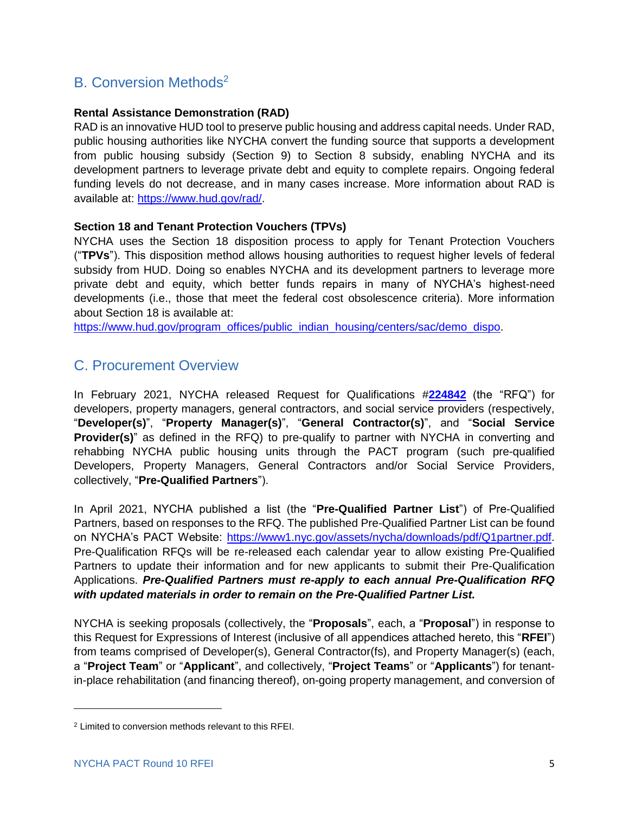# <span id="page-6-0"></span>B. Conversion Methods<sup>2</sup>

#### **Rental Assistance Demonstration (RAD)**

RAD is an innovative HUD tool to preserve public housing and address capital needs. Under RAD, public housing authorities like NYCHA convert the funding source that supports a development from public housing subsidy (Section 9) to Section 8 subsidy, enabling NYCHA and its development partners to leverage private debt and equity to complete repairs. Ongoing federal funding levels do not decrease, and in many cases increase. More information about RAD is available at: [https://www.hud.gov/rad/.](https://www.hud.gov/rad/)

#### **Section 18 and Tenant Protection Vouchers (TPVs)**

NYCHA uses the Section 18 disposition process to apply for Tenant Protection Vouchers ("**TPVs**"). This disposition method allows housing authorities to request higher levels of federal subsidy from HUD. Doing so enables NYCHA and its development partners to leverage more private debt and equity, which better funds repairs in many of NYCHA's highest-need developments (i.e., those that meet the federal cost obsolescence criteria). More information about Section 18 is available at:

[https://www.hud.gov/program\\_offices/public\\_indian\\_housing/centers/sac/demo\\_dispo.](https://www.hud.gov/program_offices/public_indian_housing/centers/sac/demo_dispo)

### <span id="page-6-1"></span>C. Procurement Overview

In February 2021, NYCHA released Request for Qualifications #**[224842](https://www1.nyc.gov/assets/nycha/downloads/pdf/PACT-Partner-RFQ-Q1-2021-FINAL.pdf)** (the "RFQ") for developers, property managers, general contractors, and social service providers (respectively, "**Developer(s)**", "**Property Manager(s)**", "**General Contractor(s)**", and "**Social Service Provider(s)**" as defined in the RFQ) to pre-qualify to partner with NYCHA in converting and rehabbing NYCHA public housing units through the PACT program (such pre-qualified Developers, Property Managers, General Contractors and/or Social Service Providers, collectively, "**Pre-Qualified Partners**").

In April 2021, NYCHA published a list (the "**Pre-Qualified Partner List**") of Pre-Qualified Partners, based on responses to the RFQ. The published Pre-Qualified Partner List can be found on NYCHA's PACT Website: [https://www1.nyc.gov/assets/nycha/downloads/pdf/Q1partner.pdf.](https://www1.nyc.gov/assets/nycha/downloads/pdf/Q1partner.pdf) Pre-Qualification RFQs will be re-released each calendar year to allow existing Pre-Qualified Partners to update their information and for new applicants to submit their Pre-Qualification Applications. *Pre-Qualified Partners must re-apply to each annual Pre-Qualification RFQ with updated materials in order to remain on the Pre-Qualified Partner List.*

NYCHA is seeking proposals (collectively, the "**Proposals**", each, a "**Proposal**") in response to this Request for Expressions of Interest (inclusive of all appendices attached hereto, this "**RFEI**") from teams comprised of Developer(s), General Contractor(fs), and Property Manager(s) (each, a "**Project Team**" or "**Applicant**", and collectively, "**Project Teams**" or "**Applicants**") for tenantin-place rehabilitation (and financing thereof), on-going property management, and conversion of

 $\overline{\phantom{a}}$ 

<sup>2</sup> Limited to conversion methods relevant to this RFEI.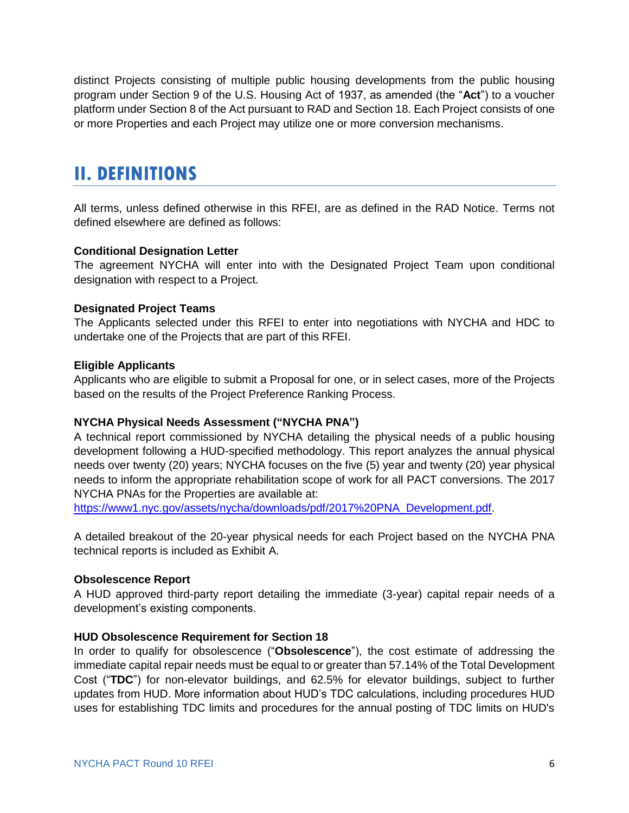distinct Projects consisting of multiple public housing developments from the public housing program under Section 9 of the U.S. Housing Act of 1937, as amended (the "**Act**") to a voucher platform under Section 8 of the Act pursuant to RAD and Section 18. Each Project consists of one or more Properties and each Project may utilize one or more conversion mechanisms.

# <span id="page-7-0"></span>**II. DEFINITIONS**

All terms, unless defined otherwise in this RFEI, are as defined in the RAD Notice. Terms not defined elsewhere are defined as follows:

#### **Conditional Designation Letter**

The agreement NYCHA will enter into with the Designated Project Team upon conditional designation with respect to a Project.

#### **Designated Project Teams**

The Applicants selected under this RFEI to enter into negotiations with NYCHA and HDC to undertake one of the Projects that are part of this RFEI.

#### **Eligible Applicants**

Applicants who are eligible to submit a Proposal for one, or in select cases, more of the Projects based on the results of the Project Preference Ranking Process.

#### **NYCHA Physical Needs Assessment ("NYCHA PNA")**

A technical report commissioned by NYCHA detailing the physical needs of a public housing development following a HUD-specified methodology. This report analyzes the annual physical needs over twenty (20) years; NYCHA focuses on the five (5) year and twenty (20) year physical needs to inform the appropriate rehabilitation scope of work for all PACT conversions. The 2017 NYCHA PNAs for the Properties are available at:

[https://www1.nyc.gov/assets/nycha/downloads/pdf/2017%20PNA\\_Development.pdf.](https://www1.nyc.gov/assets/nycha/downloads/pdf/2017%20PNA_Development.pdf)

A detailed breakout of the 20-year physical needs for each Project based on the NYCHA PNA technical reports is included as Exhibit A.

#### **Obsolescence Report**

A HUD approved third-party report detailing the immediate (3-year) capital repair needs of a development's existing components.

#### **HUD Obsolescence Requirement for Section 18**

In order to qualify for obsolescence ("**Obsolescence**"), the cost estimate of addressing the immediate capital repair needs must be equal to or greater than 57.14% of the Total Development Cost ("**TDC**") for non-elevator buildings, and 62.5% for elevator buildings, subject to further updates from HUD. More information about HUD's TDC calculations, including procedures HUD uses for establishing TDC limits and procedures for the annual posting of TDC limits on HUD's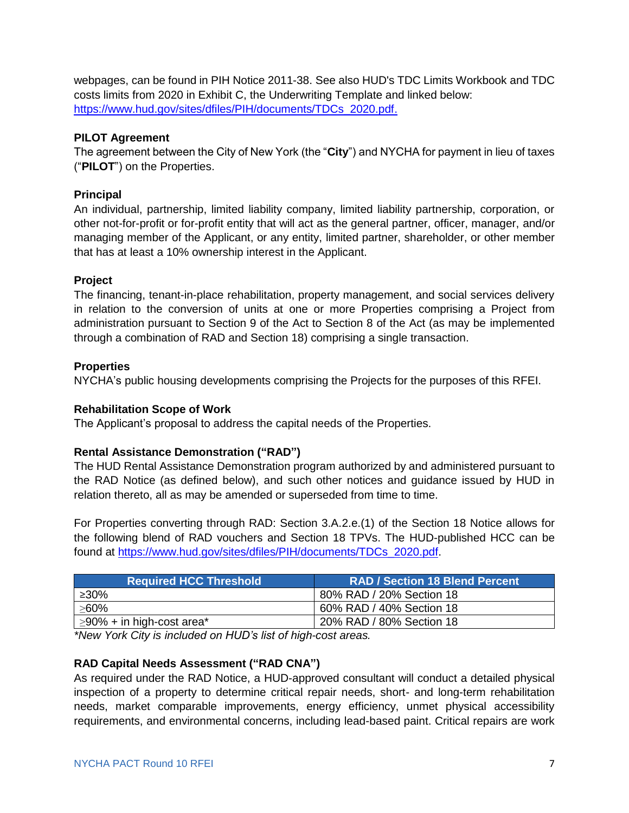webpages, can be found in [PIH Notice 2011-38.](https://www.hud.gov/sites/documents/11-38pihn.doc) See also [HUD's TDC Limits Workbook](https://www.hud.gov/sites/dfiles/PIH/documents/HUD50156_TDC_Calculator_FY19.xlsx) and TDC costs limits from 2020 in Exhibit C, the Underwriting Template and linked below: [https://www.hud.gov/sites/dfiles/PIH/documents/TDCs\\_2020.pdf.](https://www.hud.gov/sites/dfiles/PIH/documents/TDCs_2020.pdf)

#### **PILOT Agreement**

The agreement between the City of New York (the "**City**") and NYCHA for payment in lieu of taxes ("**PILOT**") on the Properties.

#### **Principal**

An individual, partnership, limited liability company, limited liability partnership, corporation, or other not-for-profit or for-profit entity that will act as the general partner, officer, manager, and/or managing member of the Applicant, or any entity, limited partner, shareholder, or other member that has at least a 10% ownership interest in the Applicant.

#### **Project**

The financing, tenant-in-place rehabilitation, property management, and social services delivery in relation to the conversion of units at one or more Properties comprising a Project from administration pursuant to Section 9 of the Act to Section 8 of the Act (as may be implemented through a combination of RAD and Section 18) comprising a single transaction.

#### **Properties**

NYCHA's public housing developments comprising the Projects for the purposes of this RFEI.

#### **Rehabilitation Scope of Work**

The Applicant's proposal to address the capital needs of the Properties.

#### **Rental Assistance Demonstration ("RAD")**

The HUD Rental Assistance Demonstration program authorized by and administered pursuant to the RAD Notice (as defined below), and such other notices and guidance issued by HUD in relation thereto, all as may be amended or superseded from time to time.

For Properties converting through RAD: Section 3.A.2.e.(1) of the Section 18 Notice allows for the following blend of RAD vouchers and Section 18 TPVs. The HUD-published HCC can be found at [https://www.hud.gov/sites/dfiles/PIH/documents/TDCs\\_2020.pdf.](https://www.hud.gov/sites/dfiles/PIH/documents/TDCs_2020.pdf)

| <b>Required HCC Threshold</b>   | <b>RAD / Section 18 Blend Percent</b> |
|---------------------------------|---------------------------------------|
| ≥30%                            | 80% RAD / 20% Section 18              |
| $>60\%$                         | 60% RAD / 40% Section 18              |
| $\geq$ 90% + in high-cost area* | 20% RAD / 80% Section 18              |

*\*New York City is included on HUD's list of high-cost areas.*

#### **RAD Capital Needs Assessment ("RAD CNA")**

As required under the RAD Notice, a HUD-approved consultant will conduct a detailed physical inspection of a property to determine critical repair needs, short- and long-term rehabilitation needs, market comparable improvements, energy efficiency, unmet physical accessibility requirements, and environmental concerns, including lead-based paint. Critical repairs are work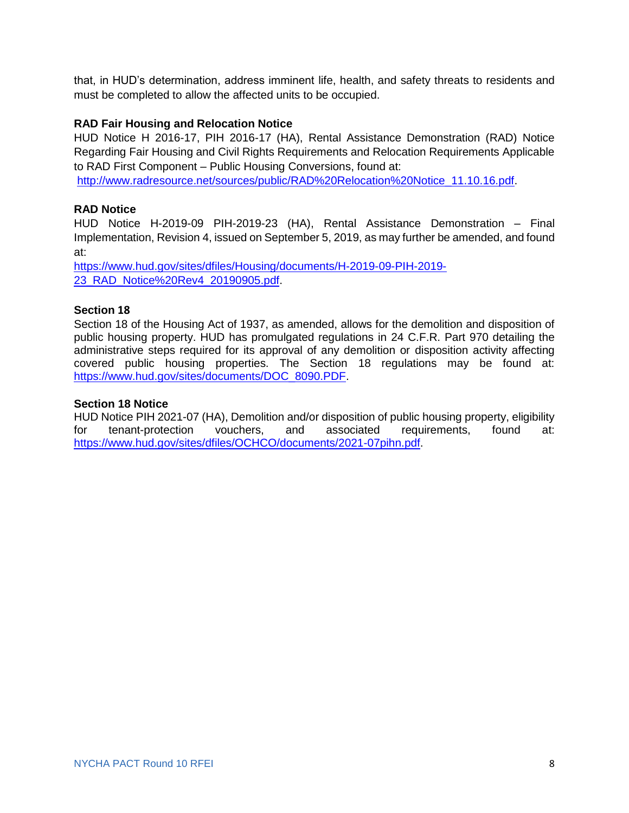that, in HUD's determination, address imminent life, health, and safety threats to residents and must be completed to allow the affected units to be occupied.

#### **RAD Fair Housing and Relocation Notice**

HUD Notice H 2016-17, PIH 2016-17 (HA), Rental Assistance Demonstration (RAD) Notice Regarding Fair Housing and Civil Rights Requirements and Relocation Requirements Applicable to RAD First Component – Public Housing Conversions, found at:

[http://www.radresource.net/sources/public/RAD%20Relocation%20Notice\\_11.10.16.pdf.](http://www.radresource.net/sources/public/RAD%20Relocation%20Notice_11.10.16.pdf)

#### **RAD Notice**

HUD Notice H-2019-09 PIH-2019-23 (HA), Rental Assistance Demonstration – Final Implementation, Revision 4, issued on September 5, 2019, as may further be amended, and found at:

[https://www.hud.gov/sites/dfiles/Housing/documents/H-2019-09-PIH-2019-](https://www.hud.gov/sites/dfiles/Housing/documents/H-2019-09-PIH-2019-23_RAD_Notice%20Rev4_20190905.pdf) [23\\_RAD\\_Notice%20Rev4\\_20190905.pdf.](https://www.hud.gov/sites/dfiles/Housing/documents/H-2019-09-PIH-2019-23_RAD_Notice%20Rev4_20190905.pdf)

#### **Section 18**

Section 18 of the Housing Act of 1937, as amended, allows for the demolition and disposition of public housing property. HUD has promulgated regulations in 24 C.F.R. Part 970 detailing the administrative steps required for its approval of any demolition or disposition activity affecting covered public housing properties. The Section 18 regulations may be found at: [https://www.hud.gov/sites/documents/DOC\\_8090.PDF.](https://www.hud.gov/sites/documents/DOC_8090.PDF)

#### **Section 18 Notice**

HUD Notice PIH 2021-07 (HA), Demolition and/or disposition of public housing property, eligibility for tenant-protection vouchers, and associated requirements, found at: [https://www.hud.gov/sites/dfiles/OCHCO/documents/2021-07pihn.pdf.](https://www.hud.gov/sites/dfiles/OCHCO/documents/2021-07pihn.pdf)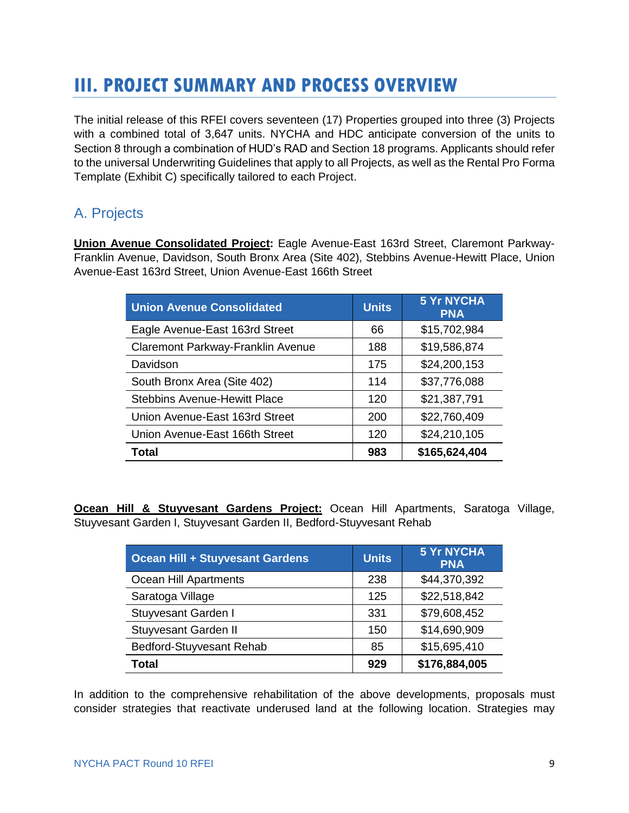# <span id="page-10-0"></span>**III. PROJECT SUMMARY AND PROCESS OVERVIEW**

The initial release of this RFEI covers seventeen (17) Properties grouped into three (3) Projects with a combined total of 3,647 units. NYCHA and HDC anticipate conversion of the units to Section 8 through a combination of HUD's RAD and Section 18 programs. Applicants should refer to the universal Underwriting Guidelines that apply to all Projects, as well as the Rental Pro Forma Template (Exhibit C) specifically tailored to each Project.

# <span id="page-10-1"></span>A. Projects

**Union Avenue Consolidated Project:** Eagle Avenue-East 163rd Street, Claremont Parkway-Franklin Avenue, Davidson, South Bronx Area (Site 402), Stebbins Avenue-Hewitt Place, Union Avenue-East 163rd Street, Union Avenue-East 166th Street

| <b>Union Avenue Consolidated</b>    | <b>Units</b> | <b>5 Yr NYCHA</b><br><b>PNA</b> |
|-------------------------------------|--------------|---------------------------------|
| Eagle Avenue-East 163rd Street      | 66           | \$15,702,984                    |
| Claremont Parkway-Franklin Avenue   | 188          | \$19,586,874                    |
| Davidson                            | 175          | \$24,200,153                    |
| South Bronx Area (Site 402)         | 114          | \$37,776,088                    |
| <b>Stebbins Avenue-Hewitt Place</b> | 120          | \$21,387,791                    |
| Union Avenue-East 163rd Street      | 200          | \$22,760,409                    |
| Union Avenue-East 166th Street      | 120          | \$24,210,105                    |
| <b>Total</b>                        | 983          | \$165,624,404                   |

**Ocean Hill & Stuyvesant Gardens Project:** Ocean Hill Apartments, Saratoga Village, Stuyvesant Garden I, Stuyvesant Garden II, Bedford-Stuyvesant Rehab

| <b>Ocean Hill + Stuyvesant Gardens</b> | <b>Units</b> | <b>5 Yr NYCHA</b><br><b>PNA</b> |
|----------------------------------------|--------------|---------------------------------|
| Ocean Hill Apartments                  | 238          | \$44,370,392                    |
| Saratoga Village                       | 125          | \$22,518,842                    |
| Stuyvesant Garden I                    | 331          | \$79,608,452                    |
| <b>Stuyvesant Garden II</b>            | 150          | \$14,690,909                    |
| Bedford-Stuyvesant Rehab               | 85           | \$15,695,410                    |
| Total                                  | 929          | \$176,884,005                   |

In addition to the comprehensive rehabilitation of the above developments, proposals must consider strategies that reactivate underused land at the following location. Strategies may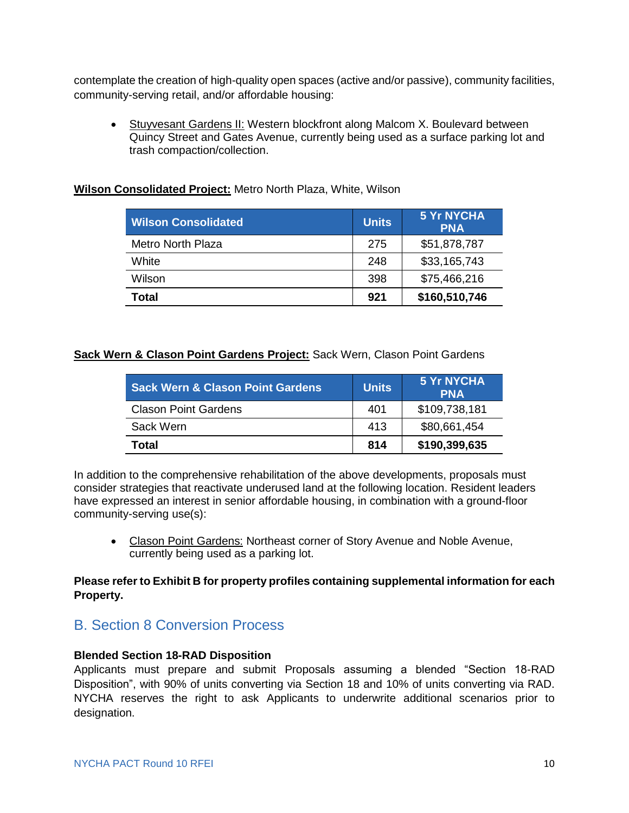contemplate the creation of high-quality open spaces (active and/or passive), community facilities, community-serving retail, and/or affordable housing:

• Stuyvesant Gardens II: Western blockfront along Malcom X. Boulevard between Quincy Street and Gates Avenue, currently being used as a surface parking lot and trash compaction/collection.

| <b>Wilson Consolidated</b> | <b>Units</b> | <b>5 Yr NYCHA</b><br><b>PNA</b> |
|----------------------------|--------------|---------------------------------|
| <b>Metro North Plaza</b>   | 275          | \$51,878,787                    |
| White                      | 248          | \$33,165,743                    |
| Wilson                     | 398          | \$75,466,216                    |
| Total                      | 921          | \$160,510,746                   |

#### **Wilson Consolidated Project:** Metro North Plaza, White, Wilson

#### **Sack Wern & Clason Point Gardens Project:** Sack Wern, Clason Point Gardens

| <b>Sack Wern &amp; Clason Point Gardens</b> | <b>Units</b> | <b>5 Yr NYCHA</b><br><b>PNA</b> |
|---------------------------------------------|--------------|---------------------------------|
| <b>Clason Point Gardens</b>                 | 401          | \$109,738,181                   |
| Sack Wern                                   | 413          | \$80,661,454                    |
| Total                                       | 814          | \$190,399,635                   |

In addition to the comprehensive rehabilitation of the above developments, proposals must consider strategies that reactivate underused land at the following location. Resident leaders have expressed an interest in senior affordable housing, in combination with a ground-floor community-serving use(s):

• Clason Point Gardens: Northeast corner of Story Avenue and Noble Avenue, currently being used as a parking lot.

#### **Please refer to Exhibit B for property profiles containing supplemental information for each Property.**

### <span id="page-11-0"></span>B. Section 8 Conversion Process

#### **Blended Section 18-RAD Disposition**

Applicants must prepare and submit Proposals assuming a blended "Section 18-RAD Disposition", with 90% of units converting via Section 18 and 10% of units converting via RAD. NYCHA reserves the right to ask Applicants to underwrite additional scenarios prior to designation.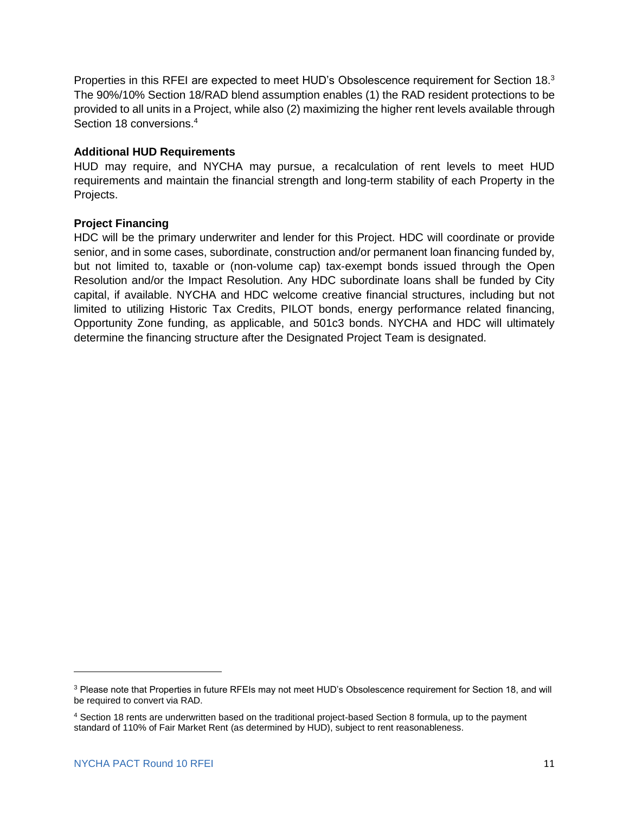Properties in this RFEI are expected to meet HUD's Obsolescence requirement for Section 18.<sup>3</sup> The 90%/10% Section 18/RAD blend assumption enables (1) the RAD resident protections to be provided to all units in a Project, while also (2) maximizing the higher rent levels available through Section 18 conversions. 4

#### **Additional HUD Requirements**

HUD may require, and NYCHA may pursue, a recalculation of rent levels to meet HUD requirements and maintain the financial strength and long-term stability of each Property in the Projects.

#### **Project Financing**

HDC will be the primary underwriter and lender for this Project. HDC will coordinate or provide senior, and in some cases, subordinate, construction and/or permanent loan financing funded by, but not limited to, taxable or (non-volume cap) tax-exempt bonds issued through the Open Resolution and/or the Impact Resolution. Any HDC subordinate loans shall be funded by City capital, if available. NYCHA and HDC welcome creative financial structures, including but not limited to utilizing Historic Tax Credits, PILOT bonds, energy performance related financing, Opportunity Zone funding, as applicable, and 501c3 bonds. NYCHA and HDC will ultimately determine the financing structure after the Designated Project Team is designated.

 $\overline{\phantom{a}}$ 

<sup>3</sup> Please note that Properties in future RFEIs may not meet HUD's Obsolescence requirement for Section 18, and will be required to convert via RAD.

<sup>4</sup> Section 18 rents are underwritten based on the traditional project-based Section 8 formula, up to the payment standard of 110% of Fair Market Rent (as determined by HUD), subject to rent reasonableness.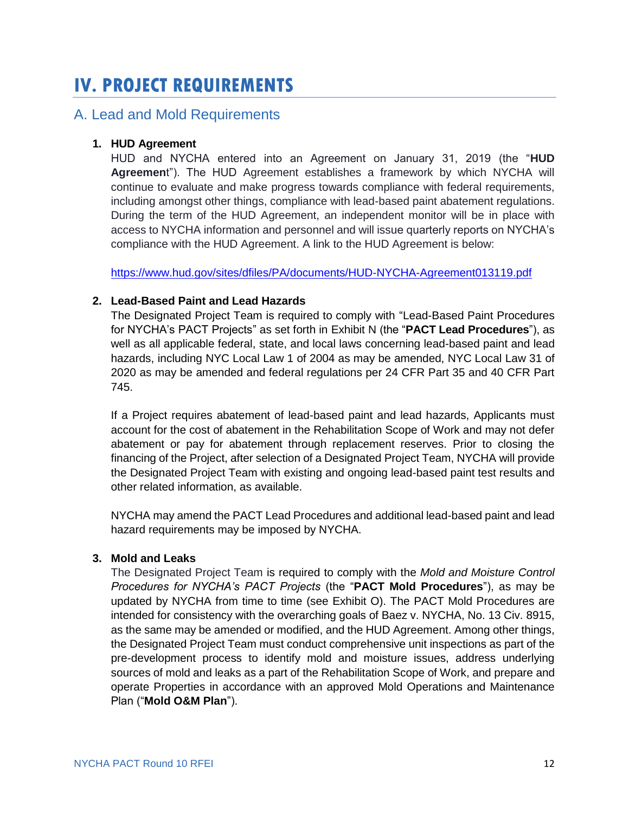# <span id="page-13-0"></span>**IV. PROJECT REQUIREMENTS**

### <span id="page-13-1"></span>A. Lead and Mold Requirements

#### **1. HUD Agreement**

HUD and NYCHA entered into an Agreement on January 31, 2019 (the "**HUD Agreemen**t"). The HUD Agreement establishes a framework by which NYCHA will continue to evaluate and make progress towards compliance with federal requirements, including amongst other things, compliance with lead-based paint abatement regulations. During the term of the HUD Agreement, an independent monitor will be in place with access to NYCHA information and personnel and will issue quarterly reports on NYCHA's compliance with the HUD Agreement. A link to the HUD Agreement is below:

<https://www.hud.gov/sites/dfiles/PA/documents/HUD-NYCHA-Agreement013119.pdf>

#### **2. Lead-Based Paint and Lead Hazards**

The Designated Project Team is required to comply with "Lead-Based Paint Procedures for NYCHA's PACT Projects" as set forth in Exhibit N (the "**PACT Lead Procedures**"), as well as all applicable federal, state, and local laws concerning lead-based paint and lead hazards, including NYC Local Law 1 of 2004 as may be amended, NYC Local Law 31 of 2020 as may be amended and federal regulations per 24 CFR Part 35 and 40 CFR Part 745.

If a Project requires abatement of lead-based paint and lead hazards, Applicants must account for the cost of abatement in the Rehabilitation Scope of Work and may not defer abatement or pay for abatement through replacement reserves. Prior to closing the financing of the Project, after selection of a Designated Project Team, NYCHA will provide the Designated Project Team with existing and ongoing lead-based paint test results and other related information, as available.

NYCHA may amend the PACT Lead Procedures and additional lead-based paint and lead hazard requirements may be imposed by NYCHA.

#### **3. Mold and Leaks**

The Designated Project Team is required to comply with the *Mold and Moisture Control Procedures for NYCHA's PACT Projects* (the "**PACT Mold Procedures**"), as may be updated by NYCHA from time to time (see Exhibit O). The PACT Mold Procedures are intended for consistency with the overarching goals of Baez v. NYCHA, No. 13 Civ. 8915, as the same may be amended or modified, and the HUD Agreement. Among other things, the Designated Project Team must conduct comprehensive unit inspections as part of the pre-development process to identify mold and moisture issues, address underlying sources of mold and leaks as a part of the Rehabilitation Scope of Work, and prepare and operate Properties in accordance with an approved Mold Operations and Maintenance Plan ("**Mold O&M Plan**").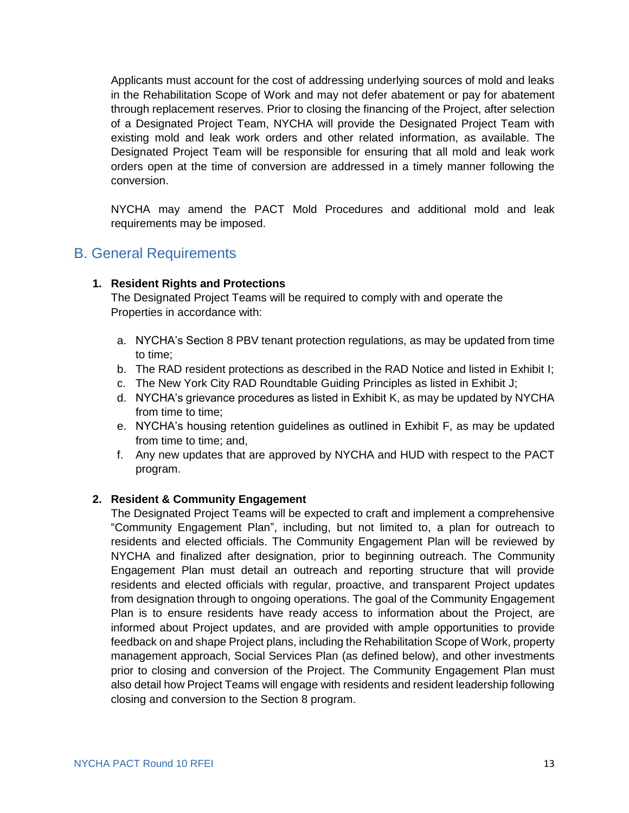Applicants must account for the cost of addressing underlying sources of mold and leaks in the Rehabilitation Scope of Work and may not defer abatement or pay for abatement through replacement reserves. Prior to closing the financing of the Project, after selection of a Designated Project Team, NYCHA will provide the Designated Project Team with existing mold and leak work orders and other related information, as available. The Designated Project Team will be responsible for ensuring that all mold and leak work orders open at the time of conversion are addressed in a timely manner following the conversion.

NYCHA may amend the PACT Mold Procedures and additional mold and leak requirements may be imposed.

### <span id="page-14-0"></span>B. General Requirements

#### **1. Resident Rights and Protections**

The Designated Project Teams will be required to comply with and operate the Properties in accordance with:

- a. NYCHA's Section 8 PBV tenant protection regulations, as may be updated from time to time;
- b. The RAD resident protections as described in the RAD Notice and listed in Exhibit I;
- c. The New York City RAD Roundtable Guiding Principles as listed in Exhibit J;
- d. NYCHA's grievance procedures as listed in Exhibit K, as may be updated by NYCHA from time to time;
- e. NYCHA's housing retention guidelines as outlined in Exhibit F, as may be updated from time to time; and,
- f. Any new updates that are approved by NYCHA and HUD with respect to the PACT program.

#### **2. Resident & Community Engagement**

The Designated Project Teams will be expected to craft and implement a comprehensive "Community Engagement Plan", including, but not limited to, a plan for outreach to residents and elected officials. The Community Engagement Plan will be reviewed by NYCHA and finalized after designation, prior to beginning outreach. The Community Engagement Plan must detail an outreach and reporting structure that will provide residents and elected officials with regular, proactive, and transparent Project updates from designation through to ongoing operations. The goal of the Community Engagement Plan is to ensure residents have ready access to information about the Project, are informed about Project updates, and are provided with ample opportunities to provide feedback on and shape Project plans, including the Rehabilitation Scope of Work, property management approach, Social Services Plan (as defined below), and other investments prior to closing and conversion of the Project. The Community Engagement Plan must also detail how Project Teams will engage with residents and resident leadership following closing and conversion to the Section 8 program.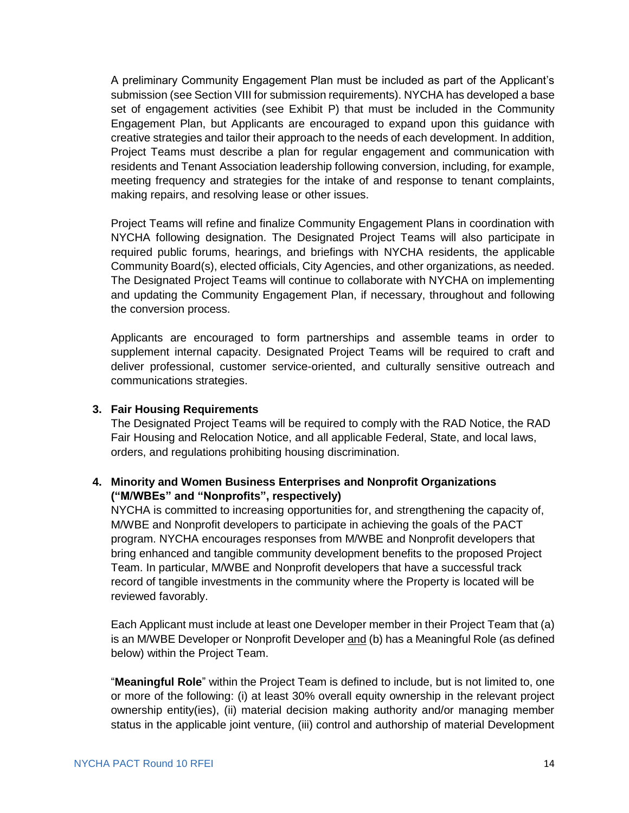A preliminary Community Engagement Plan must be included as part of the Applicant's submission (see Section VIII for submission requirements). NYCHA has developed a base set of engagement activities (see Exhibit P) that must be included in the Community Engagement Plan, but Applicants are encouraged to expand upon this guidance with creative strategies and tailor their approach to the needs of each development. In addition, Project Teams must describe a plan for regular engagement and communication with residents and Tenant Association leadership following conversion, including, for example, meeting frequency and strategies for the intake of and response to tenant complaints, making repairs, and resolving lease or other issues.

Project Teams will refine and finalize Community Engagement Plans in coordination with NYCHA following designation. The Designated Project Teams will also participate in required public forums, hearings, and briefings with NYCHA residents, the applicable Community Board(s), elected officials, City Agencies, and other organizations, as needed. The Designated Project Teams will continue to collaborate with NYCHA on implementing and updating the Community Engagement Plan, if necessary, throughout and following the conversion process.

Applicants are encouraged to form partnerships and assemble teams in order to supplement internal capacity. Designated Project Teams will be required to craft and deliver professional, customer service-oriented, and culturally sensitive outreach and communications strategies.

#### **3. Fair Housing Requirements**

The Designated Project Teams will be required to comply with the RAD Notice, the RAD Fair Housing and Relocation Notice, and all applicable Federal, State, and local laws, orders, and regulations prohibiting housing discrimination.

#### **4. Minority and Women Business Enterprises and Nonprofit Organizations ("M/WBEs" and "Nonprofits", respectively)**

NYCHA is committed to increasing opportunities for, and strengthening the capacity of, M/WBE and Nonprofit developers to participate in achieving the goals of the PACT program. NYCHA encourages responses from M/WBE and Nonprofit developers that bring enhanced and tangible community development benefits to the proposed Project Team. In particular, M/WBE and Nonprofit developers that have a successful track record of tangible investments in the community where the Property is located will be reviewed favorably.

Each Applicant must include at least one Developer member in their Project Team that (a) is an M/WBE Developer or Nonprofit Developer and (b) has a Meaningful Role (as defined below) within the Project Team.

"**Meaningful Role**" within the Project Team is defined to include, but is not limited to, one or more of the following: (i) at least 30% overall equity ownership in the relevant project ownership entity(ies), (ii) material decision making authority and/or managing member status in the applicable joint venture, (iii) control and authorship of material Development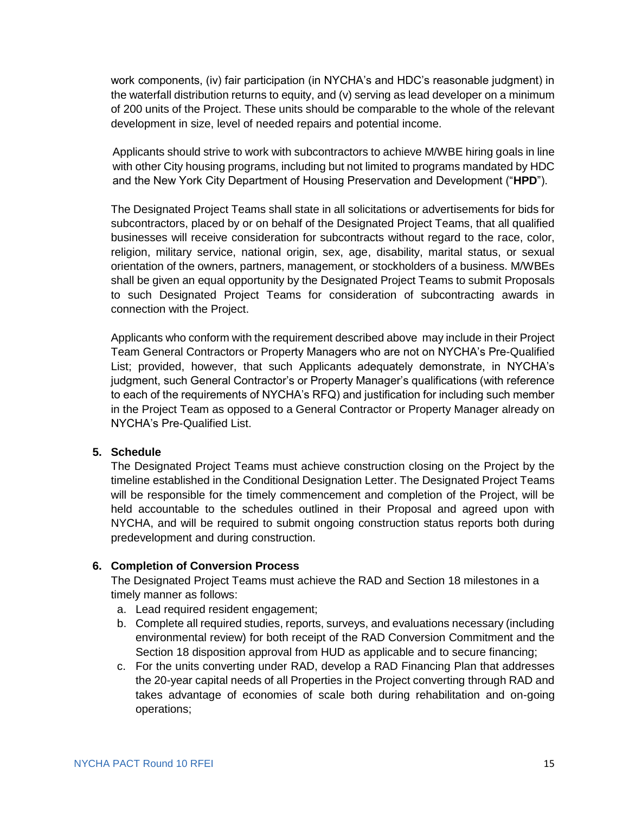work components, (iv) fair participation (in NYCHA's and HDC's reasonable judgment) in the waterfall distribution returns to equity, and (v) serving as lead developer on a minimum of 200 units of the Project. These units should be comparable to the whole of the relevant development in size, level of needed repairs and potential income.

Applicants should strive to work with subcontractors to achieve M/WBE hiring goals in line with other City housing programs, including but not limited to programs mandated by HDC and the New York City Department of Housing Preservation and Development ("**HPD**").

The Designated Project Teams shall state in all solicitations or advertisements for bids for subcontractors, placed by or on behalf of the Designated Project Teams, that all qualified businesses will receive consideration for subcontracts without regard to the race, color, religion, military service, national origin, sex, age, disability, marital status, or sexual orientation of the owners, partners, management, or stockholders of a business. M/WBEs shall be given an equal opportunity by the Designated Project Teams to submit Proposals to such Designated Project Teams for consideration of subcontracting awards in connection with the Project.

Applicants who conform with the requirement described above may include in their Project Team General Contractors or Property Managers who are not on NYCHA's Pre-Qualified List; provided, however, that such Applicants adequately demonstrate, in NYCHA's judgment, such General Contractor's or Property Manager's qualifications (with reference to each of the requirements of NYCHA's RFQ) and justification for including such member in the Project Team as opposed to a General Contractor or Property Manager already on NYCHA's Pre-Qualified List.

#### **5. Schedule**

The Designated Project Teams must achieve construction closing on the Project by the timeline established in the Conditional Designation Letter. The Designated Project Teams will be responsible for the timely commencement and completion of the Project, will be held accountable to the schedules outlined in their Proposal and agreed upon with NYCHA, and will be required to submit ongoing construction status reports both during predevelopment and during construction.

#### **6. Completion of Conversion Process**

The Designated Project Teams must achieve the RAD and Section 18 milestones in a timely manner as follows:

- a. Lead required resident engagement;
- b. Complete all required studies, reports, surveys, and evaluations necessary (including environmental review) for both receipt of the RAD Conversion Commitment and the Section 18 disposition approval from HUD as applicable and to secure financing;
- c. For the units converting under RAD, develop a RAD Financing Plan that addresses the 20-year capital needs of all Properties in the Project converting through RAD and takes advantage of economies of scale both during rehabilitation and on-going operations;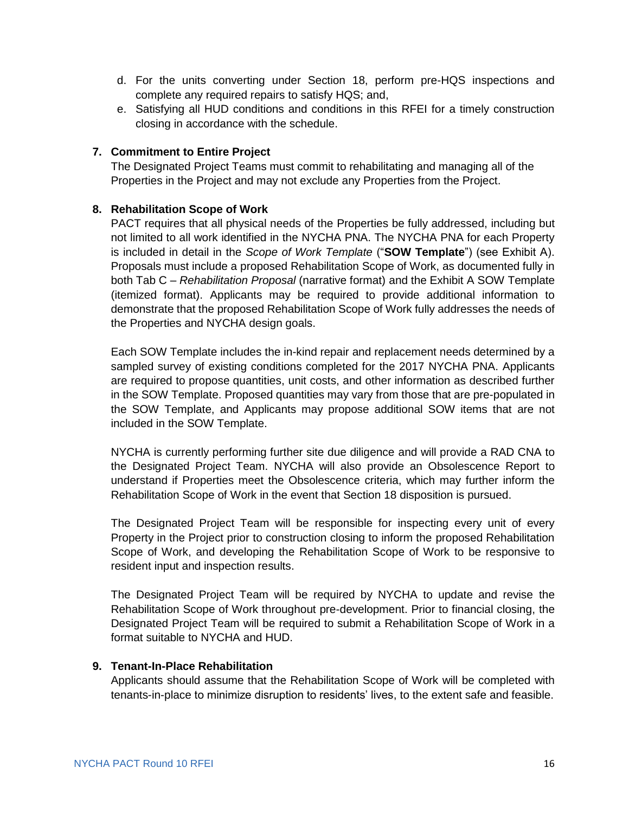- d. For the units converting under Section 18, perform pre-HQS inspections and complete any required repairs to satisfy HQS; and,
- e. Satisfying all HUD conditions and conditions in this RFEI for a timely construction closing in accordance with the schedule.

#### **7. Commitment to Entire Project**

The Designated Project Teams must commit to rehabilitating and managing all of the Properties in the Project and may not exclude any Properties from the Project.

#### **8. Rehabilitation Scope of Work**

PACT requires that all physical needs of the Properties be fully addressed, including but not limited to all work identified in the NYCHA PNA. The NYCHA PNA for each Property is included in detail in the *Scope of Work Template* ("**SOW Template**") (see Exhibit A). Proposals must include a proposed Rehabilitation Scope of Work, as documented fully in both Tab C – *Rehabilitation Proposal* (narrative format) and the Exhibit A SOW Template (itemized format). Applicants may be required to provide additional information to demonstrate that the proposed Rehabilitation Scope of Work fully addresses the needs of the Properties and NYCHA design goals.

Each SOW Template includes the in-kind repair and replacement needs determined by a sampled survey of existing conditions completed for the 2017 NYCHA PNA. Applicants are required to propose quantities, unit costs, and other information as described further in the SOW Template. Proposed quantities may vary from those that are pre-populated in the SOW Template, and Applicants may propose additional SOW items that are not included in the SOW Template.

NYCHA is currently performing further site due diligence and will provide a RAD CNA to the Designated Project Team. NYCHA will also provide an Obsolescence Report to understand if Properties meet the Obsolescence criteria, which may further inform the Rehabilitation Scope of Work in the event that Section 18 disposition is pursued.

The Designated Project Team will be responsible for inspecting every unit of every Property in the Project prior to construction closing to inform the proposed Rehabilitation Scope of Work, and developing the Rehabilitation Scope of Work to be responsive to resident input and inspection results.

The Designated Project Team will be required by NYCHA to update and revise the Rehabilitation Scope of Work throughout pre-development. Prior to financial closing, the Designated Project Team will be required to submit a Rehabilitation Scope of Work in a format suitable to NYCHA and HUD.

#### **9. Tenant-In-Place Rehabilitation**

Applicants should assume that the Rehabilitation Scope of Work will be completed with tenants-in-place to minimize disruption to residents' lives, to the extent safe and feasible.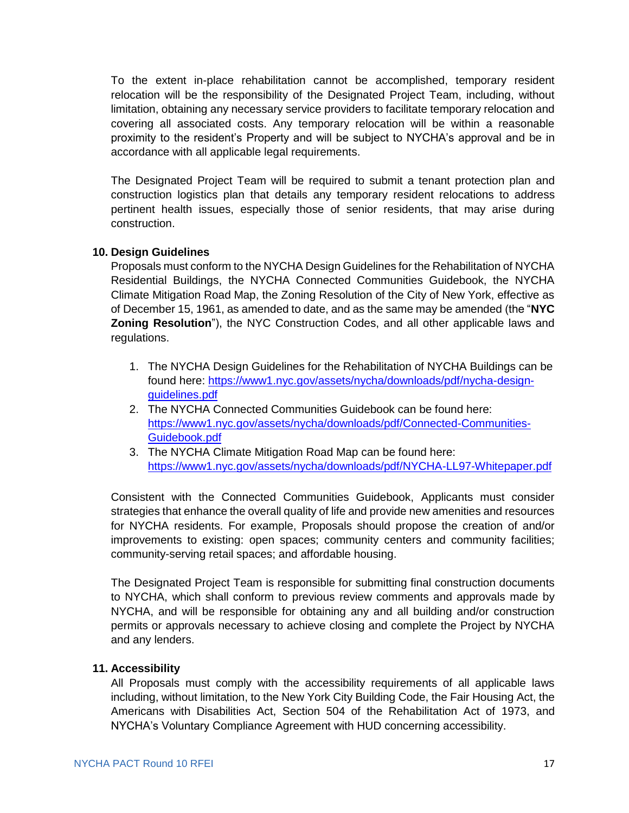To the extent in-place rehabilitation cannot be accomplished, temporary resident relocation will be the responsibility of the Designated Project Team, including, without limitation, obtaining any necessary service providers to facilitate temporary relocation and covering all associated costs. Any temporary relocation will be within a reasonable proximity to the resident's Property and will be subject to NYCHA's approval and be in accordance with all applicable legal requirements.

The Designated Project Team will be required to submit a tenant protection plan and construction logistics plan that details any temporary resident relocations to address pertinent health issues, especially those of senior residents, that may arise during construction.

#### **10. Design Guidelines**

Proposals must conform to the NYCHA Design Guidelines for the Rehabilitation of NYCHA Residential Buildings, the NYCHA Connected Communities Guidebook, the NYCHA Climate Mitigation Road Map, the Zoning Resolution of the City of New York, effective as of December 15, 1961, as amended to date, and as the same may be amended (the "**NYC Zoning Resolution**"), the NYC Construction Codes, and all other applicable laws and regulations.

- 1. The NYCHA Design Guidelines for the Rehabilitation of NYCHA Buildings can be found here: [https://www1.nyc.gov/assets/nycha/downloads/pdf/nycha-design](https://www1.nyc.gov/assets/nycha/downloads/pdf/nycha-design-guidelines.pdf)[guidelines.pdf](https://www1.nyc.gov/assets/nycha/downloads/pdf/nycha-design-guidelines.pdf)
- 2. The NYCHA Connected Communities Guidebook can be found here: [https://www1.nyc.gov/assets/nycha/downloads/pdf/Connected-Communities-](https://www1.nyc.gov/assets/nycha/downloads/pdf/Connected-Communities-Guidebook.pdf)[Guidebook.pdf](https://www1.nyc.gov/assets/nycha/downloads/pdf/Connected-Communities-Guidebook.pdf)
- 3. The NYCHA Climate Mitigation Road Map can be found here: <https://www1.nyc.gov/assets/nycha/downloads/pdf/NYCHA-LL97-Whitepaper.pdf>

Consistent with the Connected Communities Guidebook, Applicants must consider strategies that enhance the overall quality of life and provide new amenities and resources for NYCHA residents. For example, Proposals should propose the creation of and/or improvements to existing: open spaces; community centers and community facilities; community-serving retail spaces; and affordable housing.

The Designated Project Team is responsible for submitting final construction documents to NYCHA, which shall conform to previous review comments and approvals made by NYCHA, and will be responsible for obtaining any and all building and/or construction permits or approvals necessary to achieve closing and complete the Project by NYCHA and any lenders.

#### **11. Accessibility**

All Proposals must comply with the accessibility requirements of all applicable laws including, without limitation, to the New York City Building Code, the Fair Housing Act, the Americans with Disabilities Act, Section 504 of the Rehabilitation Act of 1973, and NYCHA's Voluntary Compliance Agreement with HUD concerning accessibility.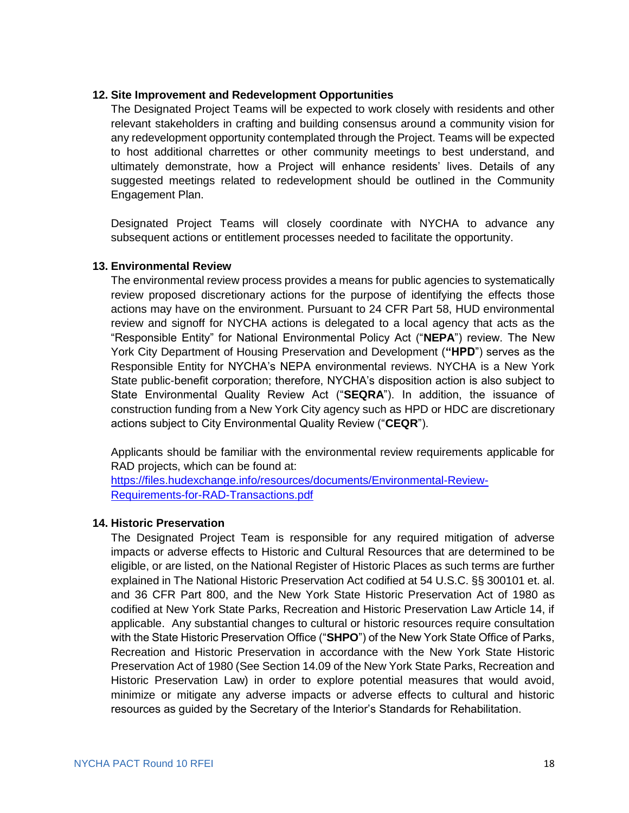#### **12. Site Improvement and Redevelopment Opportunities**

The Designated Project Teams will be expected to work closely with residents and other relevant stakeholders in crafting and building consensus around a community vision for any redevelopment opportunity contemplated through the Project. Teams will be expected to host additional charrettes or other community meetings to best understand, and ultimately demonstrate, how a Project will enhance residents' lives. Details of any suggested meetings related to redevelopment should be outlined in the Community Engagement Plan.

Designated Project Teams will closely coordinate with NYCHA to advance any subsequent actions or entitlement processes needed to facilitate the opportunity.

#### **13. Environmental Review**

The environmental review process provides a means for public agencies to systematically review proposed discretionary actions for the purpose of identifying the effects those actions may have on the environment. Pursuant to 24 CFR Part 58, HUD environmental review and signoff for NYCHA actions is delegated to a local agency that acts as the "Responsible Entity" for National Environmental Policy Act ("**NEPA**") review. The New York City Department of Housing Preservation and Development (**"HPD**") serves as the Responsible Entity for NYCHA's NEPA environmental reviews. NYCHA is a New York State public-benefit corporation; therefore, NYCHA's disposition action is also subject to State Environmental Quality Review Act ("**SEQRA**"). In addition, the issuance of construction funding from a New York City agency such as HPD or HDC are discretionary actions subject to City Environmental Quality Review ("**CEQR**").

Applicants should be familiar with the environmental review requirements applicable for RAD projects, which can be found at:

[https://files.hudexchange.info/resources/documents/Environmental-Review-](https://files.hudexchange.info/resources/documents/Environmental-Review-Requirements-for-RAD-Transactions.pdf)[Requirements-for-RAD-Transactions.pdf](https://files.hudexchange.info/resources/documents/Environmental-Review-Requirements-for-RAD-Transactions.pdf)

#### **14. Historic Preservation**

The Designated Project Team is responsible for any required mitigation of adverse impacts or adverse effects to Historic and Cultural Resources that are determined to be eligible, or are listed, on the National Register of Historic Places as such terms are further explained in The National Historic Preservation Act codified at 54 U.S.C. §§ 300101 et. al. and 36 CFR Part 800, and the New York State Historic Preservation Act of 1980 as codified at New York State Parks, Recreation and Historic Preservation Law Article 14, if applicable. Any substantial changes to cultural or historic resources require consultation with the State Historic Preservation Office ("**SHPO**") of the New York State Office of Parks, Recreation and Historic Preservation in accordance with the New York State Historic Preservation Act of 1980 (See Section 14.09 of the New York State Parks, Recreation and Historic Preservation Law) in order to explore potential measures that would avoid, minimize or mitigate any adverse impacts or adverse effects to cultural and historic resources as guided by the Secretary of the Interior's Standards for Rehabilitation.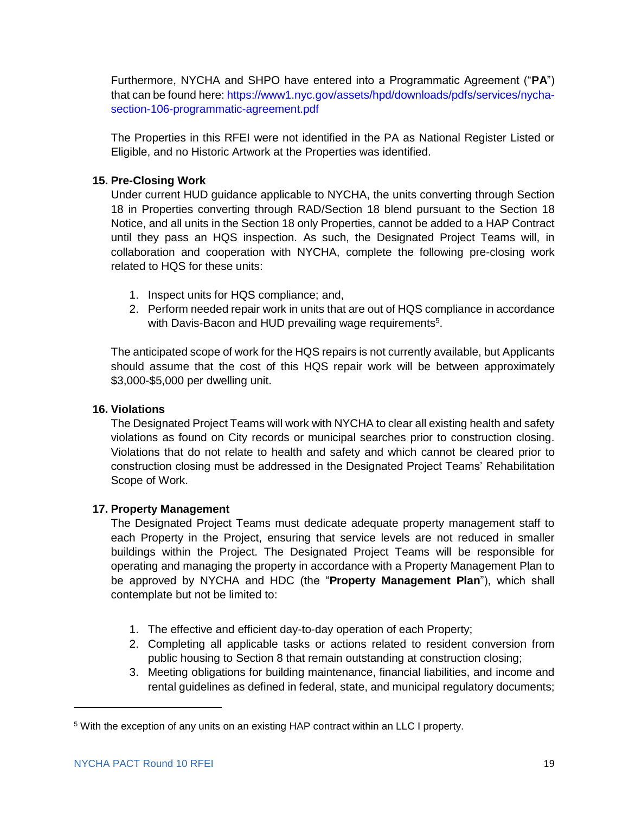Furthermore, NYCHA and SHPO have entered into a Programmatic Agreement ("**PA**") that can be found here: [https://www1.nyc.gov/assets/hpd/downloads/pdfs/services/nycha](https://www1.nyc.gov/assets/hpd/downloads/pdfs/services/nycha-section-106-programmatic-agreement.pdf)[section-106-programmatic-agreement.pdf](https://www1.nyc.gov/assets/hpd/downloads/pdfs/services/nycha-section-106-programmatic-agreement.pdf)

The Properties in this RFEI were not identified in the PA as National Register Listed or Eligible, and no Historic Artwork at the Properties was identified.

#### **15. Pre-Closing Work**

Under current HUD guidance applicable to NYCHA, the units converting through Section 18 in Properties converting through RAD/Section 18 blend pursuant to the Section 18 Notice, and all units in the Section 18 only Properties, cannot be added to a HAP Contract until they pass an HQS inspection. As such, the Designated Project Teams will, in collaboration and cooperation with NYCHA, complete the following pre-closing work related to HQS for these units:

- 1. Inspect units for HQS compliance; and,
- 2. Perform needed repair work in units that are out of HQS compliance in accordance with Davis-Bacon and HUD prevailing wage requirements<sup>5</sup>.

The anticipated scope of work for the HQS repairs is not currently available, but Applicants should assume that the cost of this HQS repair work will be between approximately \$3,000-\$5,000 per dwelling unit.

#### **16. Violations**

The Designated Project Teams will work with NYCHA to clear all existing health and safety violations as found on City records or municipal searches prior to construction closing. Violations that do not relate to health and safety and which cannot be cleared prior to construction closing must be addressed in the Designated Project Teams' Rehabilitation Scope of Work.

#### **17. Property Management**

The Designated Project Teams must dedicate adequate property management staff to each Property in the Project, ensuring that service levels are not reduced in smaller buildings within the Project. The Designated Project Teams will be responsible for operating and managing the property in accordance with a Property Management Plan to be approved by NYCHA and HDC (the "**Property Management Plan**"), which shall contemplate but not be limited to:

- 1. The effective and efficient day-to-day operation of each Property;
- 2. Completing all applicable tasks or actions related to resident conversion from public housing to Section 8 that remain outstanding at construction closing;
- 3. Meeting obligations for building maintenance, financial liabilities, and income and rental guidelines as defined in federal, state, and municipal regulatory documents;

 $\overline{a}$ 

<sup>5</sup> With the exception of any units on an existing HAP contract within an LLC I property.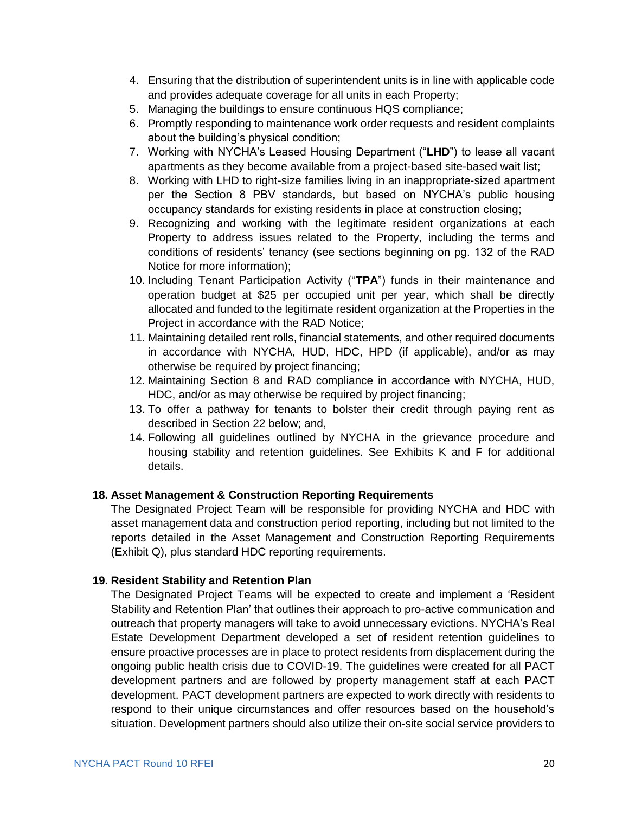- 4. Ensuring that the distribution of superintendent units is in line with applicable code and provides adequate coverage for all units in each Property;
- 5. Managing the buildings to ensure continuous HQS compliance;
- 6. Promptly responding to maintenance work order requests and resident complaints about the building's physical condition;
- 7. Working with NYCHA's Leased Housing Department ("**LHD**") to lease all vacant apartments as they become available from a project-based site-based wait list;
- 8. Working with LHD to right-size families living in an inappropriate-sized apartment per the Section 8 PBV standards, but based on NYCHA's public housing occupancy standards for existing residents in place at construction closing;
- 9. Recognizing and working with the legitimate resident organizations at each Property to address issues related to the Property, including the terms and conditions of residents' tenancy (see sections beginning on pg. 132 of the RAD Notice for more information);
- 10. Including Tenant Participation Activity ("**TPA**") funds in their maintenance and operation budget at \$25 per occupied unit per year, which shall be directly allocated and funded to the legitimate resident organization at the Properties in the Project in accordance with the RAD Notice;
- 11. Maintaining detailed rent rolls, financial statements, and other required documents in accordance with NYCHA, HUD, HDC, HPD (if applicable), and/or as may otherwise be required by project financing;
- 12. Maintaining Section 8 and RAD compliance in accordance with NYCHA, HUD, HDC, and/or as may otherwise be required by project financing;
- 13. To offer a pathway for tenants to bolster their credit through paying rent as described in Section 22 below; and,
- 14. Following all guidelines outlined by NYCHA in the grievance procedure and housing stability and retention guidelines. See Exhibits K and F for additional details.

#### **18. Asset Management & Construction Reporting Requirements**

The Designated Project Team will be responsible for providing NYCHA and HDC with asset management data and construction period reporting, including but not limited to the reports detailed in the Asset Management and Construction Reporting Requirements (Exhibit Q), plus standard HDC reporting requirements.

#### **19. Resident Stability and Retention Plan**

The Designated Project Teams will be expected to create and implement a 'Resident Stability and Retention Plan' that outlines their approach to pro-active communication and outreach that property managers will take to avoid unnecessary evictions. NYCHA's Real Estate Development Department developed a set of resident retention guidelines to ensure proactive processes are in place to protect residents from displacement during the ongoing public health crisis due to COVID-19. The guidelines were created for all PACT development partners and are followed by property management staff at each PACT development. PACT development partners are expected to work directly with residents to respond to their unique circumstances and offer resources based on the household's situation. Development partners should also utilize their on-site social service providers to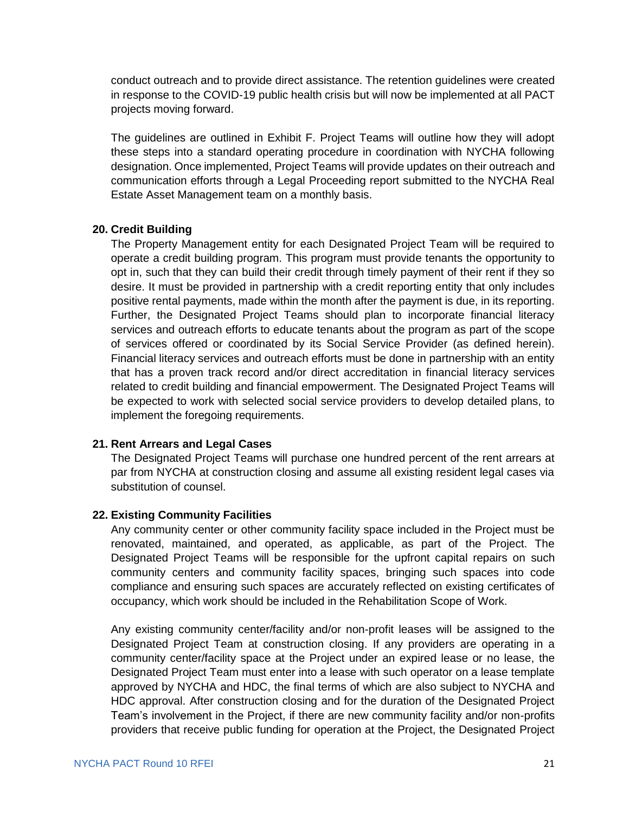conduct outreach and to provide direct assistance. The retention guidelines were created in response to the COVID-19 public health crisis but will now be implemented at all PACT projects moving forward.

The guidelines are outlined in Exhibit F. Project Teams will outline how they will adopt these steps into a standard operating procedure in coordination with NYCHA following designation. Once implemented, Project Teams will provide updates on their outreach and communication efforts through a Legal Proceeding report submitted to the NYCHA Real Estate Asset Management team on a monthly basis.

#### **20. Credit Building**

The Property Management entity for each Designated Project Team will be required to operate a credit building program. This program must provide tenants the opportunity to opt in, such that they can build their credit through timely payment of their rent if they so desire. It must be provided in partnership with a credit reporting entity that only includes positive rental payments, made within the month after the payment is due, in its reporting. Further, the Designated Project Teams should plan to incorporate financial literacy services and outreach efforts to educate tenants about the program as part of the scope of services offered or coordinated by its Social Service Provider (as defined herein). Financial literacy services and outreach efforts must be done in partnership with an entity that has a proven track record and/or direct accreditation in financial literacy services related to credit building and financial empowerment. The Designated Project Teams will be expected to work with selected social service providers to develop detailed plans, to implement the foregoing requirements.

#### **21. Rent Arrears and Legal Cases**

The Designated Project Teams will purchase one hundred percent of the rent arrears at par from NYCHA at construction closing and assume all existing resident legal cases via substitution of counsel.

#### **22. Existing Community Facilities**

Any community center or other community facility space included in the Project must be renovated, maintained, and operated, as applicable, as part of the Project. The Designated Project Teams will be responsible for the upfront capital repairs on such community centers and community facility spaces, bringing such spaces into code compliance and ensuring such spaces are accurately reflected on existing certificates of occupancy, which work should be included in the Rehabilitation Scope of Work.

Any existing community center/facility and/or non-profit leases will be assigned to the Designated Project Team at construction closing. If any providers are operating in a community center/facility space at the Project under an expired lease or no lease, the Designated Project Team must enter into a lease with such operator on a lease template approved by NYCHA and HDC, the final terms of which are also subject to NYCHA and HDC approval. After construction closing and for the duration of the Designated Project Team's involvement in the Project, if there are new community facility and/or non-profits providers that receive public funding for operation at the Project, the Designated Project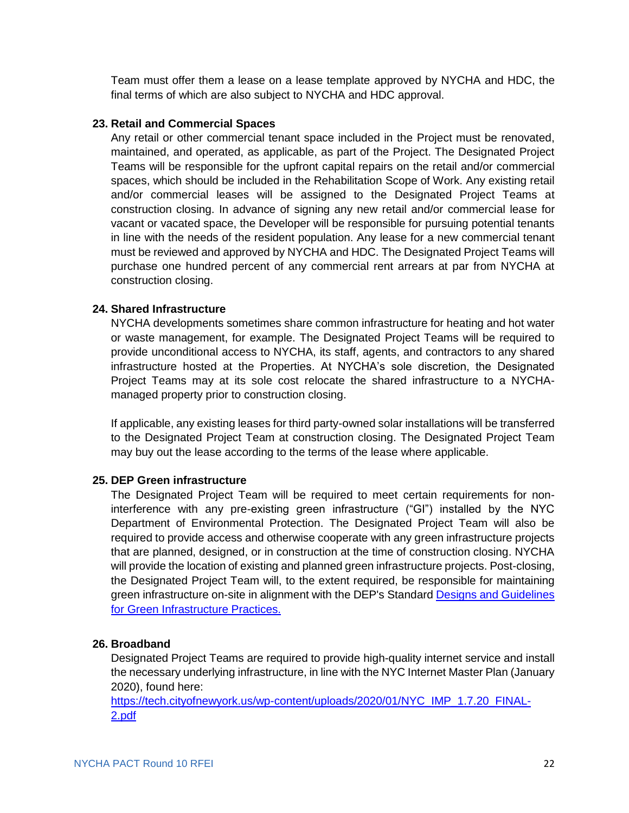Team must offer them a lease on a lease template approved by NYCHA and HDC, the final terms of which are also subject to NYCHA and HDC approval.

#### **23. Retail and Commercial Spaces**

Any retail or other commercial tenant space included in the Project must be renovated, maintained, and operated, as applicable, as part of the Project. The Designated Project Teams will be responsible for the upfront capital repairs on the retail and/or commercial spaces, which should be included in the Rehabilitation Scope of Work. Any existing retail and/or commercial leases will be assigned to the Designated Project Teams at construction closing. In advance of signing any new retail and/or commercial lease for vacant or vacated space, the Developer will be responsible for pursuing potential tenants in line with the needs of the resident population. Any lease for a new commercial tenant must be reviewed and approved by NYCHA and HDC. The Designated Project Teams will purchase one hundred percent of any commercial rent arrears at par from NYCHA at construction closing.

#### **24. Shared Infrastructure**

NYCHA developments sometimes share common infrastructure for heating and hot water or waste management, for example. The Designated Project Teams will be required to provide unconditional access to NYCHA, its staff, agents, and contractors to any shared infrastructure hosted at the Properties. At NYCHA's sole discretion, the Designated Project Teams may at its sole cost relocate the shared infrastructure to a NYCHAmanaged property prior to construction closing.

If applicable, any existing leases for third party-owned solar installations will be transferred to the Designated Project Team at construction closing. The Designated Project Team may buy out the lease according to the terms of the lease where applicable.

#### **25. DEP Green infrastructure**

The Designated Project Team will be required to meet certain requirements for noninterference with any pre-existing green infrastructure ("GI") installed by the NYC Department of Environmental Protection. The Designated Project Team will also be required to provide access and otherwise cooperate with any green infrastructure projects that are planned, designed, or in construction at the time of construction closing. NYCHA will provide the location of existing and planned green infrastructure projects. Post-closing, the Designated Project Team will, to the extent required, be responsible for maintaining green infrastructure on-site in alignment with the DEP's Standard [Designs and Guidelines](https://www1.nyc.gov/assets/dep/downloads/pdf/water/stormwater/green-infrastructure/green-infrastructure-standard-designs.pdf)  [for Green Infrastructure Practices.](https://www1.nyc.gov/assets/dep/downloads/pdf/water/stormwater/green-infrastructure/green-infrastructure-standard-designs.pdf)

#### **26. Broadband**

Designated Project Teams are required to provide high-quality internet service and install the necessary underlying infrastructure, in line with the NYC Internet Master Plan (January 2020), found here:

[https://tech.cityofnewyork.us/wp-content/uploads/2020/01/NYC\\_IMP\\_1.7.20\\_FINAL-](https://tech.cityofnewyork.us/wp-content/uploads/2020/01/NYC_IMP_1.7.20_FINAL-2.pdf)[2.pdf](https://tech.cityofnewyork.us/wp-content/uploads/2020/01/NYC_IMP_1.7.20_FINAL-2.pdf)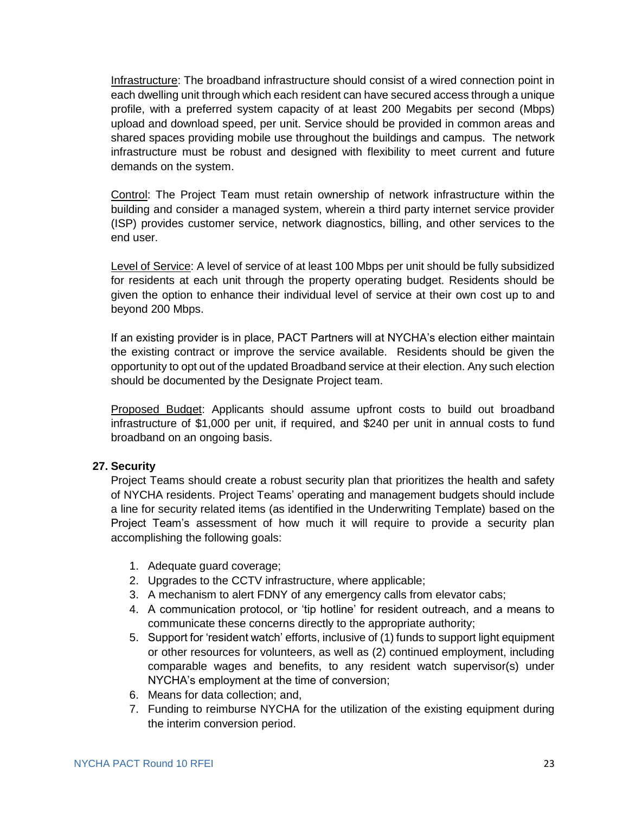Infrastructure: The broadband infrastructure should consist of a wired connection point in each dwelling unit through which each resident can have secured access through a unique profile, with a preferred system capacity of at least 200 Megabits per second (Mbps) upload and download speed, per unit. Service should be provided in common areas and shared spaces providing mobile use throughout the buildings and campus. The network infrastructure must be robust and designed with flexibility to meet current and future demands on the system.

Control: The Project Team must retain ownership of network infrastructure within the building and consider a managed system, wherein a third party internet service provider (ISP) provides customer service, network diagnostics, billing, and other services to the end user.

Level of Service: A level of service of at least 100 Mbps per unit should be fully subsidized for residents at each unit through the property operating budget. Residents should be given the option to enhance their individual level of service at their own cost up to and beyond 200 Mbps.

If an existing provider is in place, PACT Partners will at NYCHA's election either maintain the existing contract or improve the service available. Residents should be given the opportunity to opt out of the updated Broadband service at their election. Any such election should be documented by the Designate Project team.

Proposed Budget: Applicants should assume upfront costs to build out broadband infrastructure of \$1,000 per unit, if required, and \$240 per unit in annual costs to fund broadband on an ongoing basis.

#### **27. Security**

Project Teams should create a robust security plan that prioritizes the health and safety of NYCHA residents. Project Teams' operating and management budgets should include a line for security related items (as identified in the Underwriting Template) based on the Project Team's assessment of how much it will require to provide a security plan accomplishing the following goals:

- 1. Adequate guard coverage;
- 2. Upgrades to the CCTV infrastructure, where applicable;
- 3. A mechanism to alert FDNY of any emergency calls from elevator cabs;
- 4. A communication protocol, or 'tip hotline' for resident outreach, and a means to communicate these concerns directly to the appropriate authority;
- 5. Support for 'resident watch' efforts, inclusive of (1) funds to support light equipment or other resources for volunteers, as well as (2) continued employment, including comparable wages and benefits, to any resident watch supervisor(s) under NYCHA's employment at the time of conversion;
- 6. Means for data collection; and,
- 7. Funding to reimburse NYCHA for the utilization of the existing equipment during the interim conversion period.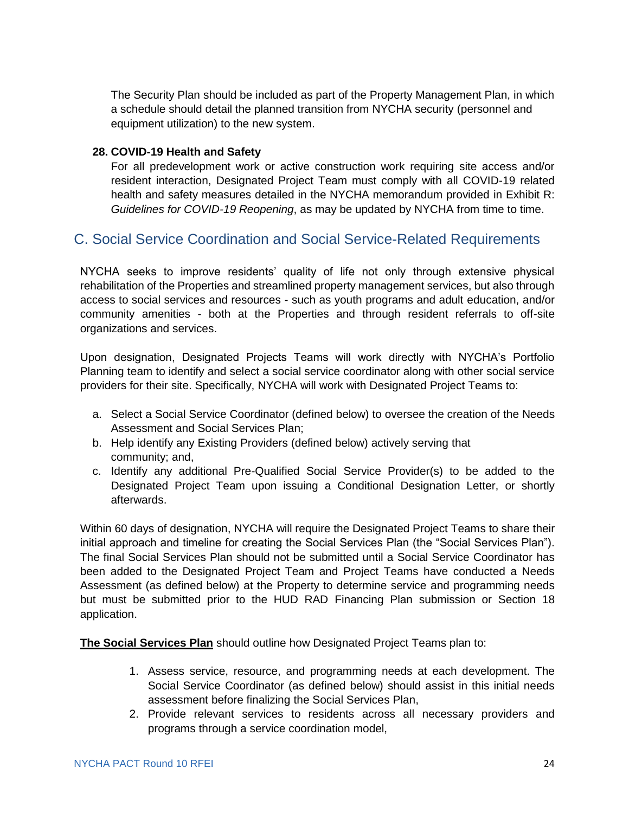The Security Plan should be included as part of the Property Management Plan, in which a schedule should detail the planned transition from NYCHA security (personnel and equipment utilization) to the new system.

#### **28. COVID-19 Health and Safety**

For all predevelopment work or active construction work requiring site access and/or resident interaction, Designated Project Team must comply with all COVID-19 related health and safety measures detailed in the NYCHA memorandum provided in Exhibit R: *Guidelines for COVID-19 Reopening*, as may be updated by NYCHA from time to time.

### C. Social Service Coordination and Social Service-Related Requirements

NYCHA seeks to improve residents' quality of life not only through extensive physical rehabilitation of the Properties and streamlined property management services, but also through access to social services and resources - such as youth programs and adult education, and/or community amenities - both at the Properties and through resident referrals to off-site organizations and services.

Upon designation, Designated Projects Teams will work directly with NYCHA's Portfolio Planning team to identify and select a social service coordinator along with other social service providers for their site. Specifically, NYCHA will work with Designated Project Teams to:

- a. Select a Social Service Coordinator (defined below) to oversee the creation of the Needs Assessment and Social Services Plan;
- b. Help identify any Existing Providers (defined below) actively serving that community; and,
- c. Identify any additional Pre-Qualified Social Service Provider(s) to be added to the Designated Project Team upon issuing a Conditional Designation Letter, or shortly afterwards.

Within 60 days of designation, NYCHA will require the Designated Project Teams to share their initial approach and timeline for creating the Social Services Plan (the "Social Services Plan"). The final Social Services Plan should not be submitted until a Social Service Coordinator has been added to the Designated Project Team and Project Teams have conducted a Needs Assessment (as defined below) at the Property to determine service and programming needs but must be submitted prior to the HUD RAD Financing Plan submission or Section 18 application.

**The Social Services Plan** should outline how Designated Project Teams plan to:

- 1. Assess service, resource, and programming needs at each development. The Social Service Coordinator (as defined below) should assist in this initial needs assessment before finalizing the Social Services Plan,
- 2. Provide relevant services to residents across all necessary providers and programs through a service coordination model,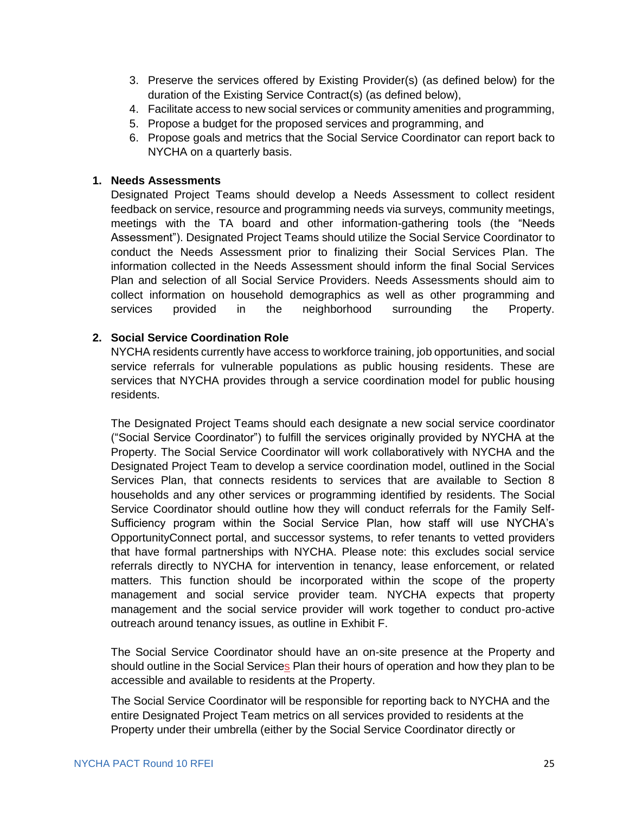- 3. Preserve the services offered by Existing Provider(s) (as defined below) for the duration of the Existing Service Contract(s) (as defined below),
- 4. Facilitate access to new social services or community amenities and programming,
- 5. Propose a budget for the proposed services and programming, and
- 6. Propose goals and metrics that the Social Service Coordinator can report back to NYCHA on a quarterly basis.

#### **1. Needs Assessments**

Designated Project Teams should develop a Needs Assessment to collect resident feedback on service, resource and programming needs via surveys, community meetings, meetings with the TA board and other information-gathering tools (the "Needs Assessment"). Designated Project Teams should utilize the Social Service Coordinator to conduct the Needs Assessment prior to finalizing their Social Services Plan. The information collected in the Needs Assessment should inform the final Social Services Plan and selection of all Social Service Providers. Needs Assessments should aim to collect information on household demographics as well as other programming and services provided in the neighborhood surrounding the Property.

#### **2. Social Service Coordination Role**

NYCHA residents currently have access to workforce training, job opportunities, and social service referrals for vulnerable populations as public housing residents. These are services that NYCHA provides through a service coordination model for public housing residents.

The Designated Project Teams should each designate a new social service coordinator ("Social Service Coordinator") to fulfill the services originally provided by NYCHA at the Property. The Social Service Coordinator will work collaboratively with NYCHA and the Designated Project Team to develop a service coordination model, outlined in the Social Services Plan, that connects residents to services that are available to Section 8 households and any other services or programming identified by residents. The Social Service Coordinator should outline how they will conduct referrals for the Family Self-Sufficiency program within the Social Service Plan, how staff will use NYCHA's OpportunityConnect portal, and successor systems, to refer tenants to vetted providers that have formal partnerships with NYCHA. Please note: this excludes social service referrals directly to NYCHA for intervention in tenancy, lease enforcement, or related matters. This function should be incorporated within the scope of the property management and social service provider team. NYCHA expects that property management and the social service provider will work together to conduct pro-active outreach around tenancy issues, as outline in Exhibit F.

The Social Service Coordinator should have an on-site presence at the Property and should outline in the Social Services Plan their hours of operation and how they plan to be accessible and available to residents at the Property.

The Social Service Coordinator will be responsible for reporting back to NYCHA and the entire Designated Project Team metrics on all services provided to residents at the Property under their umbrella (either by the Social Service Coordinator directly or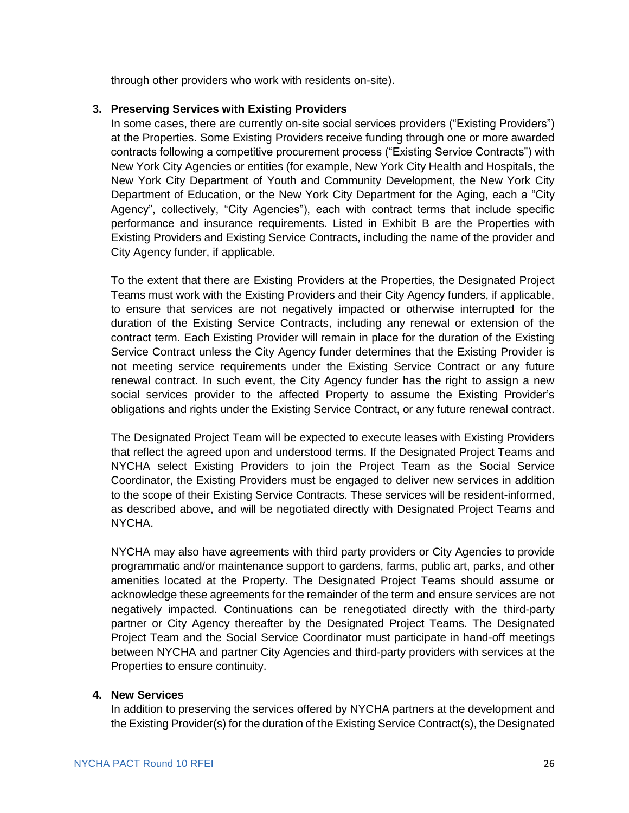through other providers who work with residents on-site).

#### **3. Preserving Services with Existing Providers**

In some cases, there are currently on-site social services providers ("Existing Providers") at the Properties. Some Existing Providers receive funding through one or more awarded contracts following a competitive procurement process ("Existing Service Contracts") with New York City Agencies or entities (for example, New York City Health and Hospitals, the New York City Department of Youth and Community Development, the New York City Department of Education, or the New York City Department for the Aging, each a "City Agency", collectively, "City Agencies"), each with contract terms that include specific performance and insurance requirements. Listed in Exhibit B are the Properties with Existing Providers and Existing Service Contracts, including the name of the provider and City Agency funder, if applicable.

To the extent that there are Existing Providers at the Properties, the Designated Project Teams must work with the Existing Providers and their City Agency funders, if applicable, to ensure that services are not negatively impacted or otherwise interrupted for the duration of the Existing Service Contracts, including any renewal or extension of the contract term. Each Existing Provider will remain in place for the duration of the Existing Service Contract unless the City Agency funder determines that the Existing Provider is not meeting service requirements under the Existing Service Contract or any future renewal contract. In such event, the City Agency funder has the right to assign a new social services provider to the affected Property to assume the Existing Provider's obligations and rights under the Existing Service Contract, or any future renewal contract.

The Designated Project Team will be expected to execute leases with Existing Providers that reflect the agreed upon and understood terms. If the Designated Project Teams and NYCHA select Existing Providers to join the Project Team as the Social Service Coordinator, the Existing Providers must be engaged to deliver new services in addition to the scope of their Existing Service Contracts. These services will be resident-informed, as described above, and will be negotiated directly with Designated Project Teams and NYCHA.

NYCHA may also have agreements with third party providers or City Agencies to provide programmatic and/or maintenance support to gardens, farms, public art, parks, and other amenities located at the Property. The Designated Project Teams should assume or acknowledge these agreements for the remainder of the term and ensure services are not negatively impacted. Continuations can be renegotiated directly with the third-party partner or City Agency thereafter by the Designated Project Teams. The Designated Project Team and the Social Service Coordinator must participate in hand-off meetings between NYCHA and partner City Agencies and third-party providers with services at the Properties to ensure continuity.

#### **4. New Services**

In addition to preserving the services offered by NYCHA partners at the development and the Existing Provider(s) for the duration of the Existing Service Contract(s), the Designated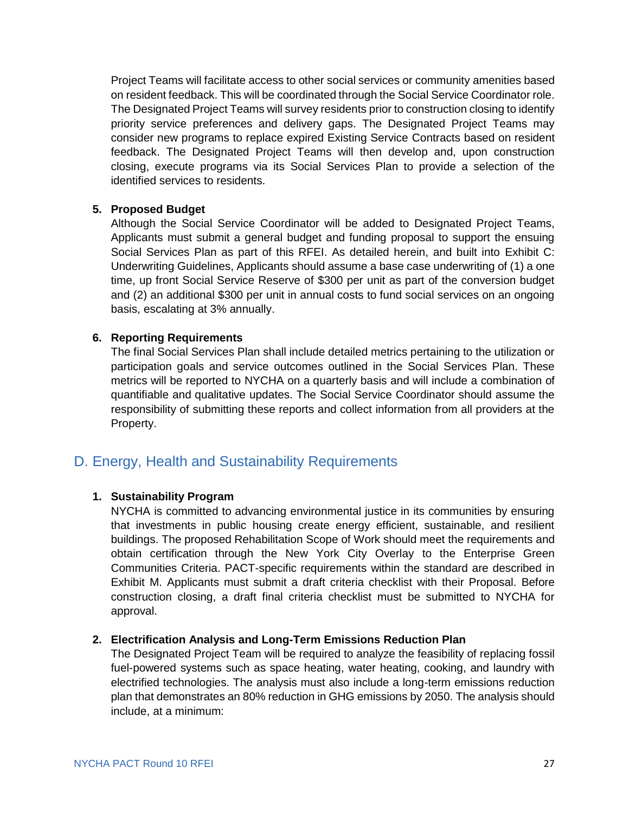Project Teams will facilitate access to other social services or community amenities based on resident feedback. This will be coordinated through the Social Service Coordinator role. The Designated Project Teams will survey residents prior to construction closing to identify priority service preferences and delivery gaps. The Designated Project Teams may consider new programs to replace expired Existing Service Contracts based on resident feedback. The Designated Project Teams will then develop and, upon construction closing, execute programs via its Social Services Plan to provide a selection of the identified services to residents.

#### **5. Proposed Budget**

Although the Social Service Coordinator will be added to Designated Project Teams, Applicants must submit a general budget and funding proposal to support the ensuing Social Services Plan as part of this RFEI. As detailed herein, and built into Exhibit C: Underwriting Guidelines, Applicants should assume a base case underwriting of (1) a one time, up front Social Service Reserve of \$300 per unit as part of the conversion budget and (2) an additional \$300 per unit in annual costs to fund social services on an ongoing basis, escalating at 3% annually.

#### **6. Reporting Requirements**

The final Social Services Plan shall include detailed metrics pertaining to the utilization or participation goals and service outcomes outlined in the Social Services Plan. These metrics will be reported to NYCHA on a quarterly basis and will include a combination of quantifiable and qualitative updates. The Social Service Coordinator should assume the responsibility of submitting these reports and collect information from all providers at the Property.

### <span id="page-28-0"></span>D. Energy, Health and Sustainability Requirements

#### **1. Sustainability Program**

NYCHA is committed to advancing environmental justice in its communities by ensuring that investments in public housing create energy efficient, sustainable, and resilient buildings. The proposed Rehabilitation Scope of Work should meet the requirements and obtain certification through the New York City Overlay to the Enterprise Green Communities Criteria. PACT-specific requirements within the standard are described in Exhibit M. Applicants must submit a draft criteria checklist with their Proposal. Before construction closing, a draft final criteria checklist must be submitted to NYCHA for approval.

#### **2. Electrification Analysis and Long-Term Emissions Reduction Plan**

The Designated Project Team will be required to analyze the feasibility of replacing fossil fuel-powered systems such as space heating, water heating, cooking, and laundry with electrified technologies. The analysis must also include a long-term emissions reduction plan that demonstrates an 80% reduction in GHG emissions by 2050. The analysis should include, at a minimum: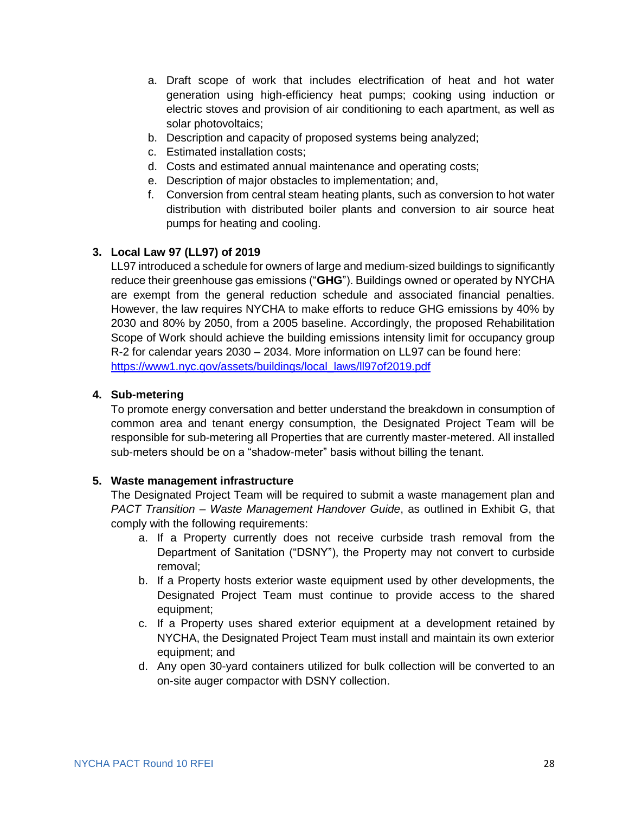- a. Draft scope of work that includes electrification of heat and hot water generation using high-efficiency heat pumps; cooking using induction or electric stoves and provision of air conditioning to each apartment, as well as solar photovoltaics;
- b. Description and capacity of proposed systems being analyzed;
- c. Estimated installation costs;
- d. Costs and estimated annual maintenance and operating costs;
- e. Description of major obstacles to implementation; and,
- f. Conversion from central steam heating plants, such as conversion to hot water distribution with distributed boiler plants and conversion to air source heat pumps for heating and cooling.

#### **3. Local Law 97 (LL97) of 2019**

LL97 introduced a schedule for owners of large and medium-sized buildings to significantly reduce their greenhouse gas emissions ("**GHG**"). Buildings owned or operated by NYCHA are exempt from the general reduction schedule and associated financial penalties. However, the law requires NYCHA to make efforts to reduce GHG emissions by 40% by 2030 and 80% by 2050, from a 2005 baseline. Accordingly, the proposed Rehabilitation Scope of Work should achieve the building emissions intensity limit for occupancy group R-2 for calendar years 2030 – 2034. More information on LL97 can be found here: [https://www1.nyc.gov/assets/buildings/local\\_laws/ll97of2019.pdf](https://www1.nyc.gov/assets/buildings/local_laws/ll97of2019.pdf)

#### **4. Sub-metering**

To promote energy conversation and better understand the breakdown in consumption of common area and tenant energy consumption, the Designated Project Team will be responsible for sub-metering all Properties that are currently master-metered. All installed sub-meters should be on a "shadow-meter" basis without billing the tenant.

#### **5. Waste management infrastructure**

The Designated Project Team will be required to submit a waste management plan and *PACT Transition – Waste Management Handover Guide*, as outlined in Exhibit G, that comply with the following requirements:

- a. If a Property currently does not receive curbside trash removal from the Department of Sanitation ("DSNY"), the Property may not convert to curbside removal;
- b. If a Property hosts exterior waste equipment used by other developments, the Designated Project Team must continue to provide access to the shared equipment;
- c. If a Property uses shared exterior equipment at a development retained by NYCHA, the Designated Project Team must install and maintain its own exterior equipment; and
- d. Any open 30-yard containers utilized for bulk collection will be converted to an on-site auger compactor with DSNY collection.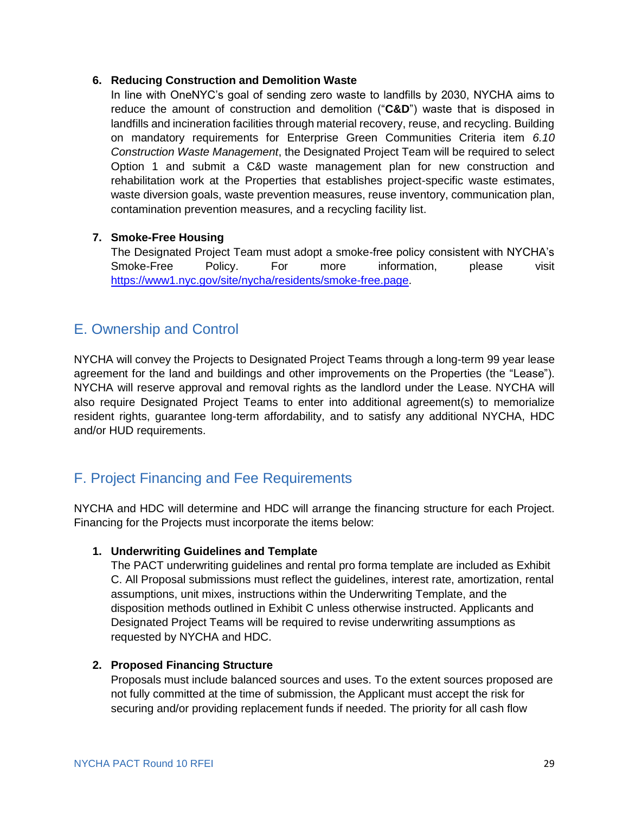#### **6. Reducing Construction and Demolition Waste**

In line with OneNYC's goal of sending zero waste to landfills by 2030, NYCHA aims to reduce the amount of construction and demolition ("**C&D**") waste that is disposed in landfills and incineration facilities through material recovery, reuse, and recycling. Building on mandatory requirements for Enterprise Green Communities Criteria item *6.10 Construction Waste Management*, the Designated Project Team will be required to select Option 1 and submit a C&D waste management plan for new construction and rehabilitation work at the Properties that establishes project-specific waste estimates, waste diversion goals, waste prevention measures, reuse inventory, communication plan, contamination prevention measures, and a recycling facility list.

#### **7. Smoke-Free Housing**

The Designated Project Team must adopt a smoke-free policy consistent with NYCHA's Smoke-Free Policy. For more information, please visit [https://www1.nyc.gov/site/nycha/residents/smoke-free.page.](https://www1.nyc.gov/site/nycha/residents/smoke-free.page)

# <span id="page-30-0"></span>E. Ownership and Control

NYCHA will convey the Projects to Designated Project Teams through a long-term 99 year lease agreement for the land and buildings and other improvements on the Properties (the "Lease"). NYCHA will reserve approval and removal rights as the landlord under the Lease. NYCHA will also require Designated Project Teams to enter into additional agreement(s) to memorialize resident rights, guarantee long-term affordability, and to satisfy any additional NYCHA, HDC and/or HUD requirements.

# <span id="page-30-1"></span>F. Project Financing and Fee Requirements

NYCHA and HDC will determine and HDC will arrange the financing structure for each Project. Financing for the Projects must incorporate the items below:

#### **1. Underwriting Guidelines and Template**

The PACT underwriting guidelines and rental pro forma template are included as Exhibit C. All Proposal submissions must reflect the guidelines, interest rate, amortization, rental assumptions, unit mixes, instructions within the Underwriting Template, and the disposition methods outlined in Exhibit C unless otherwise instructed. Applicants and Designated Project Teams will be required to revise underwriting assumptions as requested by NYCHA and HDC.

#### **2. Proposed Financing Structure**

Proposals must include balanced sources and uses. To the extent sources proposed are not fully committed at the time of submission, the Applicant must accept the risk for securing and/or providing replacement funds if needed. The priority for all cash flow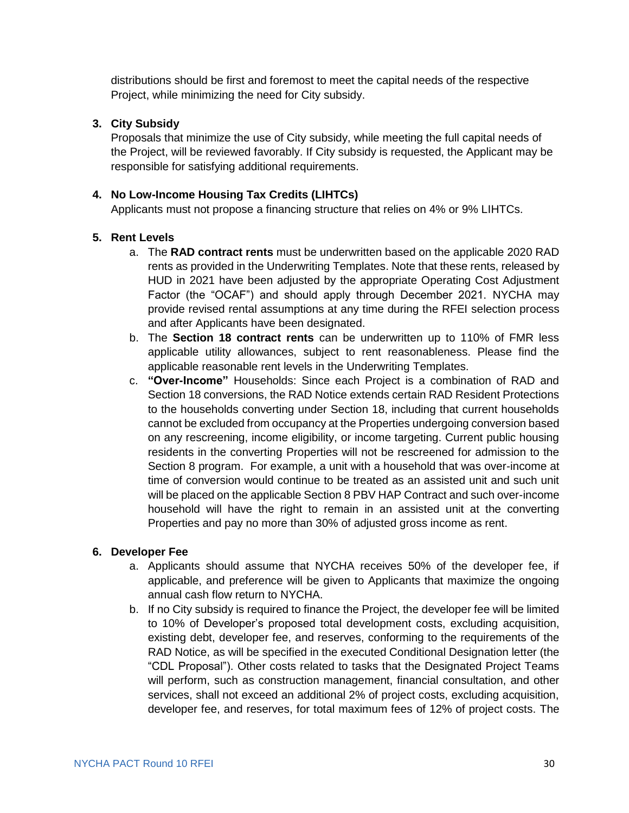distributions should be first and foremost to meet the capital needs of the respective Project, while minimizing the need for City subsidy.

#### **3. City Subsidy**

Proposals that minimize the use of City subsidy, while meeting the full capital needs of the Project, will be reviewed favorably. If City subsidy is requested, the Applicant may be responsible for satisfying additional requirements.

#### **4. No Low-Income Housing Tax Credits (LIHTCs)**

Applicants must not propose a financing structure that relies on 4% or 9% LIHTCs.

#### **5. Rent Levels**

- a. The **RAD contract rents** must be underwritten based on the applicable 2020 RAD rents as provided in the Underwriting Templates. Note that these rents, released by HUD in 2021 have been adjusted by the appropriate Operating Cost Adjustment Factor (the "OCAF") and should apply through December 2021. NYCHA may provide revised rental assumptions at any time during the RFEI selection process and after Applicants have been designated.
- b. The **Section 18 contract rents** can be underwritten up to 110% of FMR less applicable utility allowances, subject to rent reasonableness. Please find the applicable reasonable rent levels in the Underwriting Templates.
- c. **"Over-Income"** Households: Since each Project is a combination of RAD and Section 18 conversions, the RAD Notice extends certain RAD Resident Protections to the households converting under Section 18, including that current households cannot be excluded from occupancy at the Properties undergoing conversion based on any rescreening, income eligibility, or income targeting. Current public housing residents in the converting Properties will not be rescreened for admission to the Section 8 program. For example, a unit with a household that was over-income at time of conversion would continue to be treated as an assisted unit and such unit will be placed on the applicable Section 8 PBV HAP Contract and such over-income household will have the right to remain in an assisted unit at the converting Properties and pay no more than 30% of adjusted gross income as rent.

#### **6. Developer Fee**

- a. Applicants should assume that NYCHA receives 50% of the developer fee, if applicable, and preference will be given to Applicants that maximize the ongoing annual cash flow return to NYCHA.
- b. If no City subsidy is required to finance the Project, the developer fee will be limited to 10% of Developer's proposed total development costs, excluding acquisition, existing debt, developer fee, and reserves, conforming to the requirements of the RAD Notice, as will be specified in the executed Conditional Designation letter (the "CDL Proposal"). Other costs related to tasks that the Designated Project Teams will perform, such as construction management, financial consultation, and other services, shall not exceed an additional 2% of project costs, excluding acquisition, developer fee, and reserves, for total maximum fees of 12% of project costs. The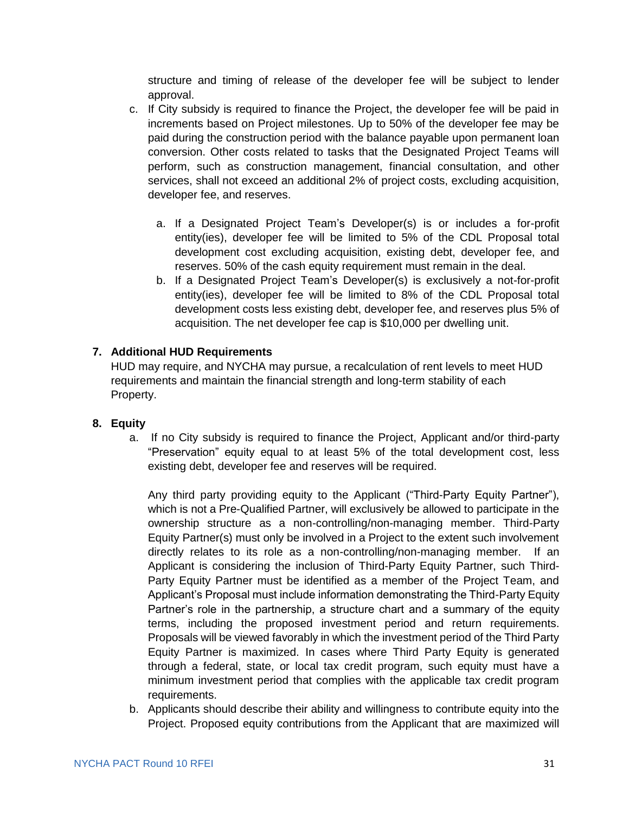structure and timing of release of the developer fee will be subject to lender approval.

- c. If City subsidy is required to finance the Project, the developer fee will be paid in increments based on Project milestones. Up to 50% of the developer fee may be paid during the construction period with the balance payable upon permanent loan conversion. Other costs related to tasks that the Designated Project Teams will perform, such as construction management, financial consultation, and other services, shall not exceed an additional 2% of project costs, excluding acquisition, developer fee, and reserves.
	- a. If a Designated Project Team's Developer(s) is or includes a for-profit entity(ies), developer fee will be limited to 5% of the CDL Proposal total development cost excluding acquisition, existing debt, developer fee, and reserves. 50% of the cash equity requirement must remain in the deal.
	- b. If a Designated Project Team's Developer(s) is exclusively a not-for-profit entity(ies), developer fee will be limited to 8% of the CDL Proposal total development costs less existing debt, developer fee, and reserves plus 5% of acquisition. The net developer fee cap is \$10,000 per dwelling unit.

#### **7. Additional HUD Requirements**

HUD may require, and NYCHA may pursue, a recalculation of rent levels to meet HUD requirements and maintain the financial strength and long-term stability of each Property.

#### **8. Equity**

a. If no City subsidy is required to finance the Project, Applicant and/or third-party "Preservation" equity equal to at least 5% of the total development cost, less existing debt, developer fee and reserves will be required.

Any third party providing equity to the Applicant ("Third-Party Equity Partner"), which is not a Pre-Qualified Partner, will exclusively be allowed to participate in the ownership structure as a non-controlling/non-managing member. Third-Party Equity Partner(s) must only be involved in a Project to the extent such involvement directly relates to its role as a non-controlling/non-managing member. If an Applicant is considering the inclusion of Third-Party Equity Partner, such Third-Party Equity Partner must be identified as a member of the Project Team, and Applicant's Proposal must include information demonstrating the Third-Party Equity Partner's role in the partnership, a structure chart and a summary of the equity terms, including the proposed investment period and return requirements. Proposals will be viewed favorably in which the investment period of the Third Party Equity Partner is maximized. In cases where Third Party Equity is generated through a federal, state, or local tax credit program, such equity must have a minimum investment period that complies with the applicable tax credit program requirements.

b. Applicants should describe their ability and willingness to contribute equity into the Project. Proposed equity contributions from the Applicant that are maximized will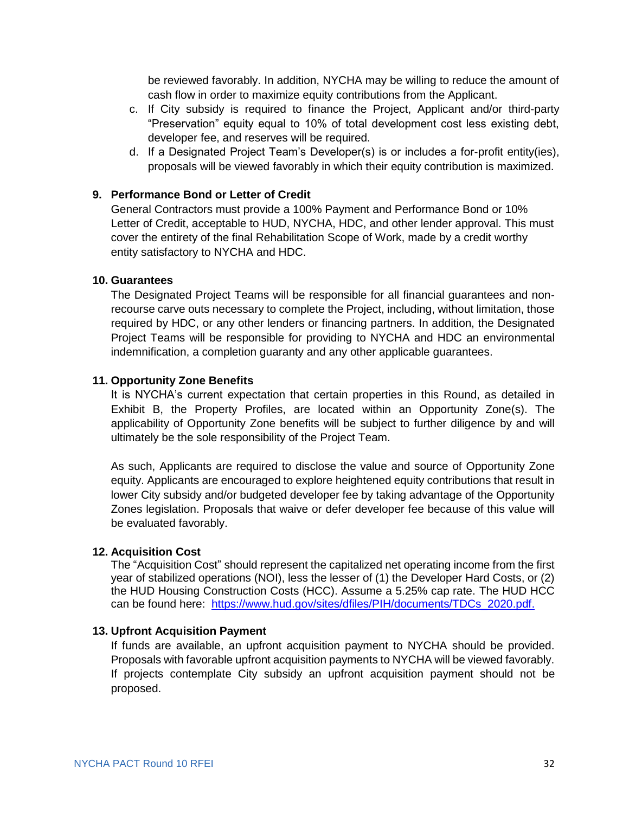be reviewed favorably. In addition, NYCHA may be willing to reduce the amount of cash flow in order to maximize equity contributions from the Applicant.

- c. If City subsidy is required to finance the Project, Applicant and/or third-party "Preservation" equity equal to 10% of total development cost less existing debt, developer fee, and reserves will be required.
- d. If a Designated Project Team's Developer(s) is or includes a for-profit entity(ies), proposals will be viewed favorably in which their equity contribution is maximized.

#### **9. Performance Bond or Letter of Credit**

General Contractors must provide a 100% Payment and Performance Bond or 10% Letter of Credit, acceptable to HUD, NYCHA, HDC, and other lender approval. This must cover the entirety of the final Rehabilitation Scope of Work, made by a credit worthy entity satisfactory to NYCHA and HDC.

#### **10. Guarantees**

The Designated Project Teams will be responsible for all financial guarantees and nonrecourse carve outs necessary to complete the Project, including, without limitation, those required by HDC, or any other lenders or financing partners. In addition, the Designated Project Teams will be responsible for providing to NYCHA and HDC an environmental indemnification, a completion guaranty and any other applicable guarantees.

#### **11. Opportunity Zone Benefits**

It is NYCHA's current expectation that certain properties in this Round, as detailed in Exhibit B, the Property Profiles, are located within an Opportunity Zone(s). The applicability of Opportunity Zone benefits will be subject to further diligence by and will ultimately be the sole responsibility of the Project Team.

As such, Applicants are required to disclose the value and source of Opportunity Zone equity. Applicants are encouraged to explore heightened equity contributions that result in lower City subsidy and/or budgeted developer fee by taking advantage of the Opportunity Zones legislation. Proposals that waive or defer developer fee because of this value will be evaluated favorably.

#### **12. Acquisition Cost**

The "Acquisition Cost" should represent the capitalized net operating income from the first year of stabilized operations (NOI), less the lesser of (1) the Developer Hard Costs, or (2) the HUD Housing Construction Costs (HCC). Assume a 5.25% cap rate. The HUD HCC can be found here: [https://www.hud.gov/sites/dfiles/PIH/documents/TDCs\\_2020.pdf.](https://www.hud.gov/sites/dfiles/PIH/documents/TDCs_2020.pdf)

#### **13. Upfront Acquisition Payment**

If funds are available, an upfront acquisition payment to NYCHA should be provided. Proposals with favorable upfront acquisition payments to NYCHA will be viewed favorably. If projects contemplate City subsidy an upfront acquisition payment should not be proposed.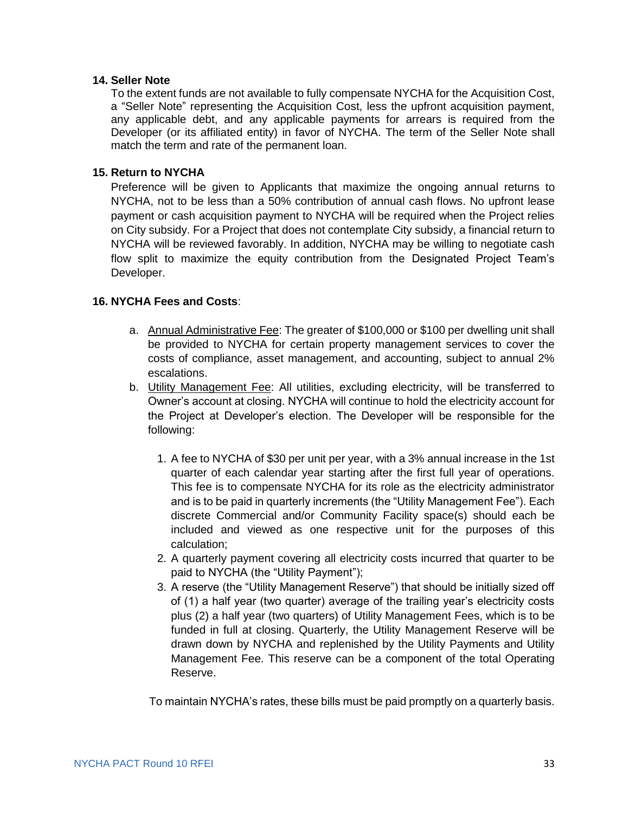#### **14. Seller Note**

To the extent funds are not available to fully compensate NYCHA for the Acquisition Cost, a "Seller Note" representing the Acquisition Cost, less the upfront acquisition payment, any applicable debt, and any applicable payments for arrears is required from the Developer (or its affiliated entity) in favor of NYCHA. The term of the Seller Note shall match the term and rate of the permanent loan.

#### **15. Return to NYCHA**

Preference will be given to Applicants that maximize the ongoing annual returns to NYCHA, not to be less than a 50% contribution of annual cash flows. No upfront lease payment or cash acquisition payment to NYCHA will be required when the Project relies on City subsidy. For a Project that does not contemplate City subsidy, a financial return to NYCHA will be reviewed favorably. In addition, NYCHA may be willing to negotiate cash flow split to maximize the equity contribution from the Designated Project Team's Developer.

#### **16. NYCHA Fees and Costs**:

- a. Annual Administrative Fee: The greater of \$100,000 or \$100 per dwelling unit shall be provided to NYCHA for certain property management services to cover the costs of compliance, asset management, and accounting, subject to annual 2% escalations.
- b. Utility Management Fee: All utilities, excluding electricity, will be transferred to Owner's account at closing. NYCHA will continue to hold the electricity account for the Project at Developer's election. The Developer will be responsible for the following:
	- 1. A fee to NYCHA of \$30 per unit per year, with a 3% annual increase in the 1st quarter of each calendar year starting after the first full year of operations. This fee is to compensate NYCHA for its role as the electricity administrator and is to be paid in quarterly increments (the "Utility Management Fee"). Each discrete Commercial and/or Community Facility space(s) should each be included and viewed as one respective unit for the purposes of this calculation;
	- 2. A quarterly payment covering all electricity costs incurred that quarter to be paid to NYCHA (the "Utility Payment");
	- 3. A reserve (the "Utility Management Reserve") that should be initially sized off of (1) a half year (two quarter) average of the trailing year's electricity costs plus (2) a half year (two quarters) of Utility Management Fees, which is to be funded in full at closing. Quarterly, the Utility Management Reserve will be drawn down by NYCHA and replenished by the Utility Payments and Utility Management Fee. This reserve can be a component of the total Operating Reserve.

To maintain NYCHA's rates, these bills must be paid promptly on a quarterly basis.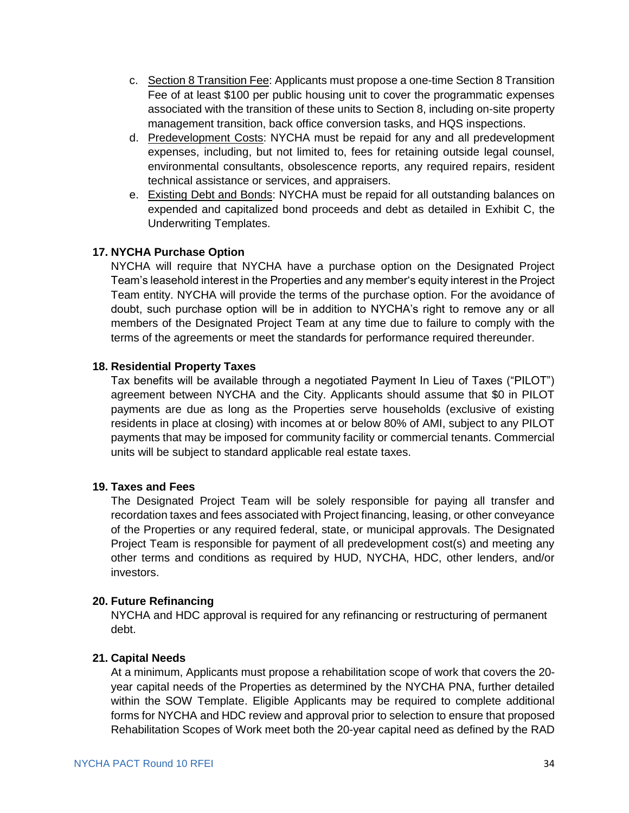- c. Section 8 Transition Fee: Applicants must propose a one-time Section 8 Transition Fee of at least \$100 per public housing unit to cover the programmatic expenses associated with the transition of these units to Section 8, including on-site property management transition, back office conversion tasks, and HQS inspections.
- d. Predevelopment Costs: NYCHA must be repaid for any and all predevelopment expenses, including, but not limited to, fees for retaining outside legal counsel, environmental consultants, obsolescence reports, any required repairs, resident technical assistance or services, and appraisers.
- e. Existing Debt and Bonds: NYCHA must be repaid for all outstanding balances on expended and capitalized bond proceeds and debt as detailed in Exhibit C, the Underwriting Templates.

#### **17. NYCHA Purchase Option**

NYCHA will require that NYCHA have a purchase option on the Designated Project Team's leasehold interest in the Properties and any member's equity interest in the Project Team entity. NYCHA will provide the terms of the purchase option. For the avoidance of doubt, such purchase option will be in addition to NYCHA's right to remove any or all members of the Designated Project Team at any time due to failure to comply with the terms of the agreements or meet the standards for performance required thereunder.

#### **18. Residential Property Taxes**

Tax benefits will be available through a negotiated Payment In Lieu of Taxes ("PILOT") agreement between NYCHA and the City. Applicants should assume that \$0 in PILOT payments are due as long as the Properties serve households (exclusive of existing residents in place at closing) with incomes at or below 80% of AMI, subject to any PILOT payments that may be imposed for community facility or commercial tenants. Commercial units will be subject to standard applicable real estate taxes.

#### **19. Taxes and Fees**

The Designated Project Team will be solely responsible for paying all transfer and recordation taxes and fees associated with Project financing, leasing, or other conveyance of the Properties or any required federal, state, or municipal approvals. The Designated Project Team is responsible for payment of all predevelopment cost(s) and meeting any other terms and conditions as required by HUD, NYCHA, HDC, other lenders, and/or investors.

#### **20. Future Refinancing**

NYCHA and HDC approval is required for any refinancing or restructuring of permanent debt.

#### **21. Capital Needs**

At a minimum, Applicants must propose a rehabilitation scope of work that covers the 20 year capital needs of the Properties as determined by the NYCHA PNA, further detailed within the SOW Template. Eligible Applicants may be required to complete additional forms for NYCHA and HDC review and approval prior to selection to ensure that proposed Rehabilitation Scopes of Work meet both the 20-year capital need as defined by the RAD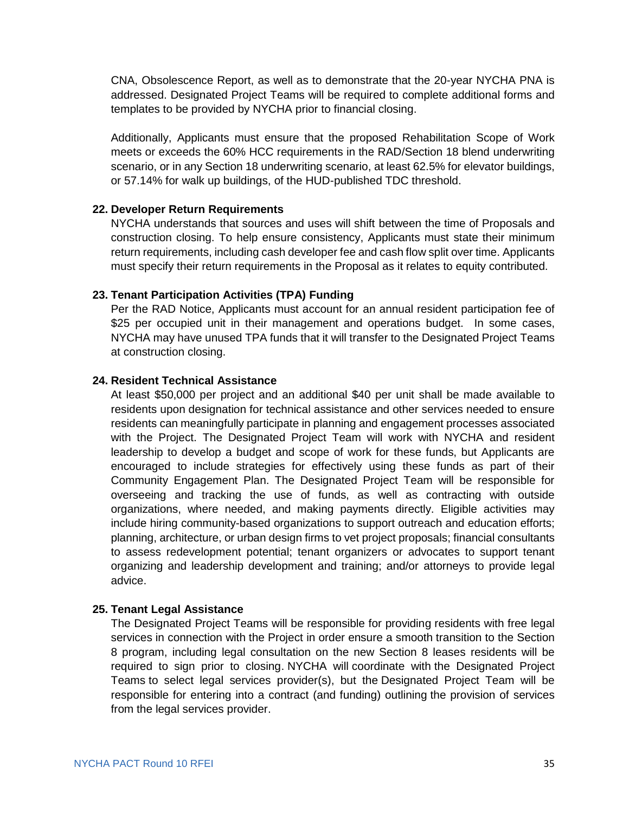CNA, Obsolescence Report, as well as to demonstrate that the 20-year NYCHA PNA is addressed. Designated Project Teams will be required to complete additional forms and templates to be provided by NYCHA prior to financial closing.

Additionally, Applicants must ensure that the proposed Rehabilitation Scope of Work meets or exceeds the 60% HCC requirements in the RAD/Section 18 blend underwriting scenario, or in any Section 18 underwriting scenario, at least 62.5% for elevator buildings, or 57.14% for walk up buildings, of the HUD-published TDC threshold.

#### **22. Developer Return Requirements**

NYCHA understands that sources and uses will shift between the time of Proposals and construction closing. To help ensure consistency, Applicants must state their minimum return requirements, including cash developer fee and cash flow split over time. Applicants must specify their return requirements in the Proposal as it relates to equity contributed.

#### **23. Tenant Participation Activities (TPA) Funding**

Per the RAD Notice, Applicants must account for an annual resident participation fee of \$25 per occupied unit in their management and operations budget. In some cases, NYCHA may have unused TPA funds that it will transfer to the Designated Project Teams at construction closing.

#### **24. Resident Technical Assistance**

At least \$50,000 per project and an additional \$40 per unit shall be made available to residents upon designation for technical assistance and other services needed to ensure residents can meaningfully participate in planning and engagement processes associated with the Project. The Designated Project Team will work with NYCHA and resident leadership to develop a budget and scope of work for these funds, but Applicants are encouraged to include strategies for effectively using these funds as part of their Community Engagement Plan. The Designated Project Team will be responsible for overseeing and tracking the use of funds, as well as contracting with outside organizations, where needed, and making payments directly. Eligible activities may include hiring community-based organizations to support outreach and education efforts; planning, architecture, or urban design firms to vet project proposals; financial consultants to assess redevelopment potential; tenant organizers or advocates to support tenant organizing and leadership development and training; and/or attorneys to provide legal advice.

#### **25. Tenant Legal Assistance**

The Designated Project Teams will be responsible for providing residents with free legal services in connection with the Project in order ensure a smooth transition to the Section 8 program, including legal consultation on the new Section 8 leases residents will be required to sign prior to closing. NYCHA will coordinate with the Designated Project Teams to select legal services provider(s), but the Designated Project Team will be responsible for entering into a contract (and funding) outlining the provision of services from the legal services provider.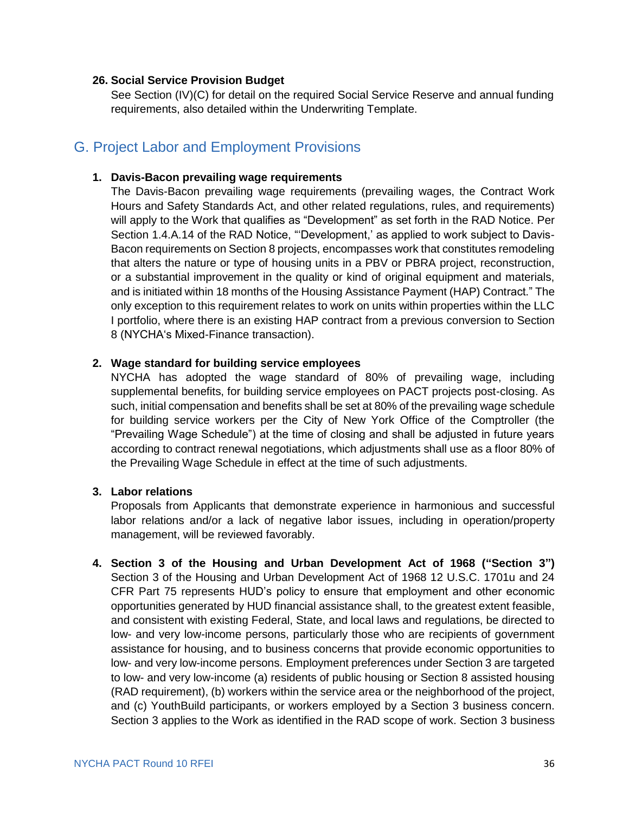#### **26. Social Service Provision Budget**

See Section (IV)(C) for detail on the required Social Service Reserve and annual funding requirements, also detailed within the Underwriting Template.

### <span id="page-37-0"></span>G. Project Labor and Employment Provisions

#### **1. Davis-Bacon prevailing wage requirements**

The Davis-Bacon prevailing wage requirements (prevailing wages, the Contract Work Hours and Safety Standards Act, and other related regulations, rules, and requirements) will apply to the Work that qualifies as "Development" as set forth in the RAD Notice. Per Section 1.4.A.14 of the RAD Notice, "'Development,' as applied to work subject to Davis-Bacon requirements on Section 8 projects, encompasses work that constitutes remodeling that alters the nature or type of housing units in a PBV or PBRA project, reconstruction, or a substantial improvement in the quality or kind of original equipment and materials, and is initiated within 18 months of the Housing Assistance Payment (HAP) Contract." The only exception to this requirement relates to work on units within properties within the LLC I portfolio, where there is an existing HAP contract from a previous conversion to Section 8 (NYCHA's Mixed-Finance transaction).

#### **2. Wage standard for building service employees**

NYCHA has adopted the wage standard of 80% of prevailing wage, including supplemental benefits, for building service employees on PACT projects post-closing. As such, initial compensation and benefits shall be set at 80% of the prevailing wage schedule for building service workers per the City of New York Office of the Comptroller (the "Prevailing Wage Schedule") at the time of closing and shall be adjusted in future years according to contract renewal negotiations, which adjustments shall use as a floor 80% of the Prevailing Wage Schedule in effect at the time of such adjustments.

#### **3. Labor relations**

Proposals from Applicants that demonstrate experience in harmonious and successful labor relations and/or a lack of negative labor issues, including in operation/property management, will be reviewed favorably.

**4. Section 3 of the Housing and Urban Development Act of 1968 ("Section 3")** Section 3 of the Housing and Urban Development Act of 1968 12 U.S.C. 1701u and 24 CFR Part 75 represents HUD's policy to ensure that employment and other economic opportunities generated by HUD financial assistance shall, to the greatest extent feasible, and consistent with existing Federal, State, and local laws and regulations, be directed to low- and very low-income persons, particularly those who are recipients of government assistance for housing, and to business concerns that provide economic opportunities to low- and very low-income persons. Employment preferences under Section 3 are targeted to low- and very low-income (a) residents of public housing or Section 8 assisted housing (RAD requirement), (b) workers within the service area or the neighborhood of the project, and (c) YouthBuild participants, or workers employed by a Section 3 business concern. Section 3 applies to the Work as identified in the RAD scope of work. Section 3 business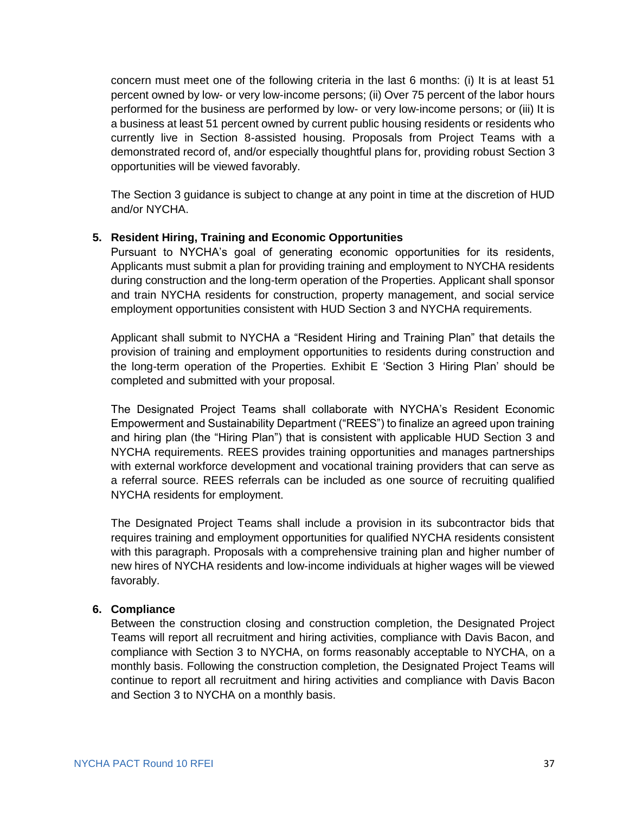concern must meet one of the following criteria in the last 6 months: (i) It is at least 51 percent owned by low- or very low-income persons; (ii) Over 75 percent of the labor hours performed for the business are performed by low- or very low-income persons; or (iii) It is a business at least 51 percent owned by current public housing residents or residents who currently live in Section 8-assisted housing. Proposals from Project Teams with a demonstrated record of, and/or especially thoughtful plans for, providing robust Section 3 opportunities will be viewed favorably.

The Section 3 guidance is subject to change at any point in time at the discretion of HUD and/or NYCHA.

#### **5. Resident Hiring, Training and Economic Opportunities**

Pursuant to NYCHA's goal of generating economic opportunities for its residents, Applicants must submit a plan for providing training and employment to NYCHA residents during construction and the long-term operation of the Properties. Applicant shall sponsor and train NYCHA residents for construction, property management, and social service employment opportunities consistent with HUD Section 3 and NYCHA requirements.

Applicant shall submit to NYCHA a "Resident Hiring and Training Plan" that details the provision of training and employment opportunities to residents during construction and the long-term operation of the Properties. Exhibit E 'Section 3 Hiring Plan' should be completed and submitted with your proposal.

The Designated Project Teams shall collaborate with NYCHA's Resident Economic Empowerment and Sustainability Department ("REES") to finalize an agreed upon training and hiring plan (the "Hiring Plan") that is consistent with applicable HUD Section 3 and NYCHA requirements. REES provides training opportunities and manages partnerships with external workforce development and vocational training providers that can serve as a referral source. REES referrals can be included as one source of recruiting qualified NYCHA residents for employment.

The Designated Project Teams shall include a provision in its subcontractor bids that requires training and employment opportunities for qualified NYCHA residents consistent with this paragraph. Proposals with a comprehensive training plan and higher number of new hires of NYCHA residents and low-income individuals at higher wages will be viewed favorably.

#### **6. Compliance**

Between the construction closing and construction completion, the Designated Project Teams will report all recruitment and hiring activities, compliance with Davis Bacon, and compliance with Section 3 to NYCHA, on forms reasonably acceptable to NYCHA, on a monthly basis. Following the construction completion, the Designated Project Teams will continue to report all recruitment and hiring activities and compliance with Davis Bacon and Section 3 to NYCHA on a monthly basis.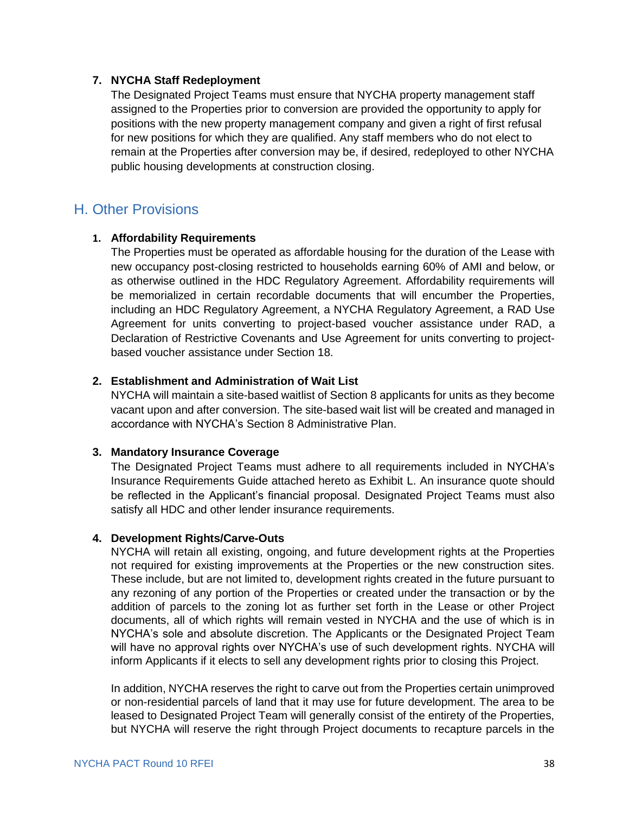#### **7. NYCHA Staff Redeployment**

The Designated Project Teams must ensure that NYCHA property management staff assigned to the Properties prior to conversion are provided the opportunity to apply for positions with the new property management company and given a right of first refusal for new positions for which they are qualified. Any staff members who do not elect to remain at the Properties after conversion may be, if desired, redeployed to other NYCHA public housing developments at construction closing.

### <span id="page-39-0"></span>H. Other Provisions

#### **1. Affordability Requirements**

The Properties must be operated as affordable housing for the duration of the Lease with new occupancy post-closing restricted to households earning 60% of AMI and below, or as otherwise outlined in the HDC Regulatory Agreement. Affordability requirements will be memorialized in certain recordable documents that will encumber the Properties, including an HDC Regulatory Agreement, a NYCHA Regulatory Agreement, a RAD Use Agreement for units converting to project-based voucher assistance under RAD, a Declaration of Restrictive Covenants and Use Agreement for units converting to projectbased voucher assistance under Section 18.

#### **2. Establishment and Administration of Wait List**

NYCHA will maintain a site-based waitlist of Section 8 applicants for units as they become vacant upon and after conversion. The site-based wait list will be created and managed in accordance with NYCHA's Section 8 Administrative Plan.

#### **3. Mandatory Insurance Coverage**

The Designated Project Teams must adhere to all requirements included in NYCHA's Insurance Requirements Guide attached hereto as Exhibit L. An insurance quote should be reflected in the Applicant's financial proposal. Designated Project Teams must also satisfy all HDC and other lender insurance requirements.

#### **4. Development Rights/Carve-Outs**

NYCHA will retain all existing, ongoing, and future development rights at the Properties not required for existing improvements at the Properties or the new construction sites. These include, but are not limited to, development rights created in the future pursuant to any rezoning of any portion of the Properties or created under the transaction or by the addition of parcels to the zoning lot as further set forth in the Lease or other Project documents, all of which rights will remain vested in NYCHA and the use of which is in NYCHA's sole and absolute discretion. The Applicants or the Designated Project Team will have no approval rights over NYCHA's use of such development rights. NYCHA will inform Applicants if it elects to sell any development rights prior to closing this Project.

In addition, NYCHA reserves the right to carve out from the Properties certain unimproved or non-residential parcels of land that it may use for future development. The area to be leased to Designated Project Team will generally consist of the entirety of the Properties, but NYCHA will reserve the right through Project documents to recapture parcels in the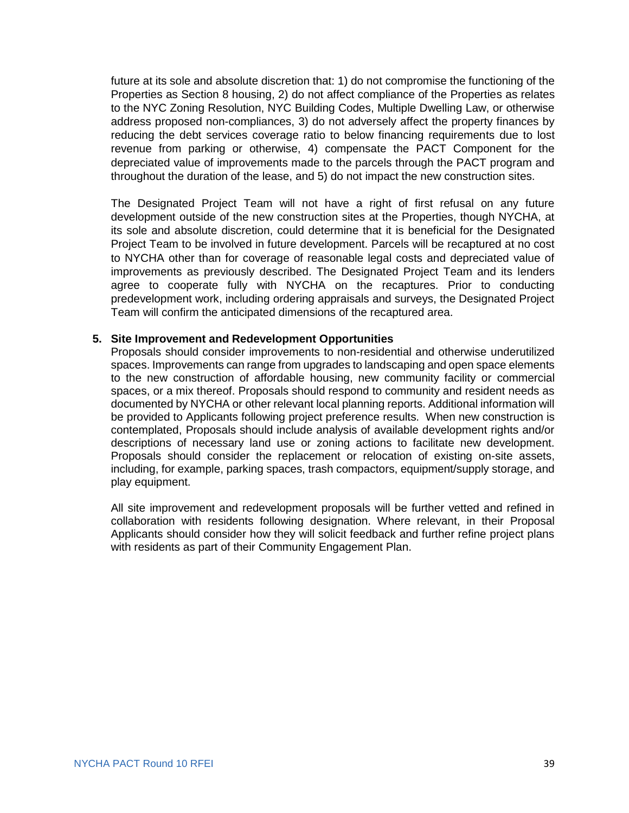future at its sole and absolute discretion that: 1) do not compromise the functioning of the Properties as Section 8 housing, 2) do not affect compliance of the Properties as relates to the NYC Zoning Resolution, NYC Building Codes, Multiple Dwelling Law, or otherwise address proposed non-compliances, 3) do not adversely affect the property finances by reducing the debt services coverage ratio to below financing requirements due to lost revenue from parking or otherwise, 4) compensate the PACT Component for the depreciated value of improvements made to the parcels through the PACT program and throughout the duration of the lease, and 5) do not impact the new construction sites.

The Designated Project Team will not have a right of first refusal on any future development outside of the new construction sites at the Properties, though NYCHA, at its sole and absolute discretion, could determine that it is beneficial for the Designated Project Team to be involved in future development. Parcels will be recaptured at no cost to NYCHA other than for coverage of reasonable legal costs and depreciated value of improvements as previously described. The Designated Project Team and its lenders agree to cooperate fully with NYCHA on the recaptures. Prior to conducting predevelopment work, including ordering appraisals and surveys, the Designated Project Team will confirm the anticipated dimensions of the recaptured area.

#### **5. Site Improvement and Redevelopment Opportunities**

Proposals should consider improvements to non-residential and otherwise underutilized spaces. Improvements can range from upgrades to landscaping and open space elements to the new construction of affordable housing, new community facility or commercial spaces, or a mix thereof. Proposals should respond to community and resident needs as documented by NYCHA or other relevant local planning reports. Additional information will be provided to Applicants following project preference results. When new construction is contemplated, Proposals should include analysis of available development rights and/or descriptions of necessary land use or zoning actions to facilitate new development. Proposals should consider the replacement or relocation of existing on-site assets, including, for example, parking spaces, trash compactors, equipment/supply storage, and play equipment.

All site improvement and redevelopment proposals will be further vetted and refined in collaboration with residents following designation. Where relevant, in their Proposal Applicants should consider how they will solicit feedback and further refine project plans with residents as part of their Community Engagement Plan.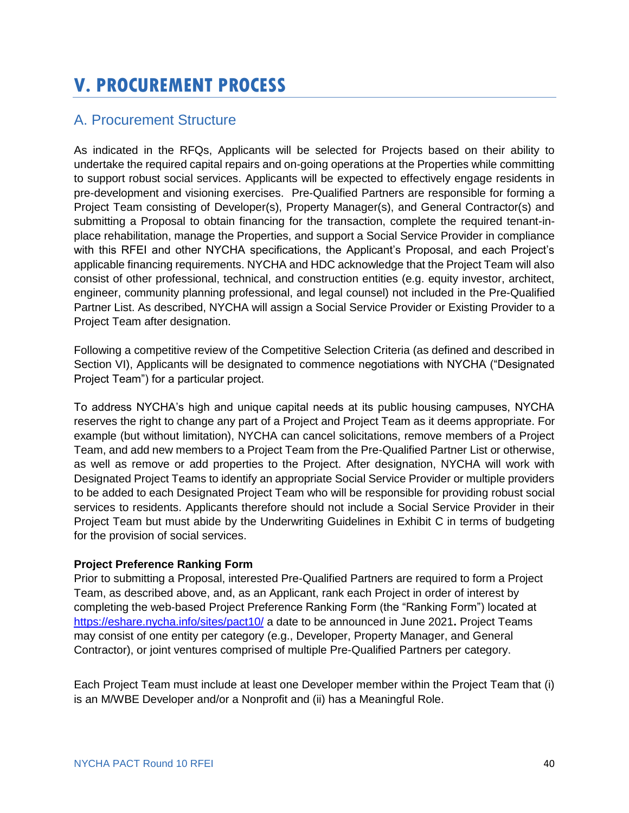# <span id="page-41-0"></span>**V. PROCUREMENT PROCESS**

# <span id="page-41-1"></span>A. Procurement Structure

As indicated in the RFQs, Applicants will be selected for Projects based on their ability to undertake the required capital repairs and on-going operations at the Properties while committing to support robust social services. Applicants will be expected to effectively engage residents in pre-development and visioning exercises. Pre-Qualified Partners are responsible for forming a Project Team consisting of Developer(s), Property Manager(s), and General Contractor(s) and submitting a Proposal to obtain financing for the transaction, complete the required tenant-inplace rehabilitation, manage the Properties, and support a Social Service Provider in compliance with this RFEI and other NYCHA specifications, the Applicant's Proposal, and each Project's applicable financing requirements. NYCHA and HDC acknowledge that the Project Team will also consist of other professional, technical, and construction entities (e.g. equity investor, architect, engineer, community planning professional, and legal counsel) not included in the Pre-Qualified Partner List. As described, NYCHA will assign a Social Service Provider or Existing Provider to a Project Team after designation.

Following a competitive review of the Competitive Selection Criteria (as defined and described in Section VI), Applicants will be designated to commence negotiations with NYCHA ("Designated Project Team") for a particular project.

To address NYCHA's high and unique capital needs at its public housing campuses, NYCHA reserves the right to change any part of a Project and Project Team as it deems appropriate. For example (but without limitation), NYCHA can cancel solicitations, remove members of a Project Team, and add new members to a Project Team from the Pre-Qualified Partner List or otherwise, as well as remove or add properties to the Project. After designation, NYCHA will work with Designated Project Teams to identify an appropriate Social Service Provider or multiple providers to be added to each Designated Project Team who will be responsible for providing robust social services to residents. Applicants therefore should not include a Social Service Provider in their Project Team but must abide by the Underwriting Guidelines in Exhibit C in terms of budgeting for the provision of social services.

#### **Project Preference Ranking Form**

Prior to submitting a Proposal, interested Pre-Qualified Partners are required to form a Project Team, as described above, and, as an Applicant, rank each Project in order of interest by completing the web-based Project Preference Ranking Form (the "Ranking Form") located at <https://eshare.nycha.info/sites/pact10/> a date to be announced in June 2021**.** Project Teams may consist of one entity per category (e.g., Developer, Property Manager, and General Contractor), or joint ventures comprised of multiple Pre-Qualified Partners per category.

Each Project Team must include at least one Developer member within the Project Team that (i) is an M/WBE Developer and/or a Nonprofit and (ii) has a Meaningful Role.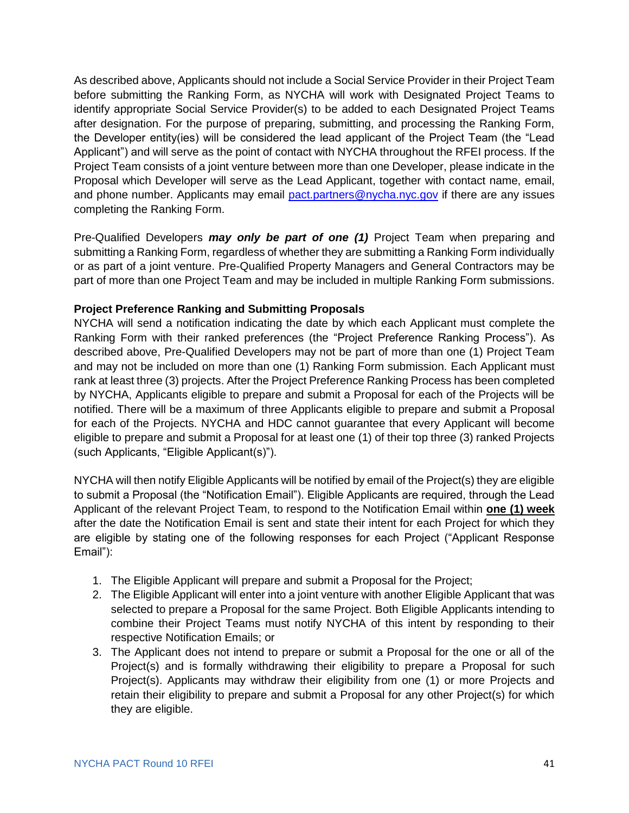As described above, Applicants should not include a Social Service Provider in their Project Team before submitting the Ranking Form, as NYCHA will work with Designated Project Teams to identify appropriate Social Service Provider(s) to be added to each Designated Project Teams after designation. For the purpose of preparing, submitting, and processing the Ranking Form, the Developer entity(ies) will be considered the lead applicant of the Project Team (the "Lead Applicant") and will serve as the point of contact with NYCHA throughout the RFEI process. If the Project Team consists of a joint venture between more than one Developer, please indicate in the Proposal which Developer will serve as the Lead Applicant, together with contact name, email, and phone number. Applicants may email [pact.partners@nycha.nyc.gov](mailto:pact.partners@nycha.nyc.gov) if there are any issues completing the Ranking Form.

Pre-Qualified Developers *may only be part of one (1)* Project Team when preparing and submitting a Ranking Form, regardless of whether they are submitting a Ranking Form individually or as part of a joint venture. Pre-Qualified Property Managers and General Contractors may be part of more than one Project Team and may be included in multiple Ranking Form submissions.

#### **Project Preference Ranking and Submitting Proposals**

NYCHA will send a notification indicating the date by which each Applicant must complete the Ranking Form with their ranked preferences (the "Project Preference Ranking Process"). As described above, Pre-Qualified Developers may not be part of more than one (1) Project Team and may not be included on more than one (1) Ranking Form submission. Each Applicant must rank at least three (3) projects. After the Project Preference Ranking Process has been completed by NYCHA, Applicants eligible to prepare and submit a Proposal for each of the Projects will be notified. There will be a maximum of three Applicants eligible to prepare and submit a Proposal for each of the Projects. NYCHA and HDC cannot guarantee that every Applicant will become eligible to prepare and submit a Proposal for at least one (1) of their top three (3) ranked Projects (such Applicants, "Eligible Applicant(s)").

NYCHA will then notify Eligible Applicants will be notified by email of the Project(s) they are eligible to submit a Proposal (the "Notification Email"). Eligible Applicants are required, through the Lead Applicant of the relevant Project Team, to respond to the Notification Email within **one (1) week** after the date the Notification Email is sent and state their intent for each Project for which they are eligible by stating one of the following responses for each Project ("Applicant Response Email"):

- 1. The Eligible Applicant will prepare and submit a Proposal for the Project;
- 2. The Eligible Applicant will enter into a joint venture with another Eligible Applicant that was selected to prepare a Proposal for the same Project. Both Eligible Applicants intending to combine their Project Teams must notify NYCHA of this intent by responding to their respective Notification Emails; or
- 3. The Applicant does not intend to prepare or submit a Proposal for the one or all of the Project(s) and is formally withdrawing their eligibility to prepare a Proposal for such Project(s). Applicants may withdraw their eligibility from one (1) or more Projects and retain their eligibility to prepare and submit a Proposal for any other Project(s) for which they are eligible.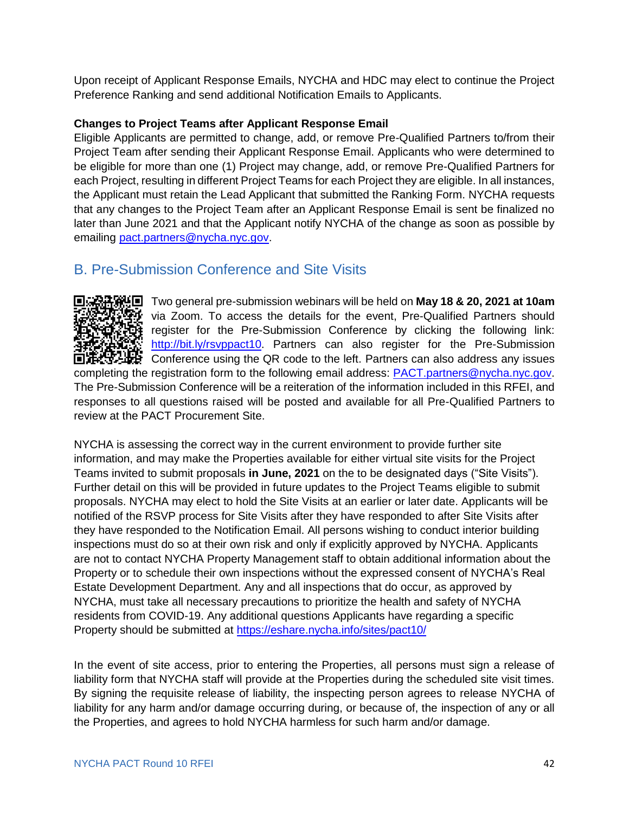Upon receipt of Applicant Response Emails, NYCHA and HDC may elect to continue the Project Preference Ranking and send additional Notification Emails to Applicants.

#### **Changes to Project Teams after Applicant Response Email**

Eligible Applicants are permitted to change, add, or remove Pre-Qualified Partners to/from their Project Team after sending their Applicant Response Email. Applicants who were determined to be eligible for more than one (1) Project may change, add, or remove Pre-Qualified Partners for each Project, resulting in different Project Teams for each Project they are eligible. In all instances, the Applicant must retain the Lead Applicant that submitted the Ranking Form. NYCHA requests that any changes to the Project Team after an Applicant Response Email is sent be finalized no later than June 2021 and that the Applicant notify NYCHA of the change as soon as possible by emailing [pact.partners@nycha.nyc.gov.](mailto:pact.partners@nycha.nyc.gov)

### <span id="page-43-0"></span>B. Pre-Submission Conference and Site Visits



Two general pre-submission webinars will be held on **May 18 & 20, 2021 at 10am** via Zoom. To access the details for the event, Pre-Qualified Partners should register for the Pre-Submission Conference by clicking the following link: [http://bit.ly/rsvppact10.](http://bit.ly/rsvppact10) Partners can also register for the Pre-Submission Conference using the QR code to the left. Partners can also address any issues completing the registration form to the following email address: [PACT.partners@nycha.nyc.gov.](mailto:PACT.partners@nycha.nyc.gov)

The Pre-Submission Conference will be a reiteration of the information included in this RFEI, and responses to all questions raised will be posted and available for all Pre-Qualified Partners to review at [the](https://eshare.nycha.info/sites/PACT/SitePages/Home.aspx) PACT Procurement Site.

NYCHA is assessing the correct way in the current environment to provide further site information, and may make the Properties available for either virtual site visits for the Project Teams invited to submit proposals **in June, 2021** on the to be designated days ("Site Visits"). Further detail on this will be provided in future updates to the Project Teams eligible to submit proposals. NYCHA may elect to hold the Site Visits at an earlier or later date. Applicants will be notified of the RSVP process for Site Visits after they have responded to after Site Visits after they have responded to the Notification Email. All persons wishing to conduct interior building inspections must do so at their own risk and only if explicitly approved by NYCHA. Applicants are not to contact NYCHA Property Management staff to obtain additional information about the Property or to schedule their own inspections without the expressed consent of NYCHA's Real Estate Development Department. Any and all inspections that do occur, as approved by NYCHA, must take all necessary precautions to prioritize the health and safety of NYCHA residents from COVID-19. Any additional questions Applicants have regarding a specific Property should be submitted at<https://eshare.nycha.info/sites/pact10/>

In the event of site access, prior to entering the Properties, all persons must sign a release of liability form that NYCHA staff will provide at the Properties during the scheduled site visit times. By signing the requisite release of liability, the inspecting person agrees to release NYCHA of liability for any harm and/or damage occurring during, or because of, the inspection of any or all the Properties, and agrees to hold NYCHA harmless for such harm and/or damage.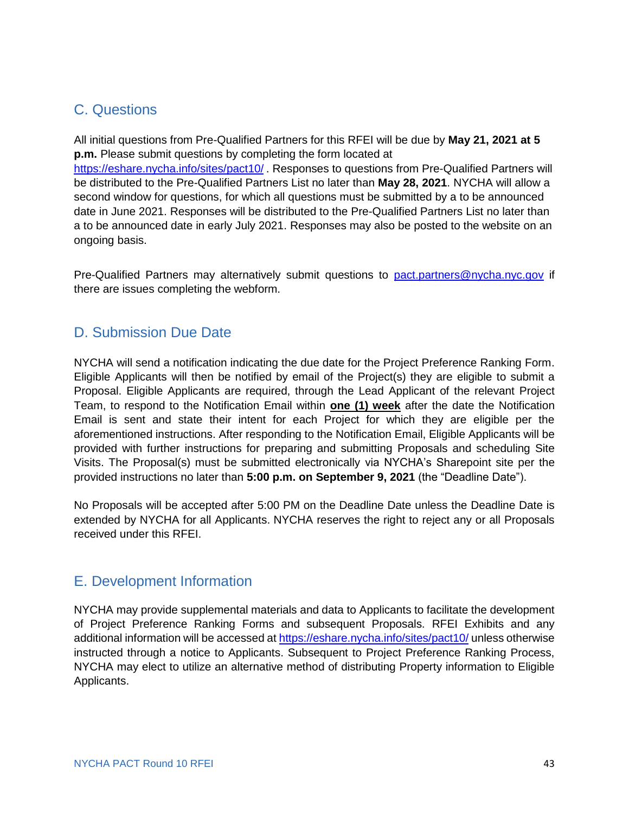# <span id="page-44-0"></span>C. Questions

All initial questions from Pre-Qualified Partners for this RFEI will be due by **May 21, 2021 at 5 p.m.** Please submit questions by completing the form located at <https://eshare.nycha.info/sites/pact10/>. Responses to questions from Pre-Qualified Partners will be distributed to the Pre-Qualified Partners List no later than **May 28, 2021**. NYCHA will allow a second window for questions, for which all questions must be submitted by a to be announced date in June 2021. Responses will be distributed to the Pre-Qualified Partners List no later than a to be announced date in early July 2021. Responses may also be posted to the website on an ongoing basis.

Pre-Qualified Partners may alternatively submit questions to [pact.partners@nycha.nyc.gov](mailto:pact.partners@nycha.nyc.gov) if there are issues completing the webform.

### <span id="page-44-1"></span>D. Submission Due Date

NYCHA will send a notification indicating the due date for the Project Preference Ranking Form. Eligible Applicants will then be notified by email of the Project(s) they are eligible to submit a Proposal. Eligible Applicants are required, through the Lead Applicant of the relevant Project Team, to respond to the Notification Email within **one (1) week** after the date the Notification Email is sent and state their intent for each Project for which they are eligible per the aforementioned instructions. After responding to the Notification Email, Eligible Applicants will be provided with further instructions for preparing and submitting Proposals and scheduling Site Visits. The Proposal(s) must be submitted electronically via NYCHA's Sharepoint site per the provided instructions no later than **5:00 p.m. on September 9, 2021** (the "Deadline Date").

No Proposals will be accepted after 5:00 PM on the Deadline Date unless the Deadline Date is extended by NYCHA for all Applicants. NYCHA reserves the right to reject any or all Proposals received under this RFEI.

### <span id="page-44-2"></span>E. Development Information

NYCHA may provide supplemental materials and data to Applicants to facilitate the development of Project Preference Ranking Forms and subsequent Proposals. RFEI Exhibits and any additional information will be accessed a[t https://eshare.nycha.info/sites/pact10/](https://eshare.nycha.info/sites/pact10/) unless otherwise instructed through a notice to Applicants. Subsequent to Project Preference Ranking Process, NYCHA may elect to utilize an alternative method of distributing Property information to Eligible Applicants.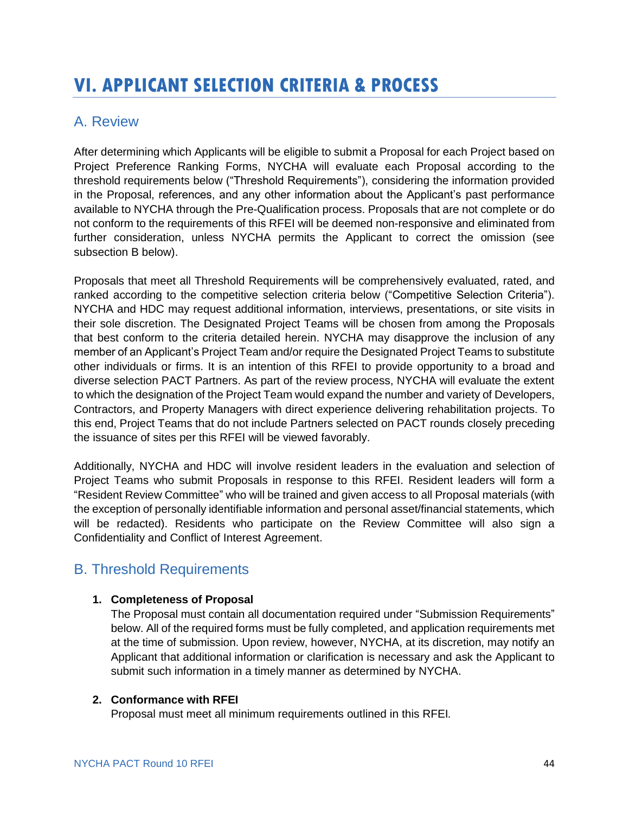# <span id="page-45-0"></span>**VI. APPLICANT SELECTION CRITERIA & PROCESS**

# <span id="page-45-1"></span>A. Review

After determining which Applicants will be eligible to submit a Proposal for each Project based on Project Preference Ranking Forms, NYCHA will evaluate each Proposal according to the threshold requirements below ("Threshold Requirements"), considering the information provided in the Proposal, references, and any other information about the Applicant's past performance available to NYCHA through the Pre-Qualification process. Proposals that are not complete or do not conform to the requirements of this RFEI will be deemed non-responsive and eliminated from further consideration, unless NYCHA permits the Applicant to correct the omission (see subsection B below).

Proposals that meet all Threshold Requirements will be comprehensively evaluated, rated, and ranked according to the competitive selection criteria below ("Competitive Selection Criteria"). NYCHA and HDC may request additional information, interviews, presentations, or site visits in their sole discretion. The Designated Project Teams will be chosen from among the Proposals that best conform to the criteria detailed herein. NYCHA may disapprove the inclusion of any member of an Applicant's Project Team and/or require the Designated Project Teams to substitute other individuals or firms. It is an intention of this RFEI to provide opportunity to a broad and diverse selection PACT Partners. As part of the review process, NYCHA will evaluate the extent to which the designation of the Project Team would expand the number and variety of Developers, Contractors, and Property Managers with direct experience delivering rehabilitation projects. To this end, Project Teams that do not include Partners selected on PACT rounds closely preceding the issuance of sites per this RFEI will be viewed favorably.

Additionally, NYCHA and HDC will involve resident leaders in the evaluation and selection of Project Teams who submit Proposals in response to this RFEI. Resident leaders will form a "Resident Review Committee" who will be trained and given access to all Proposal materials (with the exception of personally identifiable information and personal asset/financial statements, which will be redacted). Residents who participate on the Review Committee will also sign a Confidentiality and Conflict of Interest Agreement.

# <span id="page-45-2"></span>B. Threshold Requirements

#### **1. Completeness of Proposal**

The Proposal must contain all documentation required under "Submission Requirements" below. All of the required forms must be fully completed, and application requirements met at the time of submission. Upon review, however, NYCHA, at its discretion, may notify an Applicant that additional information or clarification is necessary and ask the Applicant to submit such information in a timely manner as determined by NYCHA.

#### **2. Conformance with RFEI**

Proposal must meet all minimum requirements outlined in this RFEI*.*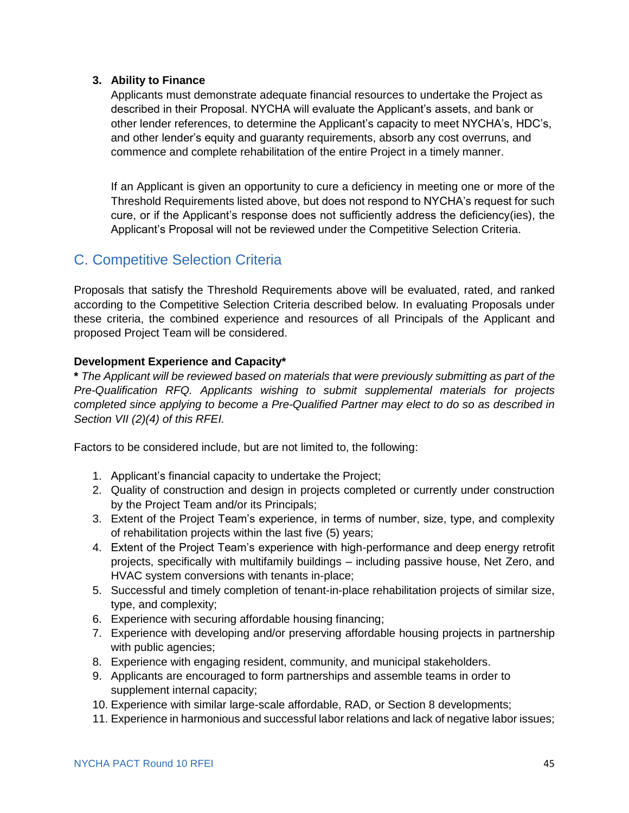#### **3. Ability to Finance**

Applicants must demonstrate adequate financial resources to undertake the Project as described in their Proposal. NYCHA will evaluate the Applicant's assets, and bank or other lender references, to determine the Applicant's capacity to meet NYCHA's, HDC's, and other lender's equity and guaranty requirements, absorb any cost overruns, and commence and complete rehabilitation of the entire Project in a timely manner.

If an Applicant is given an opportunity to cure a deficiency in meeting one or more of the Threshold Requirements listed above, but does not respond to NYCHA's request for such cure, or if the Applicant's response does not sufficiently address the deficiency(ies), the Applicant's Proposal will not be reviewed under the Competitive Selection Criteria.

### <span id="page-46-0"></span>C. Competitive Selection Criteria

Proposals that satisfy the Threshold Requirements above will be evaluated, rated, and ranked according to the Competitive Selection Criteria described below. In evaluating Proposals under these criteria, the combined experience and resources of all Principals of the Applicant and proposed Project Team will be considered.

#### **Development Experience and Capacity\***

**\*** *The Applicant will be reviewed based on materials that were previously submitting as part of the Pre-Qualification RFQ. Applicants wishing to submit supplemental materials for projects completed since applying to become a Pre-Qualified Partner may elect to do so as described in Section VII (2)(4) of this RFEI.*

Factors to be considered include, but are not limited to, the following:

- 1. Applicant's financial capacity to undertake the Project;
- 2. Quality of construction and design in projects completed or currently under construction by the Project Team and/or its Principals;
- 3. Extent of the Project Team's experience, in terms of number, size, type, and complexity of rehabilitation projects within the last five (5) years;
- 4. Extent of the Project Team's experience with high-performance and deep energy retrofit projects, specifically with multifamily buildings – including passive house, Net Zero, and HVAC system conversions with tenants in-place;
- 5. Successful and timely completion of tenant-in-place rehabilitation projects of similar size, type, and complexity;
- 6. Experience with securing affordable housing financing;
- 7. Experience with developing and/or preserving affordable housing projects in partnership with public agencies;
- 8. Experience with engaging resident, community, and municipal stakeholders.
- 9. Applicants are encouraged to form partnerships and assemble teams in order to supplement internal capacity;
- 10. Experience with similar large-scale affordable, RAD, or Section 8 developments;
- 11. Experience in harmonious and successful labor relations and lack of negative labor issues;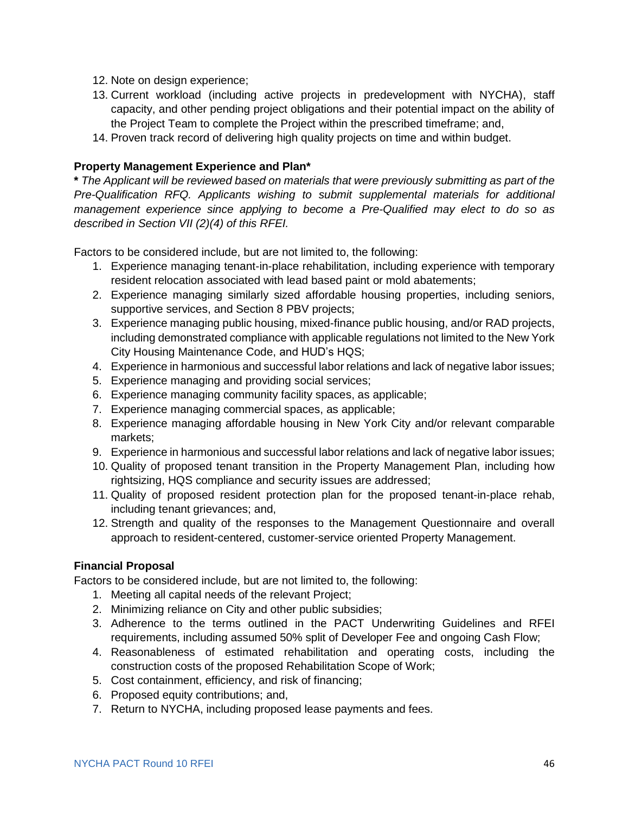- 12. Note on design experience;
- 13. Current workload (including active projects in predevelopment with NYCHA), staff capacity, and other pending project obligations and their potential impact on the ability of the Project Team to complete the Project within the prescribed timeframe; and,
- 14. Proven track record of delivering high quality projects on time and within budget.

#### **Property Management Experience and Plan\***

**\*** *The Applicant will be reviewed based on materials that were previously submitting as part of the Pre-Qualification RFQ. Applicants wishing to submit supplemental materials for additional management experience since applying to become a Pre-Qualified may elect to do so as described in Section VII (2)(4) of this RFEI.*

Factors to be considered include, but are not limited to, the following:

- 1. Experience managing tenant-in-place rehabilitation, including experience with temporary resident relocation associated with lead based paint or mold abatements;
- 2. Experience managing similarly sized affordable housing properties, including seniors, supportive services, and Section 8 PBV projects;
- 3. Experience managing public housing, mixed-finance public housing, and/or RAD projects, including demonstrated compliance with applicable regulations not limited to the New York City Housing Maintenance Code, and HUD's HQS;
- 4. Experience in harmonious and successful labor relations and lack of negative labor issues;
- 5. Experience managing and providing social services;
- 6. Experience managing community facility spaces, as applicable;
- 7. Experience managing commercial spaces, as applicable;
- 8. Experience managing affordable housing in New York City and/or relevant comparable markets;
- 9. Experience in harmonious and successful labor relations and lack of negative labor issues;
- 10. Quality of proposed tenant transition in the Property Management Plan, including how rightsizing, HQS compliance and security issues are addressed;
- 11. Quality of proposed resident protection plan for the proposed tenant-in-place rehab, including tenant grievances; and,
- 12. Strength and quality of the responses to the Management Questionnaire and overall approach to resident-centered, customer-service oriented Property Management.

#### **Financial Proposal**

Factors to be considered include, but are not limited to, the following:

- 1. Meeting all capital needs of the relevant Project;
- 2. Minimizing reliance on City and other public subsidies;
- 3. Adherence to the terms outlined in the PACT Underwriting Guidelines and RFEI requirements, including assumed 50% split of Developer Fee and ongoing Cash Flow;
- 4. Reasonableness of estimated rehabilitation and operating costs, including the construction costs of the proposed Rehabilitation Scope of Work;
- 5. Cost containment, efficiency, and risk of financing;
- 6. Proposed equity contributions; and,
- 7. Return to NYCHA, including proposed lease payments and fees.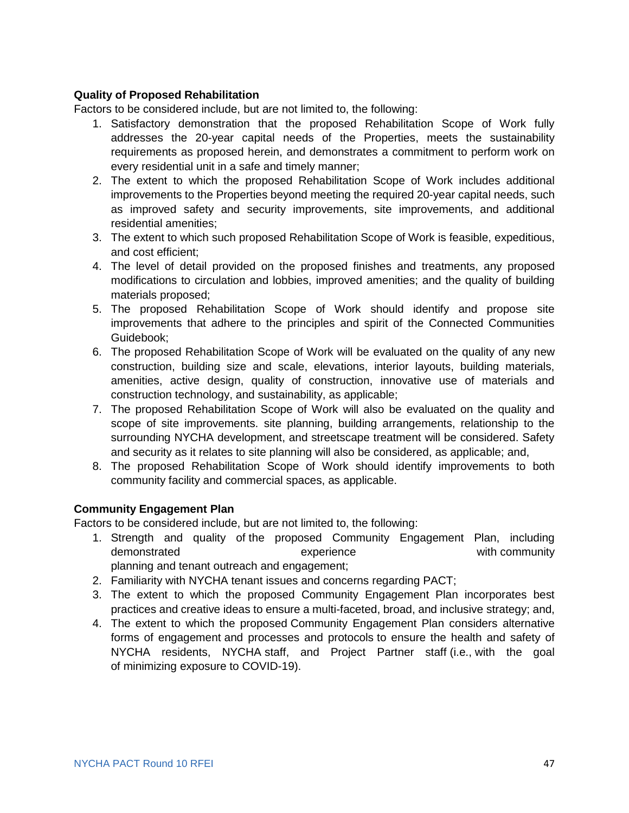#### **Quality of Proposed Rehabilitation**

Factors to be considered include, but are not limited to, the following:

- 1. Satisfactory demonstration that the proposed Rehabilitation Scope of Work fully addresses the 20-year capital needs of the Properties, meets the sustainability requirements as proposed herein, and demonstrates a commitment to perform work on every residential unit in a safe and timely manner;
- 2. The extent to which the proposed Rehabilitation Scope of Work includes additional improvements to the Properties beyond meeting the required 20-year capital needs, such as improved safety and security improvements, site improvements, and additional residential amenities;
- 3. The extent to which such proposed Rehabilitation Scope of Work is feasible, expeditious, and cost efficient;
- 4. The level of detail provided on the proposed finishes and treatments, any proposed modifications to circulation and lobbies, improved amenities; and the quality of building materials proposed;
- 5. The proposed Rehabilitation Scope of Work should identify and propose site improvements that adhere to the principles and spirit of the Connected Communities Guidebook;
- 6. The proposed Rehabilitation Scope of Work will be evaluated on the quality of any new construction, building size and scale, elevations, interior layouts, building materials, amenities, active design, quality of construction, innovative use of materials and construction technology, and sustainability, as applicable;
- 7. The proposed Rehabilitation Scope of Work will also be evaluated on the quality and scope of site improvements. site planning, building arrangements, relationship to the surrounding NYCHA development, and streetscape treatment will be considered. Safety and security as it relates to site planning will also be considered, as applicable; and,
- 8. The proposed Rehabilitation Scope of Work should identify improvements to both community facility and commercial spaces, as applicable.

#### **Community Engagement Plan**

Factors to be considered include, but are not limited to, the following:

- 1. Strength and quality of the proposed Community Engagement Plan, including demonstrated experience experience with community planning and tenant outreach and engagement;
- 2. Familiarity with NYCHA tenant issues and concerns regarding PACT;
- 3. The extent to which the proposed Community Engagement Plan incorporates best practices and creative ideas to ensure a multi-faceted, broad, and inclusive strategy; and,
- 4. The extent to which the proposed Community Engagement Plan considers alternative forms of engagement and processes and protocols to ensure the health and safety of NYCHA residents, NYCHA staff, and Project Partner staff (i.e., with the goal of minimizing exposure to COVID-19).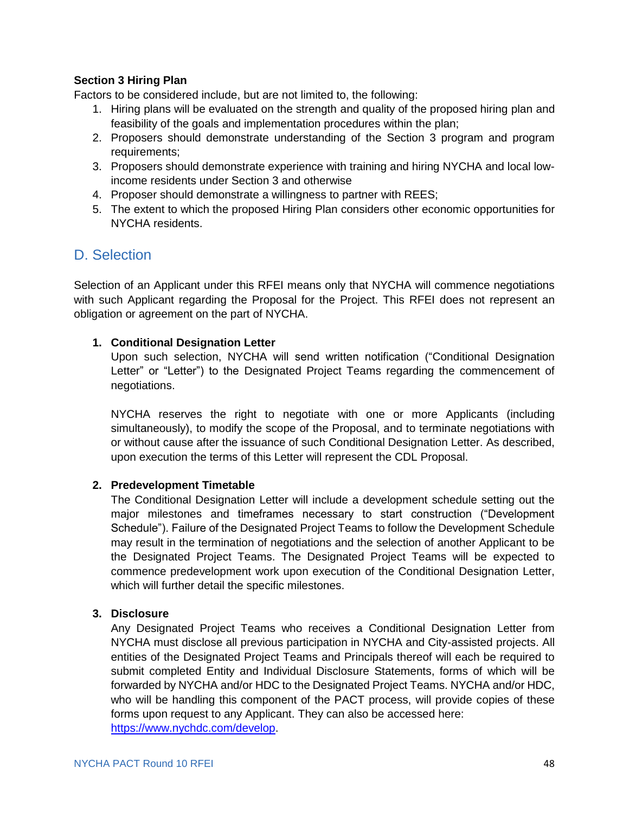#### **Section 3 Hiring Plan**

Factors to be considered include, but are not limited to, the following:

- 1. Hiring plans will be evaluated on the strength and quality of the proposed hiring plan and feasibility of the goals and implementation procedures within the plan;
- 2. Proposers should demonstrate understanding of the Section 3 program and program requirements;
- 3. Proposers should demonstrate experience with training and hiring NYCHA and local lowincome residents under Section 3 and otherwise
- 4. Proposer should demonstrate a willingness to partner with REES;
- 5. The extent to which the proposed Hiring Plan considers other economic opportunities for NYCHA residents.

### <span id="page-49-0"></span>D. Selection

Selection of an Applicant under this RFEI means only that NYCHA will commence negotiations with such Applicant regarding the Proposal for the Project. This RFEI does not represent an obligation or agreement on the part of NYCHA.

#### **1. Conditional Designation Letter**

Upon such selection, NYCHA will send written notification ("Conditional Designation Letter" or "Letter") to the Designated Project Teams regarding the commencement of negotiations.

NYCHA reserves the right to negotiate with one or more Applicants (including simultaneously), to modify the scope of the Proposal, and to terminate negotiations with or without cause after the issuance of such Conditional Designation Letter. As described, upon execution the terms of this Letter will represent the CDL Proposal.

#### **2. Predevelopment Timetable**

The Conditional Designation Letter will include a development schedule setting out the major milestones and timeframes necessary to start construction ("Development Schedule"). Failure of the Designated Project Teams to follow the Development Schedule may result in the termination of negotiations and the selection of another Applicant to be the Designated Project Teams. The Designated Project Teams will be expected to commence predevelopment work upon execution of the Conditional Designation Letter, which will further detail the specific milestones.

#### **3. Disclosure**

Any Designated Project Teams who receives a Conditional Designation Letter from NYCHA must disclose all previous participation in NYCHA and City-assisted projects. All entities of the Designated Project Teams and Principals thereof will each be required to submit completed Entity and Individual Disclosure Statements, forms of which will be forwarded by NYCHA and/or HDC to the Designated Project Teams. NYCHA and/or HDC, who will be handling this component of the PACT process, will provide copies of these forms upon request to any Applicant. They can also be accessed here: [https://www.nychdc.com/develop.](https://www.nychdc.com/develop)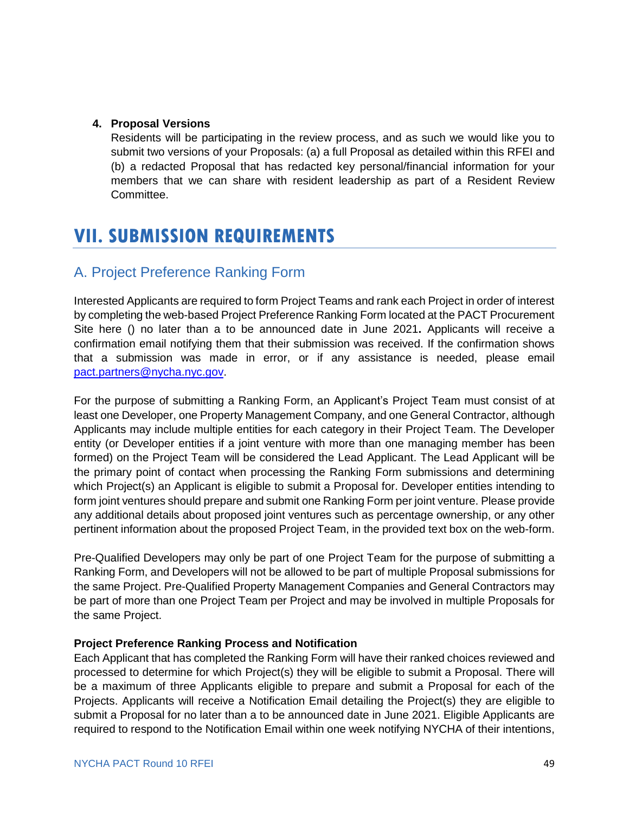#### **4. Proposal Versions**

Residents will be participating in the review process, and as such we would like you to submit two versions of your Proposals: (a) a full Proposal as detailed within this RFEI and (b) a redacted Proposal that has redacted key personal/financial information for your members that we can share with resident leadership as part of a Resident Review Committee.

# <span id="page-50-0"></span>**VII. SUBMISSION REQUIREMENTS**

### <span id="page-50-1"></span>A. Project Preference Ranking Form

Interested Applicants are required to form Project Teams and rank each Project in order of interest by completing the web-based Project Preference Ranking Form located at the PACT Procurement Site here () no later than a to be announced date in June 2021**.** Applicants will receive a confirmation email notifying them that their submission was received. If the confirmation shows that a submission was made in error, or if any assistance is needed, please email [pact.partners@nycha.nyc.gov.](mailto:pact.partners@nycha.nyc.gov)

For the purpose of submitting a Ranking Form, an Applicant's Project Team must consist of at least one Developer, one Property Management Company, and one General Contractor, although Applicants may include multiple entities for each category in their Project Team. The Developer entity (or Developer entities if a joint venture with more than one managing member has been formed) on the Project Team will be considered the Lead Applicant. The Lead Applicant will be the primary point of contact when processing the Ranking Form submissions and determining which Project(s) an Applicant is eligible to submit a Proposal for. Developer entities intending to form joint ventures should prepare and submit one Ranking Form per joint venture. Please provide any additional details about proposed joint ventures such as percentage ownership, or any other pertinent information about the proposed Project Team, in the provided text box on the web-form.

Pre-Qualified Developers may only be part of one Project Team for the purpose of submitting a Ranking Form, and Developers will not be allowed to be part of multiple Proposal submissions for the same Project. Pre-Qualified Property Management Companies and General Contractors may be part of more than one Project Team per Project and may be involved in multiple Proposals for the same Project.

#### **Project Preference Ranking Process and Notification**

Each Applicant that has completed the Ranking Form will have their ranked choices reviewed and processed to determine for which Project(s) they will be eligible to submit a Proposal. There will be a maximum of three Applicants eligible to prepare and submit a Proposal for each of the Projects. Applicants will receive a Notification Email detailing the Project(s) they are eligible to submit a Proposal for no later than a to be announced date in June 2021. Eligible Applicants are required to respond to the Notification Email within one week notifying NYCHA of their intentions,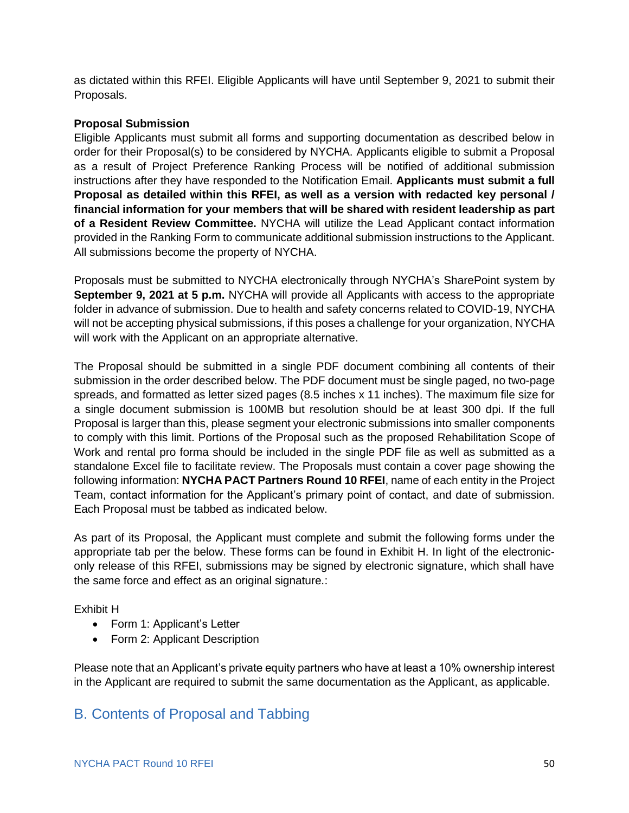as dictated within this RFEI. Eligible Applicants will have until September 9, 2021 to submit their Proposals.

#### **Proposal Submission**

Eligible Applicants must submit all forms and supporting documentation as described below in order for their Proposal(s) to be considered by NYCHA. Applicants eligible to submit a Proposal as a result of Project Preference Ranking Process will be notified of additional submission instructions after they have responded to the Notification Email. **Applicants must submit a full Proposal as detailed within this RFEI, as well as a version with redacted key personal / financial information for your members that will be shared with resident leadership as part of a Resident Review Committee.** NYCHA will utilize the Lead Applicant contact information provided in the Ranking Form to communicate additional submission instructions to the Applicant. All submissions become the property of NYCHA.

Proposals must be submitted to NYCHA electronically through NYCHA's SharePoint system by **September 9, 2021 at 5 p.m.** NYCHA will provide all Applicants with access to the appropriate folder in advance of submission. Due to health and safety concerns related to COVID-19, NYCHA will not be accepting physical submissions, if this poses a challenge for your organization, NYCHA will work with the Applicant on an appropriate alternative.

The Proposal should be submitted in a single PDF document combining all contents of their submission in the order described below. The PDF document must be single paged, no two-page spreads, and formatted as letter sized pages (8.5 inches x 11 inches). The maximum file size for a single document submission is 100MB but resolution should be at least 300 dpi. If the full Proposal is larger than this, please segment your electronic submissions into smaller components to comply with this limit. Portions of the Proposal such as the proposed Rehabilitation Scope of Work and rental pro forma should be included in the single PDF file as well as submitted as a standalone Excel file to facilitate review. The Proposals must contain a cover page showing the following information: **NYCHA PACT Partners Round 10 RFEI**, name of each entity in the Project Team, contact information for the Applicant's primary point of contact, and date of submission. Each Proposal must be tabbed as indicated below.

As part of its Proposal, the Applicant must complete and submit the following forms under the appropriate tab per the below. These forms can be found in Exhibit H. In light of the electroniconly release of this RFEI, submissions may be signed by electronic signature, which shall have the same force and effect as an original signature.:

Exhibit H

- Form 1: Applicant's Letter
- Form 2: Applicant Description

Please note that an Applicant's private equity partners who have at least a 10% ownership interest in the Applicant are required to submit the same documentation as the Applicant, as applicable.

### <span id="page-51-0"></span>B. Contents of Proposal and Tabbing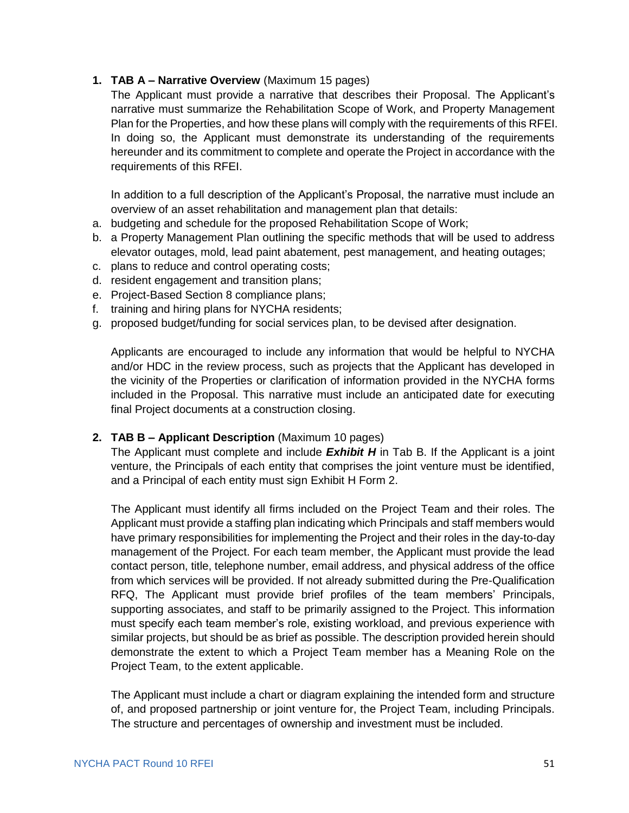#### **1. TAB A – Narrative Overview** (Maximum 15 pages)

The Applicant must provide a narrative that describes their Proposal. The Applicant's narrative must summarize the Rehabilitation Scope of Work, and Property Management Plan for the Properties, and how these plans will comply with the requirements of this RFEI. In doing so, the Applicant must demonstrate its understanding of the requirements hereunder and its commitment to complete and operate the Project in accordance with the requirements of this RFEI.

In addition to a full description of the Applicant's Proposal, the narrative must include an overview of an asset rehabilitation and management plan that details:

- a. budgeting and schedule for the proposed Rehabilitation Scope of Work;
- b. a Property Management Plan outlining the specific methods that will be used to address elevator outages, mold, lead paint abatement, pest management, and heating outages;
- c. plans to reduce and control operating costs;
- d. resident engagement and transition plans;
- e. Project-Based Section 8 compliance plans;
- f. training and hiring plans for NYCHA residents;
- g. proposed budget/funding for social services plan, to be devised after designation.

Applicants are encouraged to include any information that would be helpful to NYCHA and/or HDC in the review process, such as projects that the Applicant has developed in the vicinity of the Properties or clarification of information provided in the NYCHA forms included in the Proposal. This narrative must include an anticipated date for executing final Project documents at a construction closing.

#### **2. TAB B – Applicant Description** (Maximum 10 pages)

The Applicant must complete and include *Exhibit H* in Tab B. If the Applicant is a joint venture, the Principals of each entity that comprises the joint venture must be identified, and a Principal of each entity must sign Exhibit H Form 2.

The Applicant must identify all firms included on the Project Team and their roles. The Applicant must provide a staffing plan indicating which Principals and staff members would have primary responsibilities for implementing the Project and their roles in the day-to-day management of the Project. For each team member, the Applicant must provide the lead contact person, title, telephone number, email address, and physical address of the office from which services will be provided. If not already submitted during the Pre-Qualification RFQ, The Applicant must provide brief profiles of the team members' Principals, supporting associates, and staff to be primarily assigned to the Project. This information must specify each team member's role, existing workload, and previous experience with similar projects, but should be as brief as possible. The description provided herein should demonstrate the extent to which a Project Team member has a Meaning Role on the Project Team, to the extent applicable.

The Applicant must include a chart or diagram explaining the intended form and structure of, and proposed partnership or joint venture for, the Project Team, including Principals. The structure and percentages of ownership and investment must be included.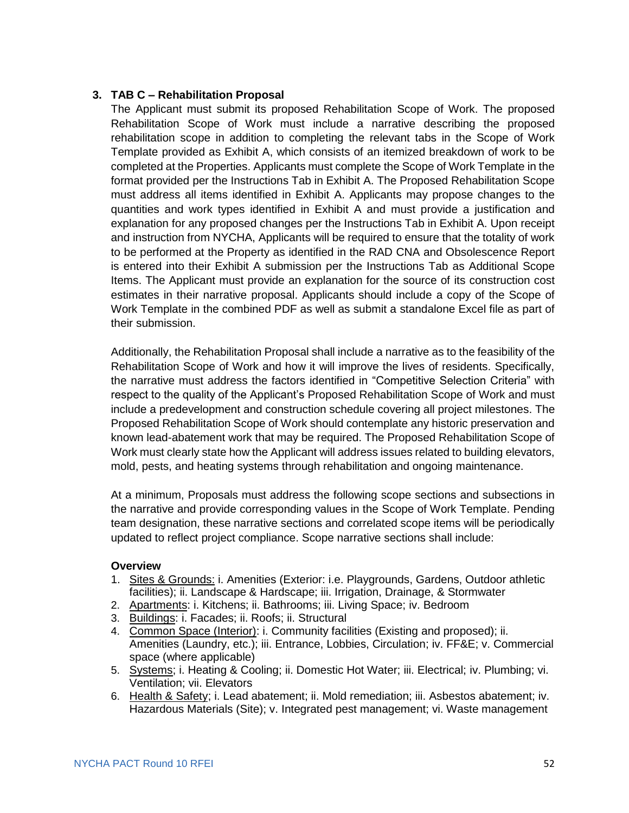#### **3. TAB C – Rehabilitation Proposal**

The Applicant must submit its proposed Rehabilitation Scope of Work. The proposed Rehabilitation Scope of Work must include a narrative describing the proposed rehabilitation scope in addition to completing the relevant tabs in the Scope of Work Template provided as Exhibit A, which consists of an itemized breakdown of work to be completed at the Properties. Applicants must complete the Scope of Work Template in the format provided per the Instructions Tab in Exhibit A. The Proposed Rehabilitation Scope must address all items identified in Exhibit A. Applicants may propose changes to the quantities and work types identified in Exhibit A and must provide a justification and explanation for any proposed changes per the Instructions Tab in Exhibit A. Upon receipt and instruction from NYCHA, Applicants will be required to ensure that the totality of work to be performed at the Property as identified in the RAD CNA and Obsolescence Report is entered into their Exhibit A submission per the Instructions Tab as Additional Scope Items. The Applicant must provide an explanation for the source of its construction cost estimates in their narrative proposal. Applicants should include a copy of the Scope of Work Template in the combined PDF as well as submit a standalone Excel file as part of their submission.

Additionally, the Rehabilitation Proposal shall include a narrative as to the feasibility of the Rehabilitation Scope of Work and how it will improve the lives of residents. Specifically, the narrative must address the factors identified in "Competitive Selection Criteria" with respect to the quality of the Applicant's Proposed Rehabilitation Scope of Work and must include a predevelopment and construction schedule covering all project milestones. The Proposed Rehabilitation Scope of Work should contemplate any historic preservation and known lead-abatement work that may be required. The Proposed Rehabilitation Scope of Work must clearly state how the Applicant will address issues related to building elevators, mold, pests, and heating systems through rehabilitation and ongoing maintenance.

At a minimum, Proposals must address the following scope sections and subsections in the narrative and provide corresponding values in the Scope of Work Template. Pending team designation, these narrative sections and correlated scope items will be periodically updated to reflect project compliance. Scope narrative sections shall include:

#### **Overview**

- 1. Sites & Grounds: i. Amenities (Exterior: i.e. Playgrounds, Gardens, Outdoor athletic facilities); ii. Landscape & Hardscape; iii. Irrigation, Drainage, & Stormwater
- 2. Apartments: i. Kitchens; ii. Bathrooms; iii. Living Space; iv. Bedroom
- 3. Buildings: i. Facades; ii. Roofs; ii. Structural
- 4. Common Space (Interior): i. Community facilities (Existing and proposed); ii. Amenities (Laundry, etc.); iii. Entrance, Lobbies, Circulation; iv. FF&E; v. Commercial space (where applicable)
- 5. Systems; i. Heating & Cooling; ii. Domestic Hot Water; iii. Electrical; iv. Plumbing; vi. Ventilation; vii. Elevators
- 6. Health & Safety; i. Lead abatement; ii. Mold remediation; iii. Asbestos abatement; iv. Hazardous Materials (Site); v. Integrated pest management; vi. Waste management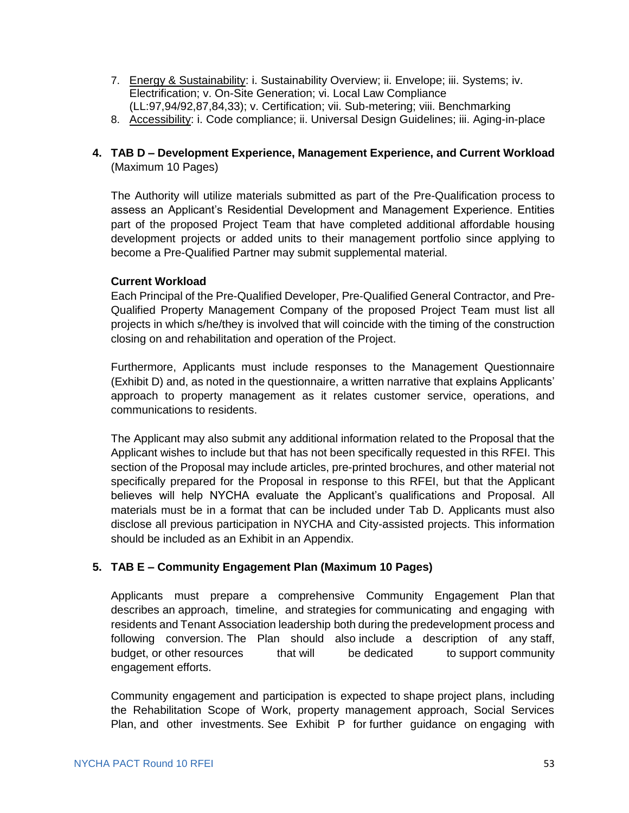- 7. Energy & Sustainability: i. Sustainability Overview; ii. Envelope; iii. Systems; iv. Electrification; v. On-Site Generation; vi. Local Law Compliance (LL:97,94/92,87,84,33); v. Certification; vii. Sub-metering; viii. Benchmarking
- 8. Accessibility: i. Code compliance; ii. Universal Design Guidelines; iii. Aging-in-place

#### **4. TAB D – Development Experience, Management Experience, and Current Workload** (Maximum 10 Pages)

The Authority will utilize materials submitted as part of the Pre-Qualification process to assess an Applicant's Residential Development and Management Experience. Entities part of the proposed Project Team that have completed additional affordable housing development projects or added units to their management portfolio since applying to become a Pre-Qualified Partner may submit supplemental material.

#### **Current Workload**

Each Principal of the Pre-Qualified Developer, Pre-Qualified General Contractor, and Pre-Qualified Property Management Company of the proposed Project Team must list all projects in which s/he/they is involved that will coincide with the timing of the construction closing on and rehabilitation and operation of the Project.

Furthermore, Applicants must include responses to the Management Questionnaire (Exhibit D) and, as noted in the questionnaire, a written narrative that explains Applicants' approach to property management as it relates customer service, operations, and communications to residents.

The Applicant may also submit any additional information related to the Proposal that the Applicant wishes to include but that has not been specifically requested in this RFEI. This section of the Proposal may include articles, pre-printed brochures, and other material not specifically prepared for the Proposal in response to this RFEI, but that the Applicant believes will help NYCHA evaluate the Applicant's qualifications and Proposal. All materials must be in a format that can be included under Tab D. Applicants must also disclose all previous participation in NYCHA and City-assisted projects. This information should be included as an Exhibit in an Appendix.

#### **5. TAB E – Community Engagement Plan (Maximum 10 Pages)**

Applicants must prepare a comprehensive Community Engagement Plan that describes an approach, timeline, and strategies for communicating and engaging with residents and Tenant Association leadership both during the predevelopment process and following conversion. The Plan should also include a description of any staff, budget, or other resources that will be dedicated to support community engagement efforts.

Community engagement and participation is expected to shape project plans, including the Rehabilitation Scope of Work, property management approach, Social Services Plan, and other investments. See Exhibit P for further guidance on engaging with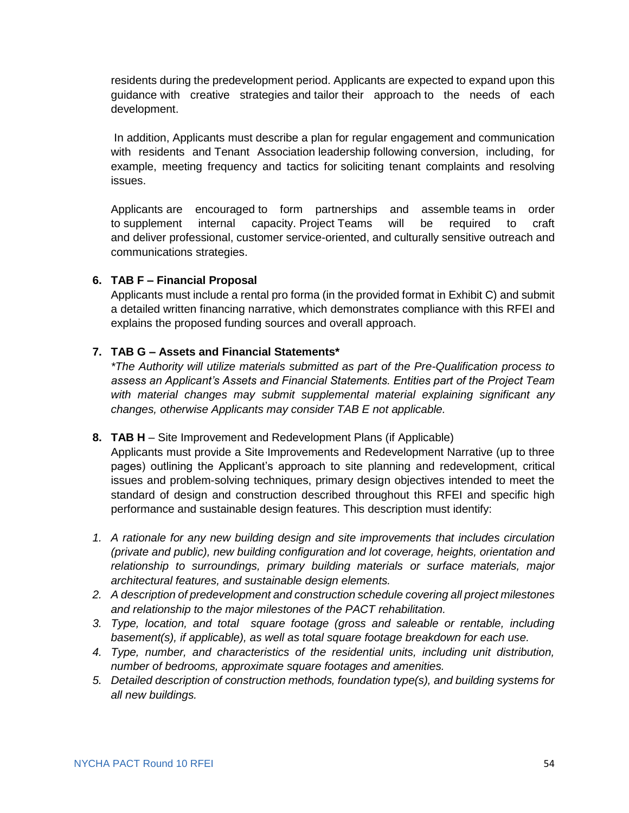residents during the predevelopment period. Applicants are expected to expand upon this guidance with creative strategies and tailor their approach to the needs of each development.

In addition, Applicants must describe a plan for regular engagement and communication with residents and Tenant Association leadership following conversion, including, for example, meeting frequency and tactics for soliciting tenant complaints and resolving issues.

Applicants are encouraged to form partnerships and assemble teams in order to supplement internal capacity. Project Teams will be required to craft and deliver professional, customer service-oriented, and culturally sensitive outreach and communications strategies.

#### **6. TAB F – Financial Proposal**

Applicants must include a rental pro forma (in the provided format in Exhibit C) and submit a detailed written financing narrative, which demonstrates compliance with this RFEI and explains the proposed funding sources and overall approach.

#### **7. TAB G – Assets and Financial Statements\***

*\*The Authority will utilize materials submitted as part of the Pre-Qualification process to assess an Applicant's Assets and Financial Statements. Entities part of the Project Team with material changes may submit supplemental material explaining significant any changes, otherwise Applicants may consider TAB E not applicable.*

#### **8. TAB H** – Site Improvement and Redevelopment Plans (if Applicable)

Applicants must provide a Site Improvements and Redevelopment Narrative (up to three pages) outlining the Applicant's approach to site planning and redevelopment, critical issues and problem-solving techniques, primary design objectives intended to meet the standard of design and construction described throughout this RFEI and specific high performance and sustainable design features. This description must identify:

- *1. A rationale for any new building design and site improvements that includes circulation (private and public), new building configuration and lot coverage, heights, orientation and relationship to surroundings, primary building materials or surface materials, major architectural features, and sustainable design elements.*
- *2. A description of predevelopment and construction schedule covering all project milestones and relationship to the major milestones of the PACT rehabilitation.*
- *3. Type, location, and total square footage (gross and saleable or rentable, including basement(s), if applicable), as well as total square footage breakdown for each use.*
- *4. Type, number, and characteristics of the residential units, including unit distribution, number of bedrooms, approximate square footages and amenities.*
- *5. Detailed description of construction methods, foundation type(s), and building systems for all new buildings.*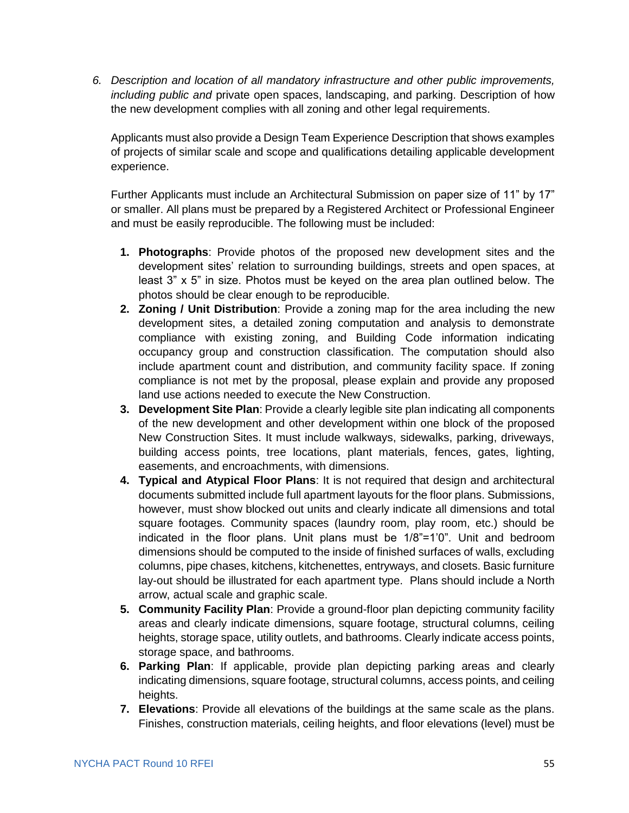*6. Description and location of all mandatory infrastructure and other public improvements, including public and* private open spaces, landscaping, and parking. Description of how the new development complies with all zoning and other legal requirements.

Applicants must also provide a Design Team Experience Description that shows examples of projects of similar scale and scope and qualifications detailing applicable development experience.

Further Applicants must include an Architectural Submission on paper size of 11" by 17" or smaller. All plans must be prepared by a Registered Architect or Professional Engineer and must be easily reproducible. The following must be included:

- **1. Photographs**: Provide photos of the proposed new development sites and the development sites' relation to surrounding buildings, streets and open spaces, at least 3" x 5" in size. Photos must be keyed on the area plan outlined below. The photos should be clear enough to be reproducible.
- **2. Zoning / Unit Distribution**: Provide a zoning map for the area including the new development sites, a detailed zoning computation and analysis to demonstrate compliance with existing zoning, and Building Code information indicating occupancy group and construction classification. The computation should also include apartment count and distribution, and community facility space. If zoning compliance is not met by the proposal, please explain and provide any proposed land use actions needed to execute the New Construction.
- **3. Development Site Plan**: Provide a clearly legible site plan indicating all components of the new development and other development within one block of the proposed New Construction Sites. It must include walkways, sidewalks, parking, driveways, building access points, tree locations, plant materials, fences, gates, lighting, easements, and encroachments, with dimensions.
- **4. Typical and Atypical Floor Plans**: It is not required that design and architectural documents submitted include full apartment layouts for the floor plans. Submissions, however, must show blocked out units and clearly indicate all dimensions and total square footages. Community spaces (laundry room, play room, etc.) should be indicated in the floor plans. Unit plans must be 1/8"=1'0". Unit and bedroom dimensions should be computed to the inside of finished surfaces of walls, excluding columns, pipe chases, kitchens, kitchenettes, entryways, and closets. Basic furniture lay-out should be illustrated for each apartment type. Plans should include a North arrow, actual scale and graphic scale.
- **5. Community Facility Plan**: Provide a ground-floor plan depicting community facility areas and clearly indicate dimensions, square footage, structural columns, ceiling heights, storage space, utility outlets, and bathrooms. Clearly indicate access points, storage space, and bathrooms.
- **6. Parking Plan**: If applicable, provide plan depicting parking areas and clearly indicating dimensions, square footage, structural columns, access points, and ceiling heights.
- **7. Elevations**: Provide all elevations of the buildings at the same scale as the plans. Finishes, construction materials, ceiling heights, and floor elevations (level) must be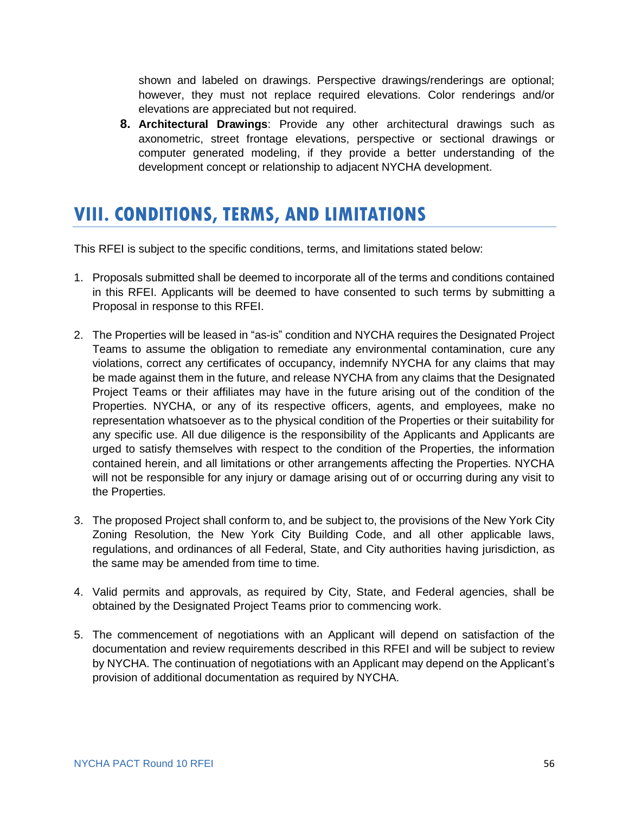shown and labeled on drawings. Perspective drawings/renderings are optional; however, they must not replace required elevations. Color renderings and/or elevations are appreciated but not required.

**8. Architectural Drawings**: Provide any other architectural drawings such as axonometric, street frontage elevations, perspective or sectional drawings or computer generated modeling, if they provide a better understanding of the development concept or relationship to adjacent NYCHA development.

# <span id="page-57-0"></span>**VIII. CONDITIONS, TERMS, AND LIMITATIONS**

This RFEI is subject to the specific conditions, terms, and limitations stated below:

- 1. Proposals submitted shall be deemed to incorporate all of the terms and conditions contained in this RFEI. Applicants will be deemed to have consented to such terms by submitting a Proposal in response to this RFEI.
- 2. The Properties will be leased in "as-is" condition and NYCHA requires the Designated Project Teams to assume the obligation to remediate any environmental contamination, cure any violations, correct any certificates of occupancy, indemnify NYCHA for any claims that may be made against them in the future, and release NYCHA from any claims that the Designated Project Teams or their affiliates may have in the future arising out of the condition of the Properties. NYCHA, or any of its respective officers, agents, and employees, make no representation whatsoever as to the physical condition of the Properties or their suitability for any specific use. All due diligence is the responsibility of the Applicants and Applicants are urged to satisfy themselves with respect to the condition of the Properties, the information contained herein, and all limitations or other arrangements affecting the Properties. NYCHA will not be responsible for any injury or damage arising out of or occurring during any visit to the Properties.
- 3. The proposed Project shall conform to, and be subject to, the provisions of the New York City Zoning Resolution, the New York City Building Code, and all other applicable laws, regulations, and ordinances of all Federal, State, and City authorities having jurisdiction, as the same may be amended from time to time.
- 4. Valid permits and approvals, as required by City, State, and Federal agencies, shall be obtained by the Designated Project Teams prior to commencing work.
- 5. The commencement of negotiations with an Applicant will depend on satisfaction of the documentation and review requirements described in this RFEI and will be subject to review by NYCHA. The continuation of negotiations with an Applicant may depend on the Applicant's provision of additional documentation as required by NYCHA.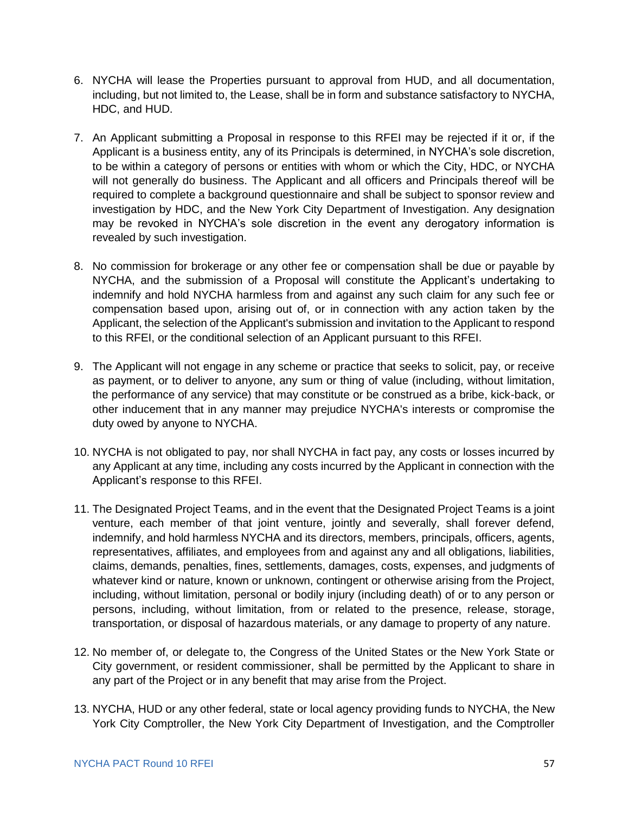- 6. NYCHA will lease the Properties pursuant to approval from HUD, and all documentation, including, but not limited to, the Lease, shall be in form and substance satisfactory to NYCHA, HDC, and HUD.
- 7. An Applicant submitting a Proposal in response to this RFEI may be rejected if it or, if the Applicant is a business entity, any of its Principals is determined, in NYCHA's sole discretion, to be within a category of persons or entities with whom or which the City, HDC, or NYCHA will not generally do business. The Applicant and all officers and Principals thereof will be required to complete a background questionnaire and shall be subject to sponsor review and investigation by HDC, and the New York City Department of Investigation. Any designation may be revoked in NYCHA's sole discretion in the event any derogatory information is revealed by such investigation.
- 8. No commission for brokerage or any other fee or compensation shall be due or payable by NYCHA, and the submission of a Proposal will constitute the Applicant's undertaking to indemnify and hold NYCHA harmless from and against any such claim for any such fee or compensation based upon, arising out of, or in connection with any action taken by the Applicant, the selection of the Applicant's submission and invitation to the Applicant to respond to this RFEI, or the conditional selection of an Applicant pursuant to this RFEI.
- 9. The Applicant will not engage in any scheme or practice that seeks to solicit, pay, or receive as payment, or to deliver to anyone, any sum or thing of value (including, without limitation, the performance of any service) that may constitute or be construed as a bribe, kick-back, or other inducement that in any manner may prejudice NYCHA's interests or compromise the duty owed by anyone to NYCHA.
- 10. NYCHA is not obligated to pay, nor shall NYCHA in fact pay, any costs or losses incurred by any Applicant at any time, including any costs incurred by the Applicant in connection with the Applicant's response to this RFEI.
- 11. The Designated Project Teams, and in the event that the Designated Project Teams is a joint venture, each member of that joint venture, jointly and severally, shall forever defend, indemnify, and hold harmless NYCHA and its directors, members, principals, officers, agents, representatives, affiliates, and employees from and against any and all obligations, liabilities, claims, demands, penalties, fines, settlements, damages, costs, expenses, and judgments of whatever kind or nature, known or unknown, contingent or otherwise arising from the Project, including, without limitation, personal or bodily injury (including death) of or to any person or persons, including, without limitation, from or related to the presence, release, storage, transportation, or disposal of hazardous materials, or any damage to property of any nature.
- 12. No member of, or delegate to, the Congress of the United States or the New York State or City government, or resident commissioner, shall be permitted by the Applicant to share in any part of the Project or in any benefit that may arise from the Project.
- 13. NYCHA, HUD or any other federal, state or local agency providing funds to NYCHA, the New York City Comptroller, the New York City Department of Investigation, and the Comptroller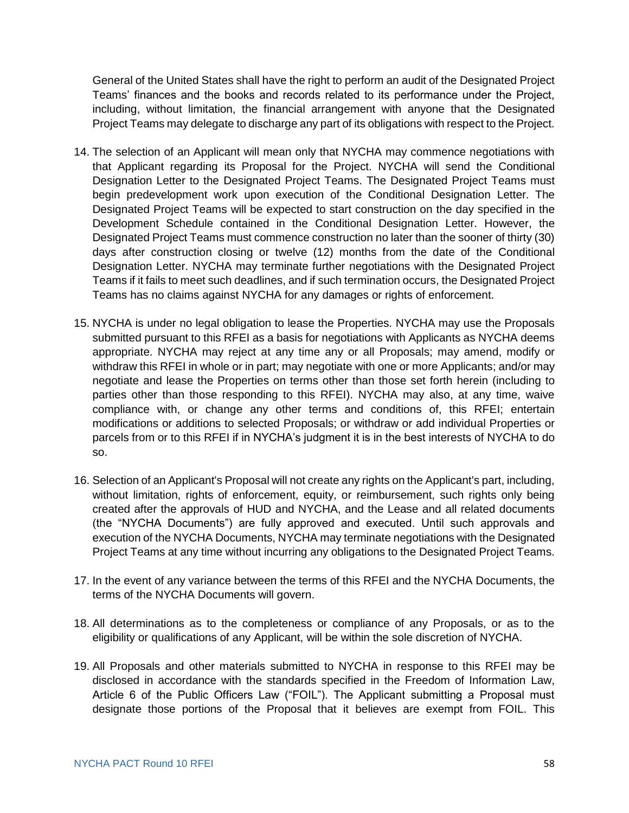General of the United States shall have the right to perform an audit of the Designated Project Teams' finances and the books and records related to its performance under the Project, including, without limitation, the financial arrangement with anyone that the Designated Project Teams may delegate to discharge any part of its obligations with respect to the Project.

- 14. The selection of an Applicant will mean only that NYCHA may commence negotiations with that Applicant regarding its Proposal for the Project. NYCHA will send the Conditional Designation Letter to the Designated Project Teams. The Designated Project Teams must begin predevelopment work upon execution of the Conditional Designation Letter. The Designated Project Teams will be expected to start construction on the day specified in the Development Schedule contained in the Conditional Designation Letter. However, the Designated Project Teams must commence construction no later than the sooner of thirty (30) days after construction closing or twelve (12) months from the date of the Conditional Designation Letter. NYCHA may terminate further negotiations with the Designated Project Teams if it fails to meet such deadlines, and if such termination occurs, the Designated Project Teams has no claims against NYCHA for any damages or rights of enforcement.
- 15. NYCHA is under no legal obligation to lease the Properties. NYCHA may use the Proposals submitted pursuant to this RFEI as a basis for negotiations with Applicants as NYCHA deems appropriate. NYCHA may reject at any time any or all Proposals; may amend, modify or withdraw this RFEI in whole or in part; may negotiate with one or more Applicants; and/or may negotiate and lease the Properties on terms other than those set forth herein (including to parties other than those responding to this RFEI). NYCHA may also, at any time, waive compliance with, or change any other terms and conditions of, this RFEI; entertain modifications or additions to selected Proposals; or withdraw or add individual Properties or parcels from or to this RFEI if in NYCHA's judgment it is in the best interests of NYCHA to do so.
- 16. Selection of an Applicant's Proposal will not create any rights on the Applicant's part, including, without limitation, rights of enforcement, equity, or reimbursement, such rights only being created after the approvals of HUD and NYCHA, and the Lease and all related documents (the "NYCHA Documents") are fully approved and executed. Until such approvals and execution of the NYCHA Documents, NYCHA may terminate negotiations with the Designated Project Teams at any time without incurring any obligations to the Designated Project Teams.
- 17. In the event of any variance between the terms of this RFEI and the NYCHA Documents, the terms of the NYCHA Documents will govern.
- 18. All determinations as to the completeness or compliance of any Proposals, or as to the eligibility or qualifications of any Applicant, will be within the sole discretion of NYCHA.
- 19. All Proposals and other materials submitted to NYCHA in response to this RFEI may be disclosed in accordance with the standards specified in the Freedom of Information Law, Article 6 of the Public Officers Law ("FOIL"). The Applicant submitting a Proposal must designate those portions of the Proposal that it believes are exempt from FOIL. This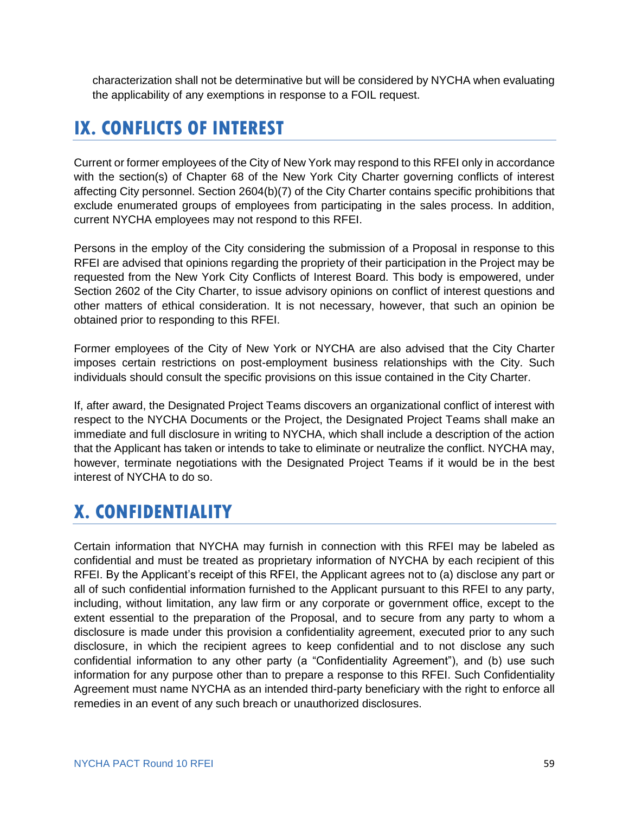characterization shall not be determinative but will be considered by NYCHA when evaluating the applicability of any exemptions in response to a FOIL request.

# <span id="page-60-0"></span>**IX. CONFLICTS OF INTEREST**

Current or former employees of the City of New York may respond to this RFEI only in accordance with the section(s) of Chapter 68 of the New York City Charter governing conflicts of interest affecting City personnel. Section 2604(b)(7) of the City Charter contains specific prohibitions that exclude enumerated groups of employees from participating in the sales process. In addition, current NYCHA employees may not respond to this RFEI.

Persons in the employ of the City considering the submission of a Proposal in response to this RFEI are advised that opinions regarding the propriety of their participation in the Project may be requested from the New York City Conflicts of Interest Board. This body is empowered, under Section 2602 of the City Charter, to issue advisory opinions on conflict of interest questions and other matters of ethical consideration. It is not necessary, however, that such an opinion be obtained prior to responding to this RFEI.

Former employees of the City of New York or NYCHA are also advised that the City Charter imposes certain restrictions on post-employment business relationships with the City. Such individuals should consult the specific provisions on this issue contained in the City Charter.

If, after award, the Designated Project Teams discovers an organizational conflict of interest with respect to the NYCHA Documents or the Project, the Designated Project Teams shall make an immediate and full disclosure in writing to NYCHA, which shall include a description of the action that the Applicant has taken or intends to take to eliminate or neutralize the conflict. NYCHA may, however, terminate negotiations with the Designated Project Teams if it would be in the best interest of NYCHA to do so.

# <span id="page-60-1"></span>**X. CONFIDENTIALITY**

Certain information that NYCHA may furnish in connection with this RFEI may be labeled as confidential and must be treated as proprietary information of NYCHA by each recipient of this RFEI. By the Applicant's receipt of this RFEI, the Applicant agrees not to (a) disclose any part or all of such confidential information furnished to the Applicant pursuant to this RFEI to any party, including, without limitation, any law firm or any corporate or government office, except to the extent essential to the preparation of the Proposal, and to secure from any party to whom a disclosure is made under this provision a confidentiality agreement, executed prior to any such disclosure, in which the recipient agrees to keep confidential and to not disclose any such confidential information to any other party (a "Confidentiality Agreement"), and (b) use such information for any purpose other than to prepare a response to this RFEI. Such Confidentiality Agreement must name NYCHA as an intended third-party beneficiary with the right to enforce all remedies in an event of any such breach or unauthorized disclosures.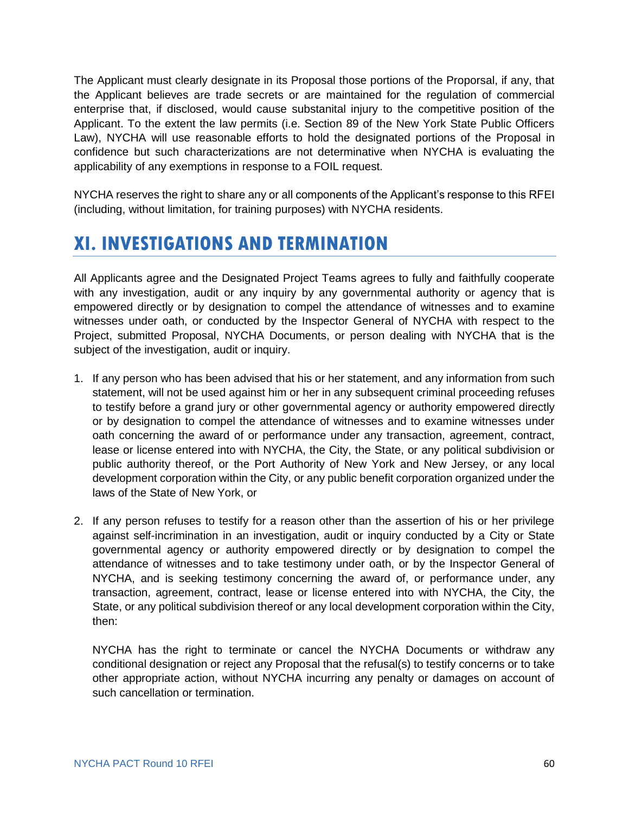The Applicant must clearly designate in its Proposal those portions of the Proporsal, if any, that the Applicant believes are trade secrets or are maintained for the regulation of commercial enterprise that, if disclosed, would cause substanital injury to the competitive position of the Applicant. To the extent the law permits (i.e. Section 89 of the New York State Public Officers Law), NYCHA will use reasonable efforts to hold the designated portions of the Proposal in confidence but such characterizations are not determinative when NYCHA is evaluating the applicability of any exemptions in response to a FOIL request.

NYCHA reserves the right to share any or all components of the Applicant's response to this RFEI (including, without limitation, for training purposes) with NYCHA residents.

# <span id="page-61-0"></span>**XI. INVESTIGATIONS AND TERMINATION**

All Applicants agree and the Designated Project Teams agrees to fully and faithfully cooperate with any investigation, audit or any inquiry by any governmental authority or agency that is empowered directly or by designation to compel the attendance of witnesses and to examine witnesses under oath, or conducted by the Inspector General of NYCHA with respect to the Project, submitted Proposal, NYCHA Documents, or person dealing with NYCHA that is the subject of the investigation, audit or inquiry.

- 1. If any person who has been advised that his or her statement, and any information from such statement, will not be used against him or her in any subsequent criminal proceeding refuses to testify before a grand jury or other governmental agency or authority empowered directly or by designation to compel the attendance of witnesses and to examine witnesses under oath concerning the award of or performance under any transaction, agreement, contract, lease or license entered into with NYCHA, the City, the State, or any political subdivision or public authority thereof, or the Port Authority of New York and New Jersey, or any local development corporation within the City, or any public benefit corporation organized under the laws of the State of New York, or
- 2. If any person refuses to testify for a reason other than the assertion of his or her privilege against self-incrimination in an investigation, audit or inquiry conducted by a City or State governmental agency or authority empowered directly or by designation to compel the attendance of witnesses and to take testimony under oath, or by the Inspector General of NYCHA, and is seeking testimony concerning the award of, or performance under, any transaction, agreement, contract, lease or license entered into with NYCHA, the City, the State, or any political subdivision thereof or any local development corporation within the City, then:

NYCHA has the right to terminate or cancel the NYCHA Documents or withdraw any conditional designation or reject any Proposal that the refusal(s) to testify concerns or to take other appropriate action, without NYCHA incurring any penalty or damages on account of such cancellation or termination.